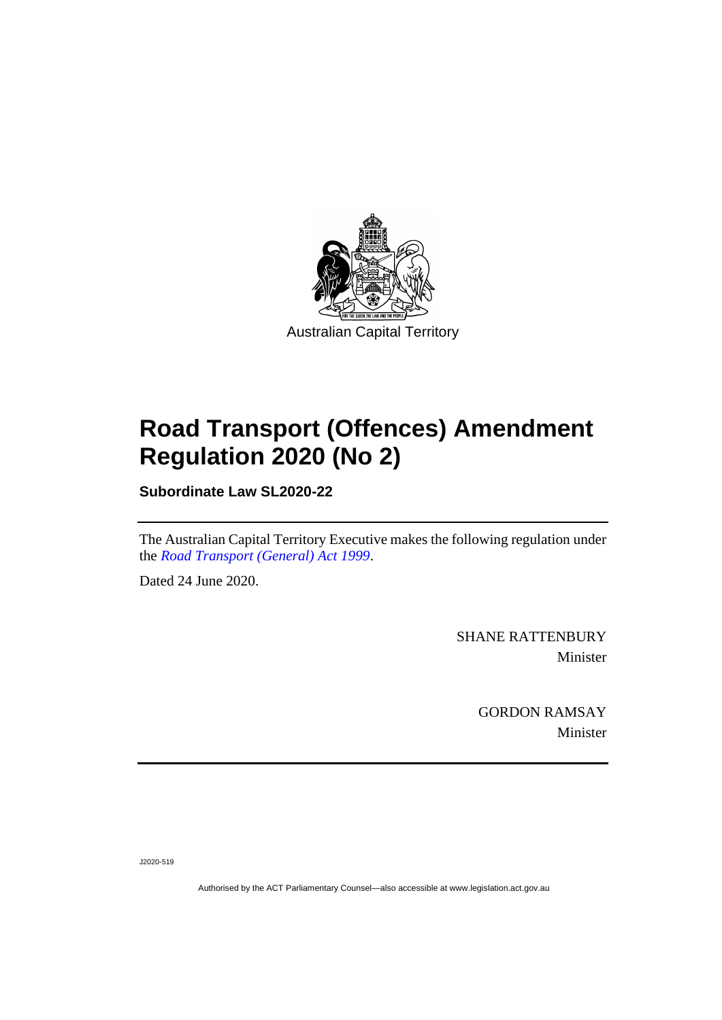

# **Road Transport (Offences) Amendment Regulation 2020 (No 2)**

**Subordinate Law SL2020-22**

The Australian Capital Territory Executive makes the following regulation under the *[Road Transport \(General\) Act 1999](http://www.legislation.act.gov.au/a/1999-77)*.

Dated 24 June 2020.

SHANE RATTENBURY Minister

> GORDON RAMSAY Minister

J2020-519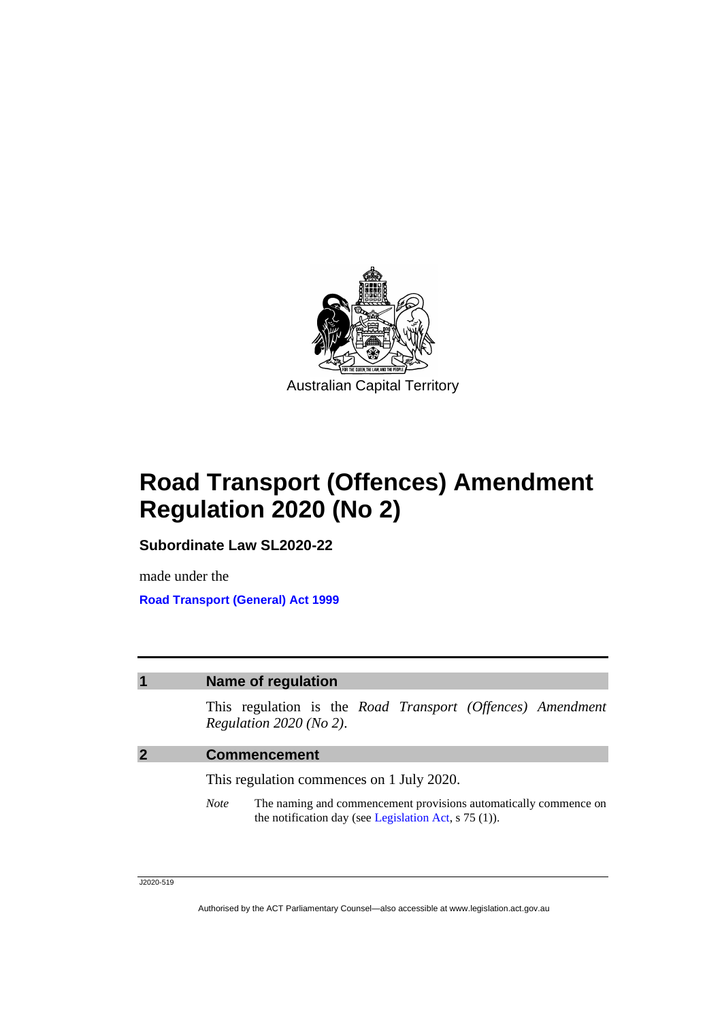

# **Road Transport (Offences) Amendment Regulation 2020 (No 2)**

**Subordinate Law SL2020-22**

made under the **[Road Transport \(General\) Act 1999](http://www.legislation.act.gov.au/a/1999-77)**

### **1 Name of regulation**

This regulation is the *Road Transport (Offences) Amendment Regulation 2020 (No 2)*.

#### **2 Commencement**

This regulation commences on 1 July 2020.

*Note* The naming and commencement provisions automatically commence on the notification day (see [Legislation Act,](http://www.legislation.act.gov.au/a/2001-14) s 75 (1)).

J2020-519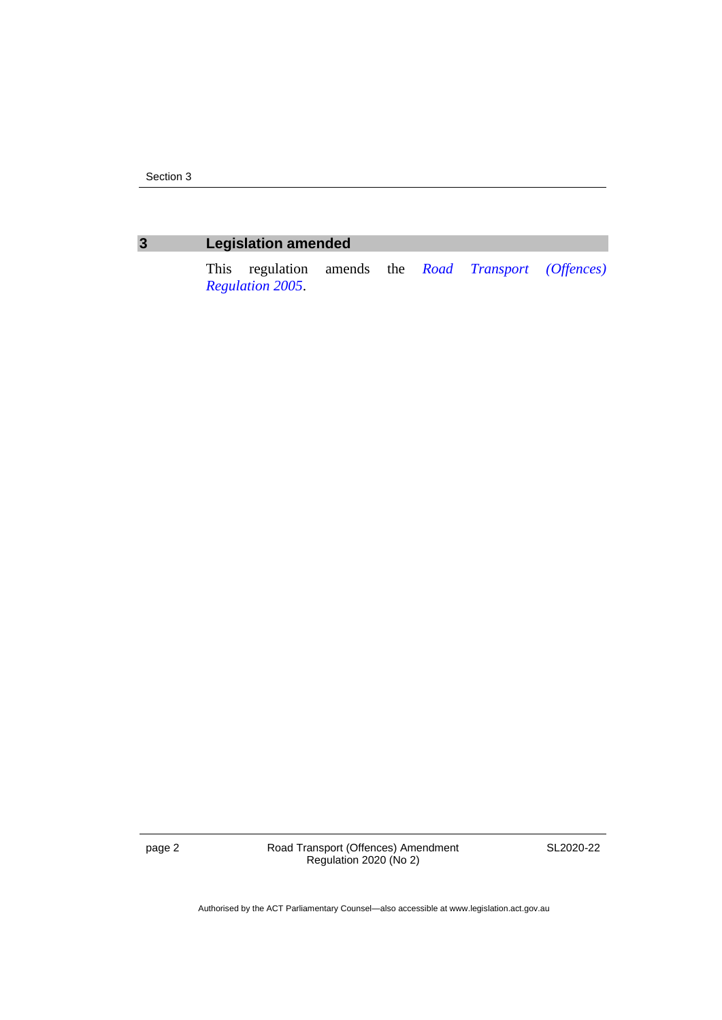### **3 Legislation amended**

This regulation amends the *[Road Transport \(Offences\)](http://www.legislation.act.gov.au/sl/2005-11)  [Regulation](http://www.legislation.act.gov.au/sl/2005-11) 2005*.

page 2 Road Transport (Offences) Amendment Regulation 2020 (No 2)

SL2020-22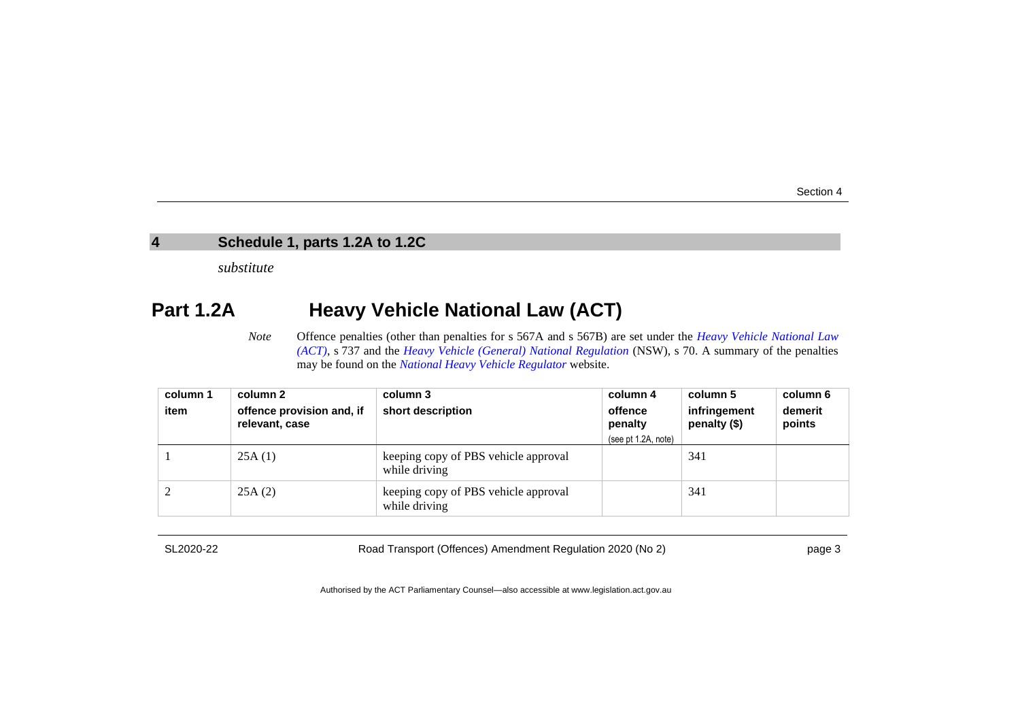### **4 Schedule 1, parts 1.2A to 1.2C**

*substitute*

## **Part 1.2A Heavy Vehicle National Law (ACT)**

*Note* Offence penalties (other than penalties for s 567A and s 567B) are set under the *[Heavy Vehicle National Law](http://www.legislation.act.gov.au/a/db_49155/default.asp)  [\(ACT\)](http://www.legislation.act.gov.au/a/db_49155/default.asp)*, s 737 and the *[Heavy Vehicle \(General\) National Regulation](https://www.legislation.nsw.gov.au/#/browse/inForce/regulations/H)* (NSW), s 70. A summary of the penalties may be found on the *[National Heavy Vehicle Regulator](https://www.nhvr.gov.au/law-policies/penalties-and-infringements)* website.

| column 1 | column 2                                    | column 3                                              | column 4                                  | column 5                     | column 6          |
|----------|---------------------------------------------|-------------------------------------------------------|-------------------------------------------|------------------------------|-------------------|
| item     | offence provision and, if<br>relevant, case | short description                                     | offence<br>penalty<br>(see pt 1.2A, note) | infringement<br>penalty (\$) | demerit<br>points |
|          | 25A(1)                                      | keeping copy of PBS vehicle approval<br>while driving |                                           | 341                          |                   |
|          | 25A(2)                                      | keeping copy of PBS vehicle approval<br>while driving |                                           | 341                          |                   |

SL2020-22

Road Transport (Offences) Amendment Regulation 2020 (No 2)

page 3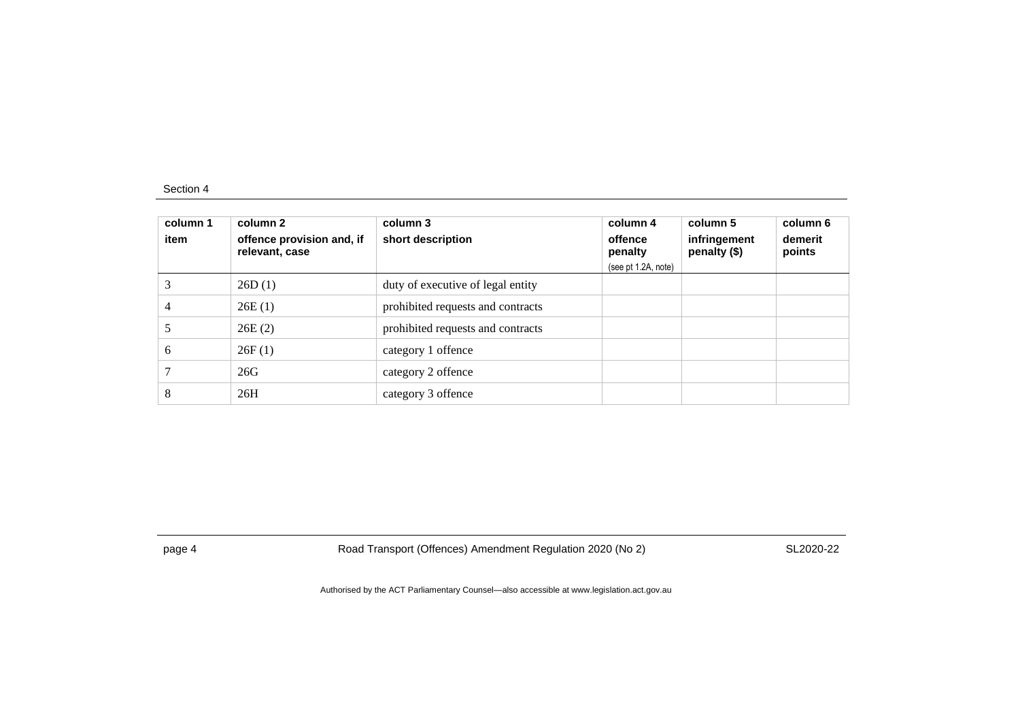| column 1<br>item | column 2<br>offence provision and, if<br>relevant, case | column 3<br>short description     | column 4<br>offence<br>penalty<br>(see pt 1.2A, note) | column 5<br>infringement<br>penalty (\$) | column 6<br>demerit<br>points |
|------------------|---------------------------------------------------------|-----------------------------------|-------------------------------------------------------|------------------------------------------|-------------------------------|
|                  | 26D(1)                                                  | duty of executive of legal entity |                                                       |                                          |                               |
| 4                | 26E(1)                                                  | prohibited requests and contracts |                                                       |                                          |                               |
|                  | 26E(2)                                                  | prohibited requests and contracts |                                                       |                                          |                               |
| 6                | 26F(1)                                                  | category 1 offence                |                                                       |                                          |                               |
|                  | 26G                                                     | category 2 offence                |                                                       |                                          |                               |
| 8                | 26H                                                     | category 3 offence                |                                                       |                                          |                               |

page 4 Road Transport (Offences) Amendment Regulation 2020 (No 2)

SL2020-22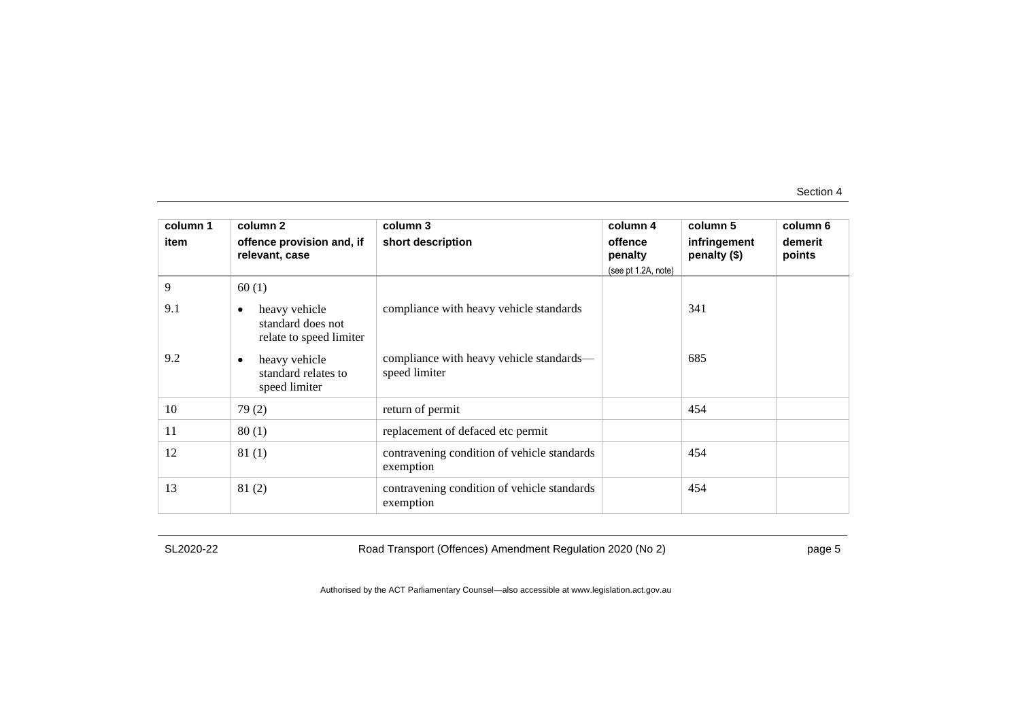| column 1 | column 2                                                                   | column 3                                                  | column 4            | column 5                     | column 6          |
|----------|----------------------------------------------------------------------------|-----------------------------------------------------------|---------------------|------------------------------|-------------------|
| item     | offence provision and, if<br>relevant, case                                | short description                                         | offence<br>penalty  | infringement<br>penalty (\$) | demerit<br>points |
|          |                                                                            |                                                           | (see pt 1.2A, note) |                              |                   |
| 9        | 60(1)                                                                      |                                                           |                     |                              |                   |
| 9.1      | heavy vehicle<br>$\bullet$<br>standard does not<br>relate to speed limiter | compliance with heavy vehicle standards                   |                     | 341                          |                   |
| 9.2      | heavy vehicle<br>$\bullet$<br>standard relates to<br>speed limiter         | compliance with heavy vehicle standards—<br>speed limiter |                     | 685                          |                   |
| 10       | 79(2)                                                                      | return of permit                                          |                     | 454                          |                   |
| 11       | 80(1)                                                                      | replacement of defaced etc permit                         |                     |                              |                   |
| 12       | 81(1)                                                                      | contravening condition of vehicle standards<br>exemption  |                     | 454                          |                   |
| 13       | 81(2)                                                                      | contravening condition of vehicle standards<br>exemption  |                     | 454                          |                   |

SL2020-22

Road Transport (Offences) Amendment Regulation 2020 (No 2)

page 5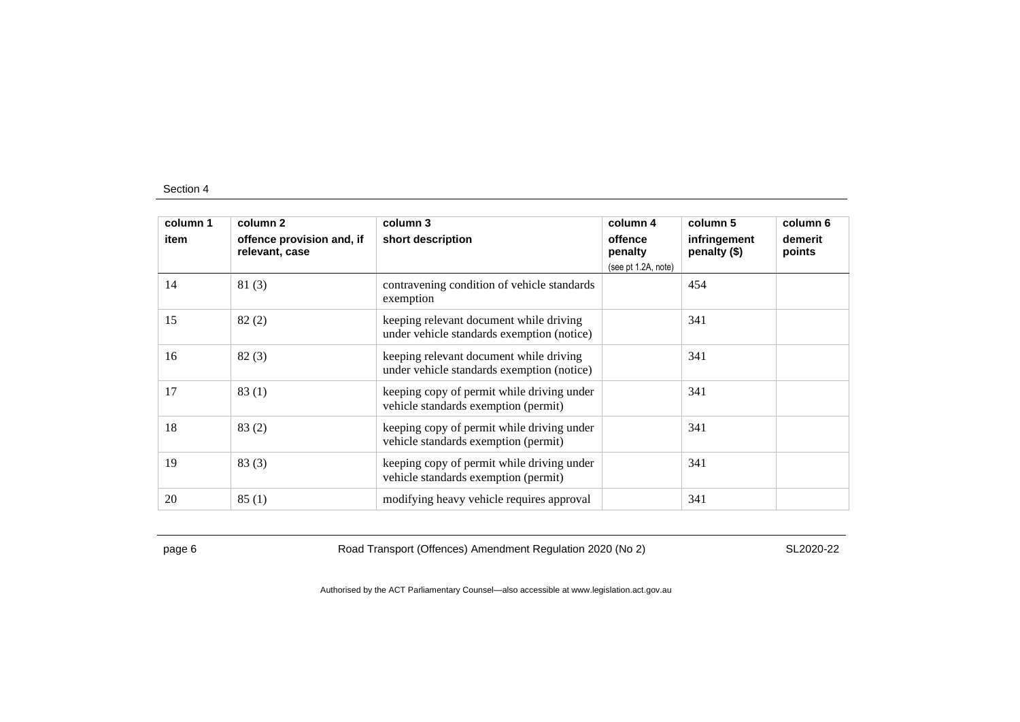| column 1 | column <sub>2</sub>                         | column 3                                                                              | column 4                                  | column 5                     | column 6          |
|----------|---------------------------------------------|---------------------------------------------------------------------------------------|-------------------------------------------|------------------------------|-------------------|
| item     | offence provision and, if<br>relevant, case | short description                                                                     | offence<br>penalty<br>(see pt 1.2A, note) | infringement<br>penalty (\$) | demerit<br>points |
| 14       | 81(3)                                       | contravening condition of vehicle standards<br>exemption                              |                                           | 454                          |                   |
| 15       | 82(2)                                       | keeping relevant document while driving<br>under vehicle standards exemption (notice) |                                           | 341                          |                   |
| 16       | 82(3)                                       | keeping relevant document while driving<br>under vehicle standards exemption (notice) |                                           | 341                          |                   |
| 17       | 83(1)                                       | keeping copy of permit while driving under<br>vehicle standards exemption (permit)    |                                           | 341                          |                   |
| 18       | 83(2)                                       | keeping copy of permit while driving under<br>vehicle standards exemption (permit)    |                                           | 341                          |                   |
| 19       | 83(3)                                       | keeping copy of permit while driving under<br>vehicle standards exemption (permit)    |                                           | 341                          |                   |
| 20       | 85(1)                                       | modifying heavy vehicle requires approval                                             |                                           | 341                          |                   |

page 6 Road Transport (Offences) Amendment Regulation 2020 (No 2)

SL2020-22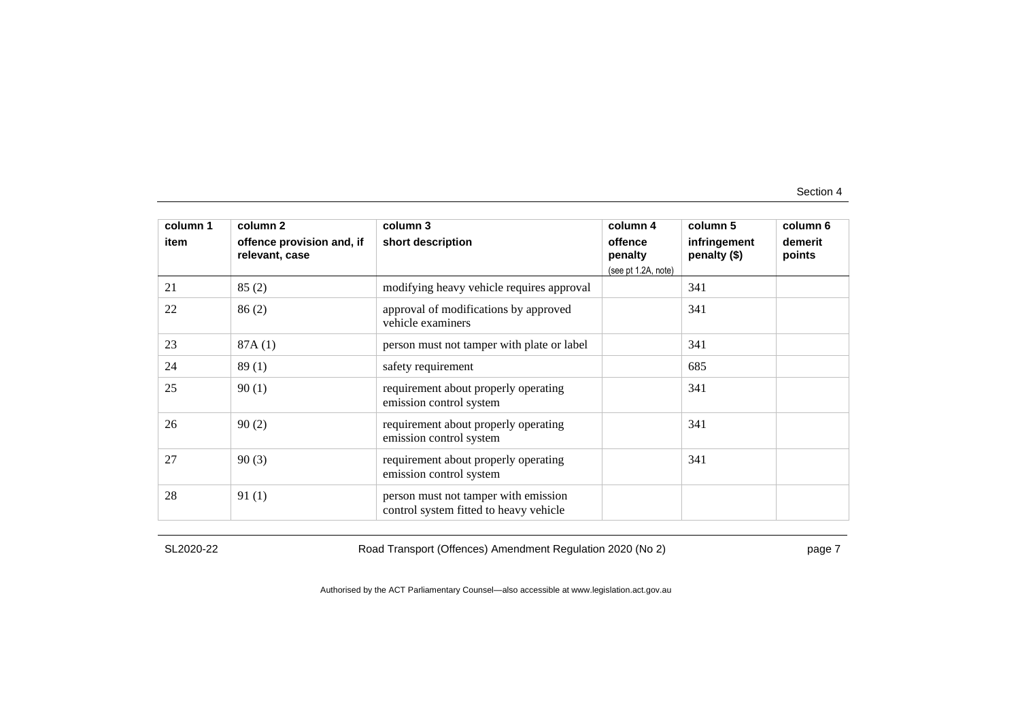| column 1<br>item | column 2<br>offence provision and, if<br>relevant, case | column 3<br>short description                                                  | column 4<br>offence<br>penalty<br>(see pt 1.2A, note) | column 5<br>infringement<br>penalty (\$) | column 6<br>demerit<br>points |
|------------------|---------------------------------------------------------|--------------------------------------------------------------------------------|-------------------------------------------------------|------------------------------------------|-------------------------------|
| 21               | 85(2)                                                   | modifying heavy vehicle requires approval                                      |                                                       | 341                                      |                               |
| 22               | 86(2)                                                   | approval of modifications by approved<br>vehicle examiners                     |                                                       | 341                                      |                               |
| 23               | 87A(1)                                                  | person must not tamper with plate or label                                     |                                                       | 341                                      |                               |
| 24               | 89(1)                                                   | safety requirement                                                             |                                                       | 685                                      |                               |
| 25               | 90(1)                                                   | requirement about properly operating<br>emission control system                |                                                       | 341                                      |                               |
| 26               | 90(2)                                                   | requirement about properly operating<br>emission control system                |                                                       | 341                                      |                               |
| 27               | 90(3)                                                   | requirement about properly operating<br>emission control system                |                                                       | 341                                      |                               |
| 28               | 91(1)                                                   | person must not tamper with emission<br>control system fitted to heavy vehicle |                                                       |                                          |                               |

SL2020-22

Road Transport (Offences) Amendment Regulation 2020 (No 2)

page 7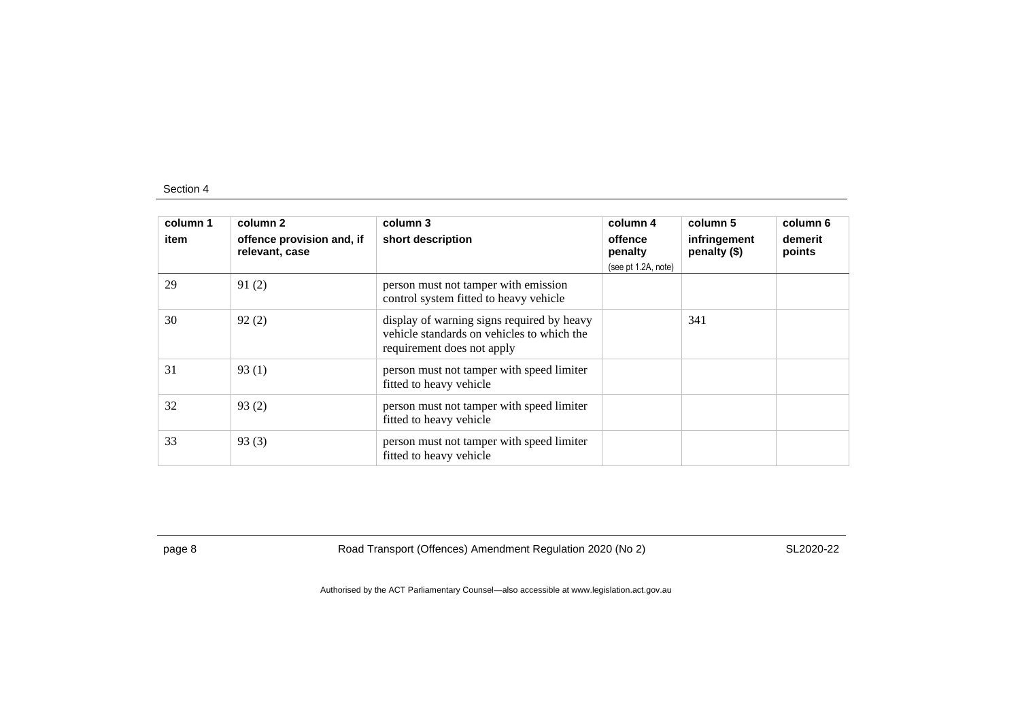| column 1<br>item | column 2<br>offence provision and, if<br>relevant, case | column 3<br>short description                                                                                          | column 4<br>offence<br>penalty<br>(see pt 1.2A, note) | column 5<br>infringement<br>penalty (\$) | column 6<br>demerit<br>points |
|------------------|---------------------------------------------------------|------------------------------------------------------------------------------------------------------------------------|-------------------------------------------------------|------------------------------------------|-------------------------------|
| 29               | 91(2)                                                   | person must not tamper with emission<br>control system fitted to heavy vehicle                                         |                                                       |                                          |                               |
| 30               | 92(2)                                                   | display of warning signs required by heavy<br>vehicle standards on vehicles to which the<br>requirement does not apply |                                                       | 341                                      |                               |
| 31               | 93(1)                                                   | person must not tamper with speed limiter<br>fitted to heavy vehicle                                                   |                                                       |                                          |                               |
| 32               | 93(2)                                                   | person must not tamper with speed limiter<br>fitted to heavy vehicle                                                   |                                                       |                                          |                               |
| 33               | 93(3)                                                   | person must not tamper with speed limiter<br>fitted to heavy vehicle                                                   |                                                       |                                          |                               |

page 8 Road Transport (Offences) Amendment Regulation 2020 (No 2)

SL2020-22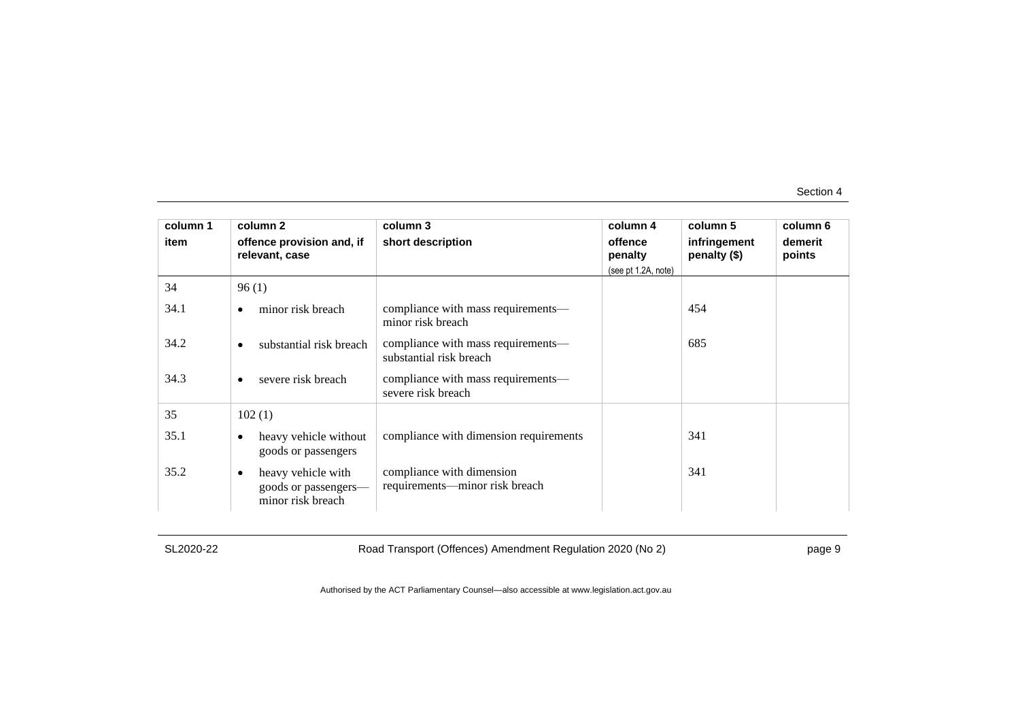| column 1 | column <sub>2</sub>                                                          | column 3                                                      | column 4            | column 5                     | column 6          |
|----------|------------------------------------------------------------------------------|---------------------------------------------------------------|---------------------|------------------------------|-------------------|
| item     | offence provision and, if<br>relevant, case                                  | short description                                             | offence<br>penalty  | infringement<br>penalty (\$) | demerit<br>points |
|          |                                                                              |                                                               | (see pt 1.2A, note) |                              |                   |
| 34       | 96(1)                                                                        |                                                               |                     |                              |                   |
| 34.1     | minor risk breach<br>$\bullet$                                               | compliance with mass requirements—<br>minor risk breach       |                     | 454                          |                   |
| 34.2     | substantial risk breach<br>$\bullet$                                         | compliance with mass requirements—<br>substantial risk breach |                     | 685                          |                   |
| 34.3     | severe risk breach<br>$\bullet$                                              | compliance with mass requirements—<br>severe risk breach      |                     |                              |                   |
| 35       | 102(1)                                                                       |                                                               |                     |                              |                   |
| 35.1     | heavy vehicle without<br>$\bullet$<br>goods or passengers                    | compliance with dimension requirements                        |                     | 341                          |                   |
| 35.2     | heavy vehicle with<br>$\bullet$<br>goods or passengers-<br>minor risk breach | compliance with dimension<br>requirements—minor risk breach   |                     | 341                          |                   |

SL2020-22

Road Transport (Offences) Amendment Regulation 2020 (No 2)

page 9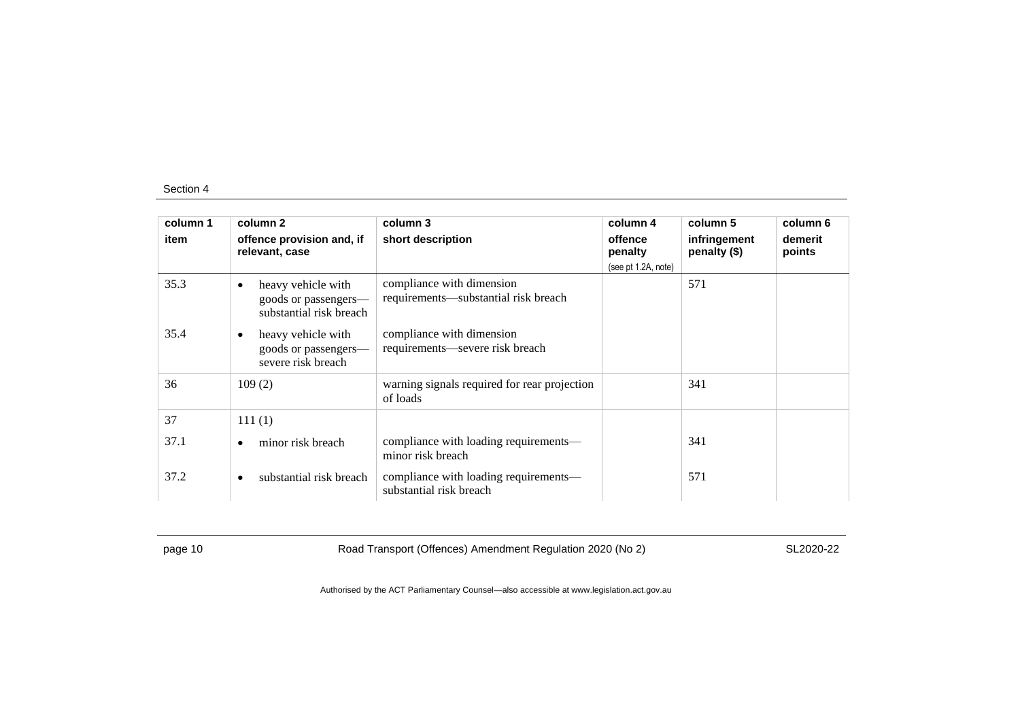| column 1 | column 2                                                                           | column 3                                                          | column 4            | column 5                     | column 6          |
|----------|------------------------------------------------------------------------------------|-------------------------------------------------------------------|---------------------|------------------------------|-------------------|
| item     | offence provision and, if<br>relevant, case                                        | short description                                                 | offence<br>penalty  | infringement<br>penalty (\$) | demerit<br>points |
|          |                                                                                    |                                                                   | (see pt 1.2A, note) |                              |                   |
| 35.3     | heavy vehicle with<br>$\bullet$<br>goods or passengers—<br>substantial risk breach | compliance with dimension<br>requirements—substantial risk breach |                     | 571                          |                   |
| 35.4     | heavy vehicle with<br>$\bullet$<br>goods or passengers-<br>severe risk breach      | compliance with dimension<br>requirements—severe risk breach      |                     |                              |                   |
| 36       | 109(2)                                                                             | warning signals required for rear projection<br>of loads          |                     | 341                          |                   |
| 37       | 111(1)                                                                             |                                                                   |                     |                              |                   |
| 37.1     | minor risk breach<br>٠                                                             | compliance with loading requirements—<br>minor risk breach        |                     | 341                          |                   |
| 37.2     | substantial risk breach<br>$\bullet$                                               | compliance with loading requirements—<br>substantial risk breach  |                     | 571                          |                   |

page 10 Road Transport (Offences) Amendment Regulation 2020 (No 2)

SL2020-22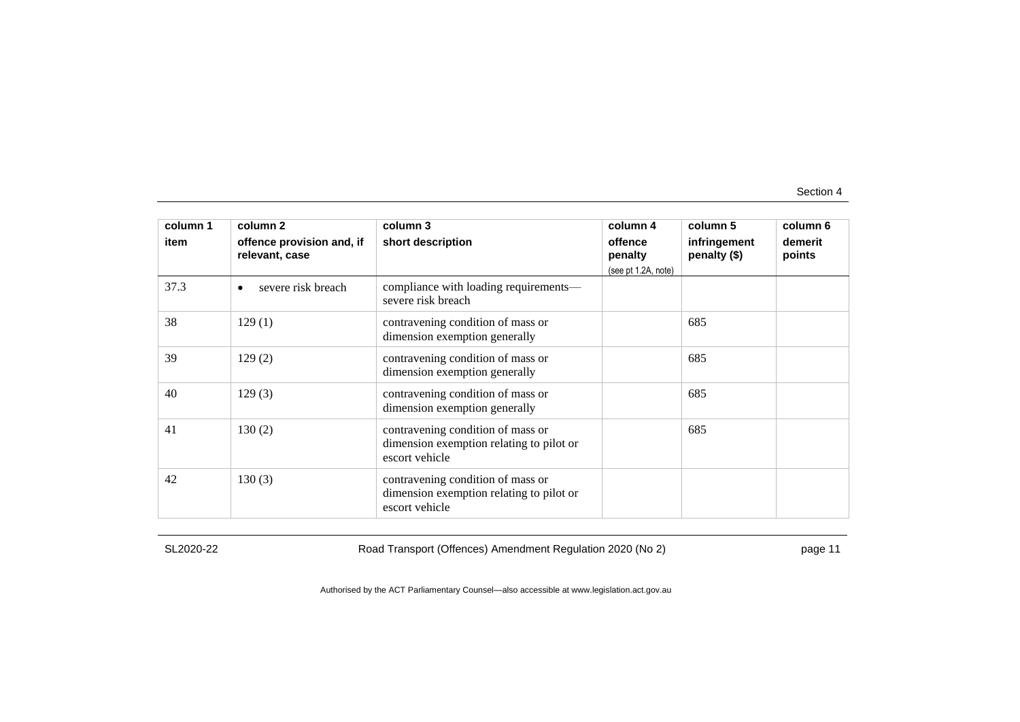| column 1<br>item | column 2<br>offence provision and, if<br>relevant, case | column 3<br>short description                                                                   | column 4<br>offence<br>penalty<br>(see pt 1.2A, note) | column 5<br>infringement<br>penalty (\$) | column 6<br>demerit<br>points |
|------------------|---------------------------------------------------------|-------------------------------------------------------------------------------------------------|-------------------------------------------------------|------------------------------------------|-------------------------------|
| 37.3             | severe risk breach<br>٠                                 | compliance with loading requirements—<br>severe risk breach                                     |                                                       |                                          |                               |
| 38               | 129(1)                                                  | contravening condition of mass or<br>dimension exemption generally                              |                                                       | 685                                      |                               |
| 39               | 129(2)                                                  | contravening condition of mass or<br>dimension exemption generally                              |                                                       | 685                                      |                               |
| 40               | 129(3)                                                  | contravening condition of mass or<br>dimension exemption generally                              |                                                       | 685                                      |                               |
| 41               | 130(2)                                                  | contravening condition of mass or<br>dimension exemption relating to pilot or<br>escort vehicle |                                                       | 685                                      |                               |
| 42               | 130(3)                                                  | contravening condition of mass or<br>dimension exemption relating to pilot or<br>escort vehicle |                                                       |                                          |                               |

SL2020-22

Road Transport (Offences) Amendment Regulation 2020 (No 2)

page 11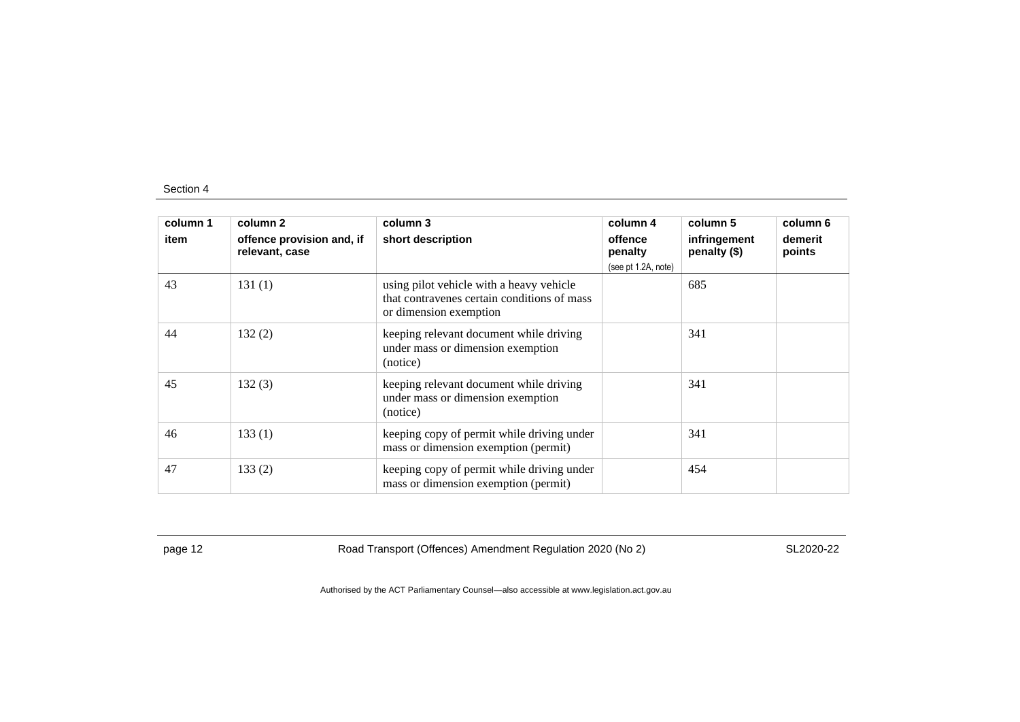| column 1 | column 2                                    | column 3                                                                                                          | column 4            | column 5                     | column 6          |
|----------|---------------------------------------------|-------------------------------------------------------------------------------------------------------------------|---------------------|------------------------------|-------------------|
| item     | offence provision and, if<br>relevant, case | short description                                                                                                 | offence<br>penalty  | infringement<br>penalty (\$) | demerit<br>points |
|          |                                             |                                                                                                                   | (see pt 1.2A, note) |                              |                   |
| 43       | 131(1)                                      | using pilot vehicle with a heavy vehicle<br>that contravenes certain conditions of mass<br>or dimension exemption |                     | 685                          |                   |
| 44       | 132(2)                                      | keeping relevant document while driving<br>under mass or dimension exemption<br>(notice)                          |                     | 341                          |                   |
| 45       | 132(3)                                      | keeping relevant document while driving<br>under mass or dimension exemption<br>(notice)                          |                     | 341                          |                   |
| 46       | 133(1)                                      | keeping copy of permit while driving under<br>mass or dimension exemption (permit)                                |                     | 341                          |                   |
| 47       | 133(2)                                      | keeping copy of permit while driving under<br>mass or dimension exemption (permit)                                |                     | 454                          |                   |

page 12 Road Transport (Offences) Amendment Regulation 2020 (No 2)

SL2020-22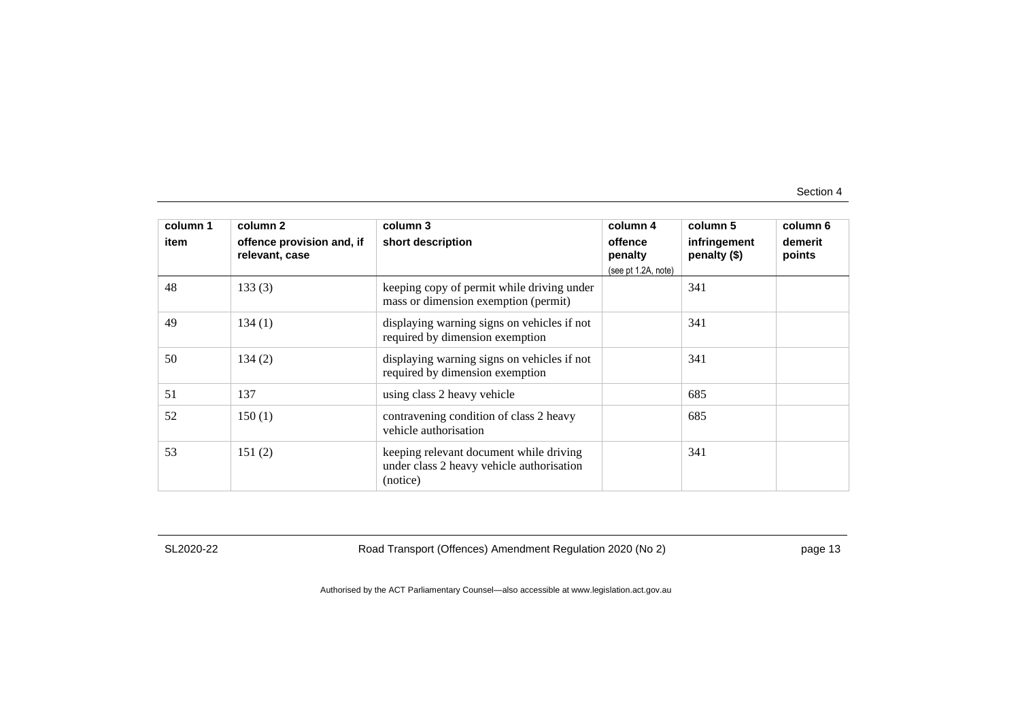| column 1<br>item | column 2<br>offence provision and, if<br>relevant, case | column 3<br>short description                                                                    | column 4<br>offence<br>penalty<br>(see pt 1.2A, note) | column 5<br>infringement<br>penalty (\$) | column 6<br>demerit<br>points |
|------------------|---------------------------------------------------------|--------------------------------------------------------------------------------------------------|-------------------------------------------------------|------------------------------------------|-------------------------------|
| 48               | 133(3)                                                  | keeping copy of permit while driving under<br>mass or dimension exemption (permit)               |                                                       | 341                                      |                               |
| 49               | 134(1)                                                  | displaying warning signs on vehicles if not<br>required by dimension exemption                   |                                                       | 341                                      |                               |
| 50               | 134(2)                                                  | displaying warning signs on vehicles if not<br>required by dimension exemption                   |                                                       | 341                                      |                               |
| 51               | 137                                                     | using class 2 heavy vehicle                                                                      |                                                       | 685                                      |                               |
| 52               | 150(1)                                                  | contravening condition of class 2 heavy<br>vehicle authorisation                                 |                                                       | 685                                      |                               |
| 53               | 151(2)                                                  | keeping relevant document while driving<br>under class 2 heavy vehicle authorisation<br>(notice) |                                                       | 341                                      |                               |

SL2020-22

Road Transport (Offences) Amendment Regulation 2020 (No 2)

page 13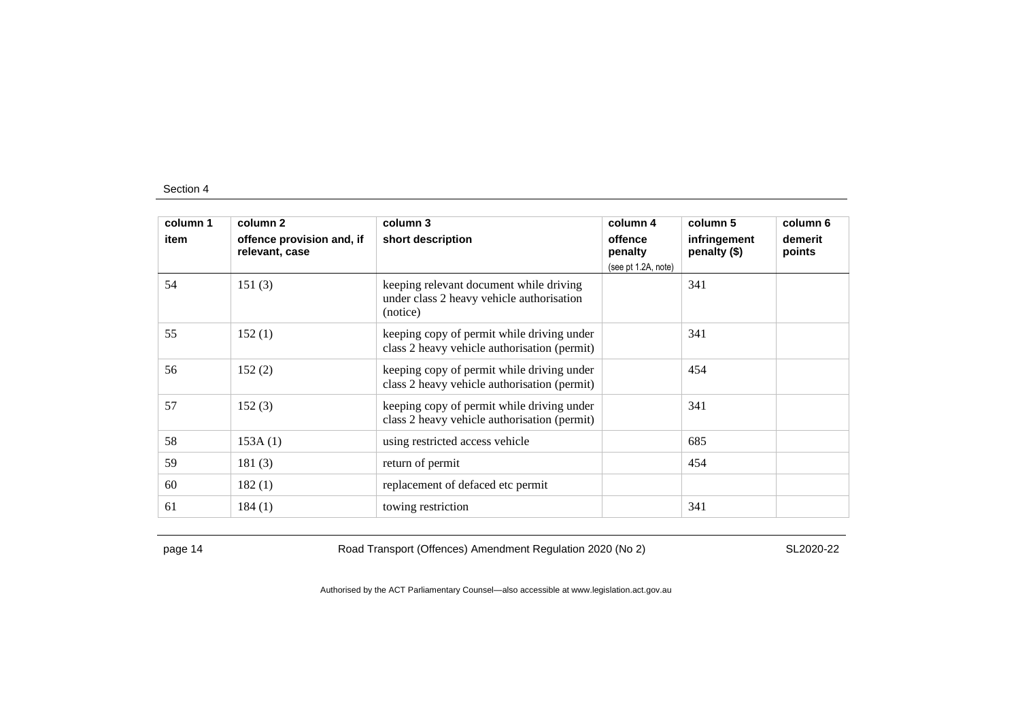| column 1 | column 2                                    | column 3                                                                                         | column 4            | column 5                     | column 6          |
|----------|---------------------------------------------|--------------------------------------------------------------------------------------------------|---------------------|------------------------------|-------------------|
| item     | offence provision and, if<br>relevant, case | short description                                                                                | offence<br>penalty  | infringement<br>penalty (\$) | demerit<br>points |
|          |                                             |                                                                                                  | (see pt 1.2A, note) |                              |                   |
| 54       | 151(3)                                      | keeping relevant document while driving<br>under class 2 heavy vehicle authorisation<br>(notice) |                     | 341                          |                   |
| 55       | 152(1)                                      | keeping copy of permit while driving under<br>class 2 heavy vehicle authorisation (permit)       |                     | 341                          |                   |
| 56       | 152(2)                                      | keeping copy of permit while driving under<br>class 2 heavy vehicle authorisation (permit)       |                     | 454                          |                   |
| 57       | 152(3)                                      | keeping copy of permit while driving under<br>class 2 heavy vehicle authorisation (permit)       |                     | 341                          |                   |
| 58       | 153A(1)                                     | using restricted access vehicle                                                                  |                     | 685                          |                   |
| 59       | 181(3)                                      | return of permit                                                                                 |                     | 454                          |                   |
| 60       | 182(1)                                      | replacement of defaced etc permit                                                                |                     |                              |                   |
| 61       | 184(1)                                      | towing restriction                                                                               |                     | 341                          |                   |

page 14 Road Transport (Offences) Amendment Regulation 2020 (No 2)

SL2020-22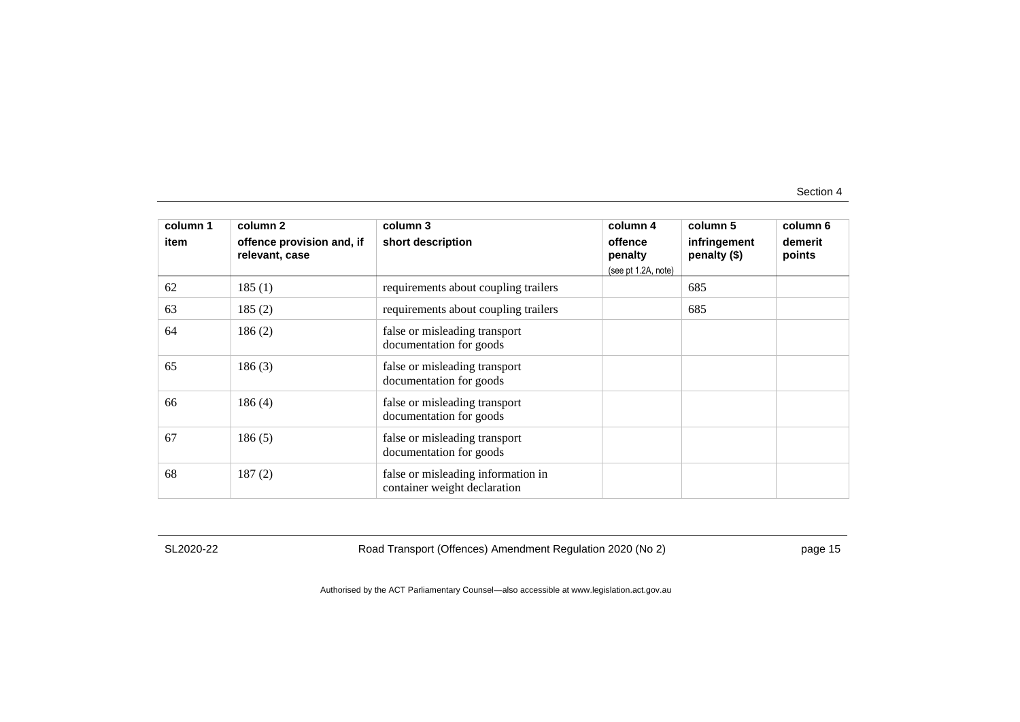| column 1<br>item | column 2<br>offence provision and, if<br>relevant, case | column 3<br>short description                                      | column 4<br>offence<br>penalty<br>(see pt 1.2A, note) | column 5<br>infringement<br>penalty (\$) | column 6<br>demerit<br>points |
|------------------|---------------------------------------------------------|--------------------------------------------------------------------|-------------------------------------------------------|------------------------------------------|-------------------------------|
| 62               | 185(1)                                                  | requirements about coupling trailers                               |                                                       | 685                                      |                               |
| 63               | 185(2)                                                  | requirements about coupling trailers                               |                                                       | 685                                      |                               |
| 64               | 186(2)                                                  | false or misleading transport<br>documentation for goods           |                                                       |                                          |                               |
| 65               | 186(3)                                                  | false or misleading transport<br>documentation for goods           |                                                       |                                          |                               |
| 66               | 186(4)                                                  | false or misleading transport<br>documentation for goods           |                                                       |                                          |                               |
| 67               | 186(5)                                                  | false or misleading transport<br>documentation for goods           |                                                       |                                          |                               |
| 68               | 187(2)                                                  | false or misleading information in<br>container weight declaration |                                                       |                                          |                               |

SL2020-22

Road Transport (Offences) Amendment Regulation 2020 (No 2)

page 15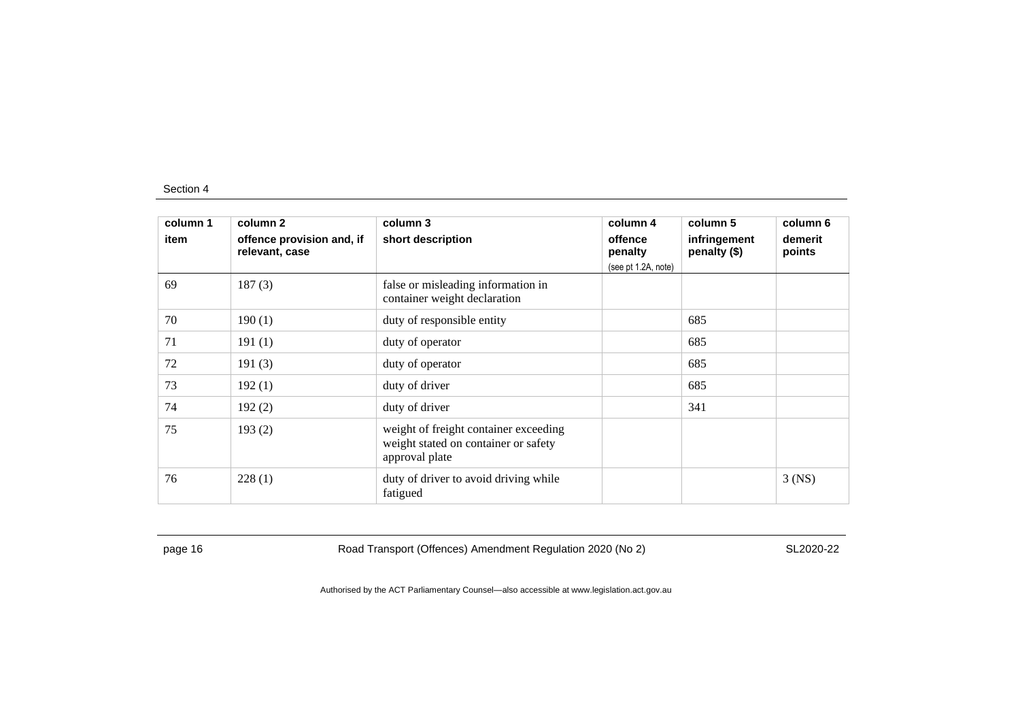| column 1 | column 2                                    | column 3                                                                                        | column 4                                  | column 5                     | column 6          |
|----------|---------------------------------------------|-------------------------------------------------------------------------------------------------|-------------------------------------------|------------------------------|-------------------|
| item     | offence provision and, if<br>relevant, case | short description                                                                               | offence<br>penalty<br>(see pt 1.2A, note) | infringement<br>penalty (\$) | demerit<br>points |
| 69       | 187(3)                                      | false or misleading information in<br>container weight declaration                              |                                           |                              |                   |
| 70       | 190(1)                                      | duty of responsible entity                                                                      |                                           | 685                          |                   |
| 71       | 191(1)                                      | duty of operator                                                                                |                                           | 685                          |                   |
| 72       | 191(3)                                      | duty of operator                                                                                |                                           | 685                          |                   |
| 73       | 192(1)                                      | duty of driver                                                                                  |                                           | 685                          |                   |
| 74       | 192(2)                                      | duty of driver                                                                                  |                                           | 341                          |                   |
| 75       | 193(2)                                      | weight of freight container exceeding<br>weight stated on container or safety<br>approval plate |                                           |                              |                   |
| 76       | 228(1)                                      | duty of driver to avoid driving while<br>fatigued                                               |                                           |                              | $3$ (NS)          |

page 16 **Road Transport (Offences) Amendment Regulation 2020 (No 2)** 

SL2020-22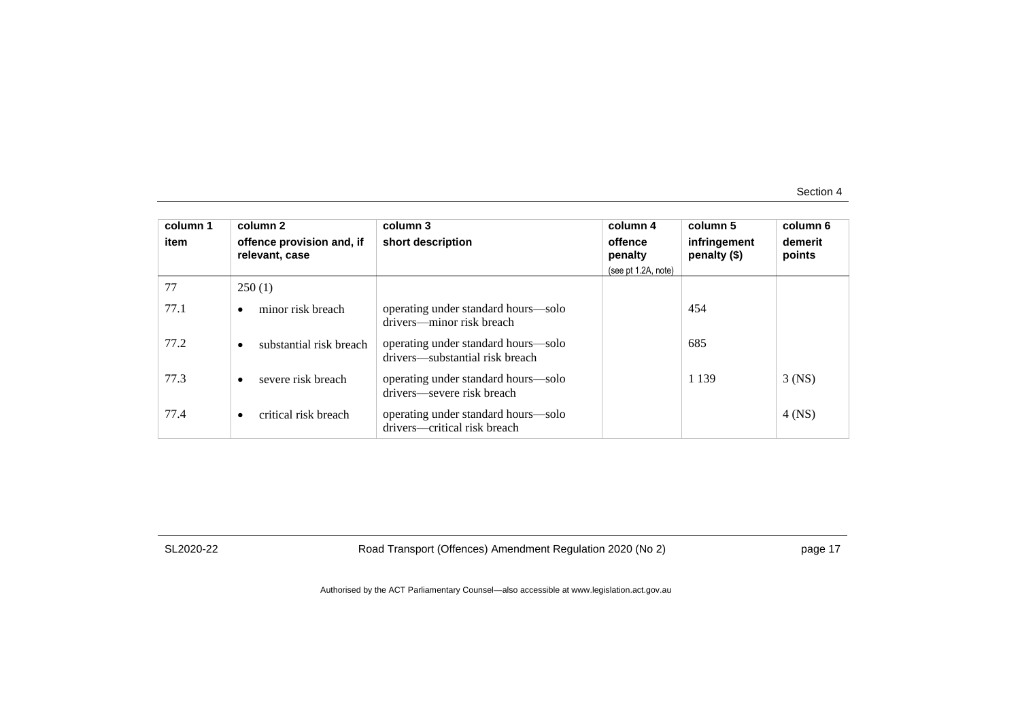| column 1<br>item | column 2<br>offence provision and, if<br>relevant, case | column 3<br>short description                                          | column 4<br>offence<br>penalty<br>(see pt 1.2A, note) | column 5<br>infringement<br>penalty (\$) | column 6<br>demerit<br>points |
|------------------|---------------------------------------------------------|------------------------------------------------------------------------|-------------------------------------------------------|------------------------------------------|-------------------------------|
| 77               | 250(1)                                                  |                                                                        |                                                       |                                          |                               |
| 77.1             | minor risk breach                                       | operating under standard hours—solo<br>drivers—minor risk breach       |                                                       | 454                                      |                               |
| 77.2             | substantial risk breach                                 | operating under standard hours—solo<br>drivers—substantial risk breach |                                                       | 685                                      |                               |
| 77.3             | severe risk breach                                      | operating under standard hours—solo<br>drivers—severe risk breach      |                                                       | 1 1 3 9                                  | $3$ (NS)                      |
| 77.4             | critical risk breach<br>$\bullet$                       | operating under standard hours—solo<br>drivers—critical risk breach    |                                                       |                                          | $4$ (NS)                      |

SL2020-22

Road Transport (Offences) Amendment Regulation 2020 (No 2)

page 17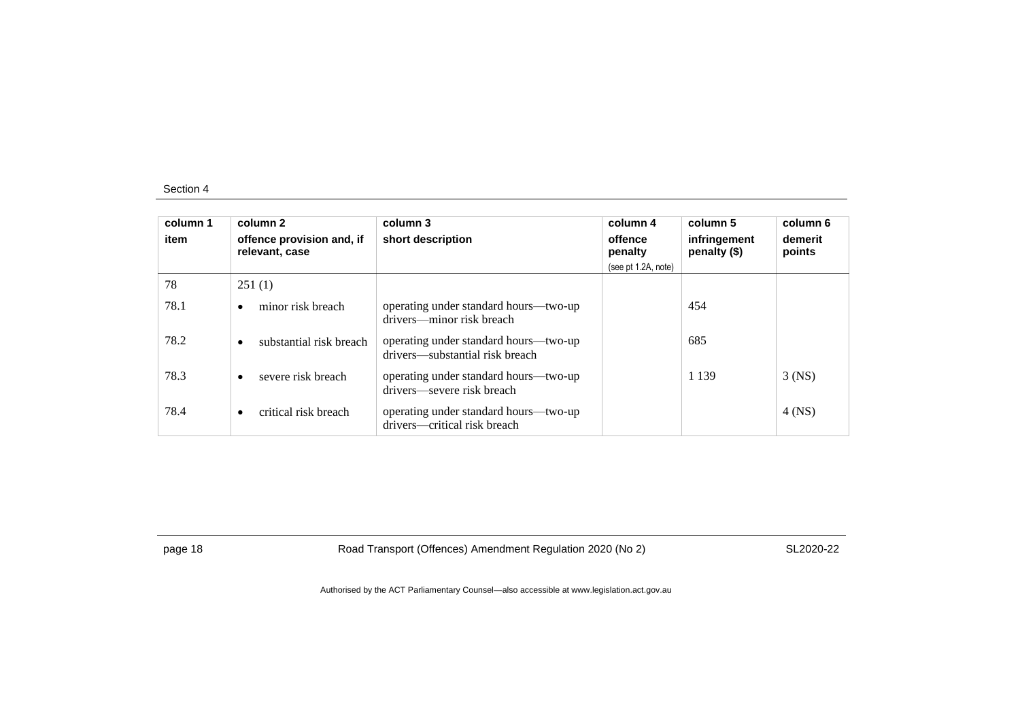| column 1<br>item | column 2<br>offence provision and, if<br>relevant, case | column 3<br>short description                                            | column 4<br>offence<br>penalty<br>(see pt 1.2A, note) | column 5<br>infringement<br>penalty (\$) | column 6<br>demerit<br>points |
|------------------|---------------------------------------------------------|--------------------------------------------------------------------------|-------------------------------------------------------|------------------------------------------|-------------------------------|
| 78               | 251(1)                                                  |                                                                          |                                                       |                                          |                               |
| 78.1             | minor risk breach<br>$\bullet$                          | operating under standard hours—two-up<br>drivers—minor risk breach       |                                                       | 454                                      |                               |
| 78.2             | substantial risk breach<br>$\bullet$                    | operating under standard hours—two-up<br>drivers—substantial risk breach |                                                       | 685                                      |                               |
| 78.3             | severe risk breach<br>$\bullet$                         | operating under standard hours—two-up<br>drivers—severe risk breach      |                                                       | 1 1 3 9                                  | $3$ (NS)                      |
| 78.4             | critical risk breach<br>$\bullet$                       | operating under standard hours—two-up<br>drivers—critical risk breach    |                                                       |                                          | 4 (NS)                        |

page 18 Road Transport (Offences) Amendment Regulation 2020 (No 2)

SL2020-22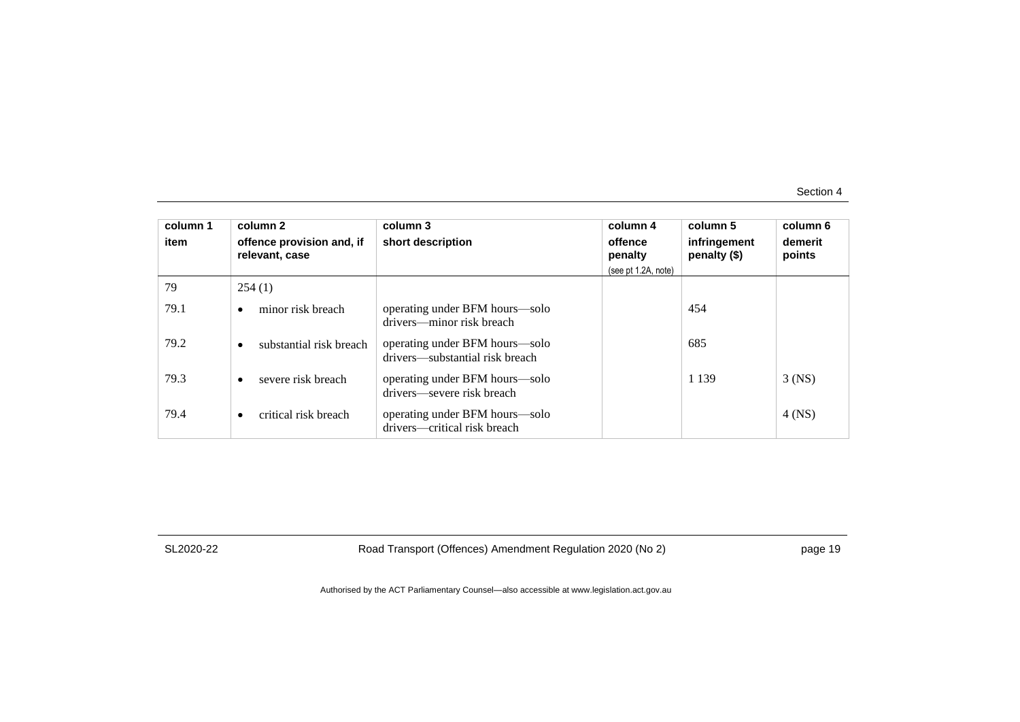| column 1<br>item | column 2<br>offence provision and, if<br>relevant, case | column 3<br>short description                                     | column 4<br>offence<br>penalty<br>(see pt 1.2A, note) | column 5<br>infringement<br>penalty (\$) | column 6<br>demerit<br>points |
|------------------|---------------------------------------------------------|-------------------------------------------------------------------|-------------------------------------------------------|------------------------------------------|-------------------------------|
| 79               | 254(1)                                                  |                                                                   |                                                       |                                          |                               |
| 79.1             | minor risk breach                                       | operating under BFM hours—solo<br>drivers—minor risk breach       |                                                       | 454                                      |                               |
| 79.2             | substantial risk breach<br>$\bullet$                    | operating under BFM hours—solo<br>drivers—substantial risk breach |                                                       | 685                                      |                               |
| 79.3             | severe risk breach<br>$\bullet$                         | operating under BFM hours—solo<br>drivers—severe risk breach      |                                                       | 1 1 3 9                                  | $3$ (NS)                      |
| 79.4             | critical risk breach<br>$\bullet$                       | operating under BFM hours—solo<br>drivers—critical risk breach    |                                                       |                                          | 4 (NS)                        |

SL2020-22

Road Transport (Offences) Amendment Regulation 2020 (No 2)

page 19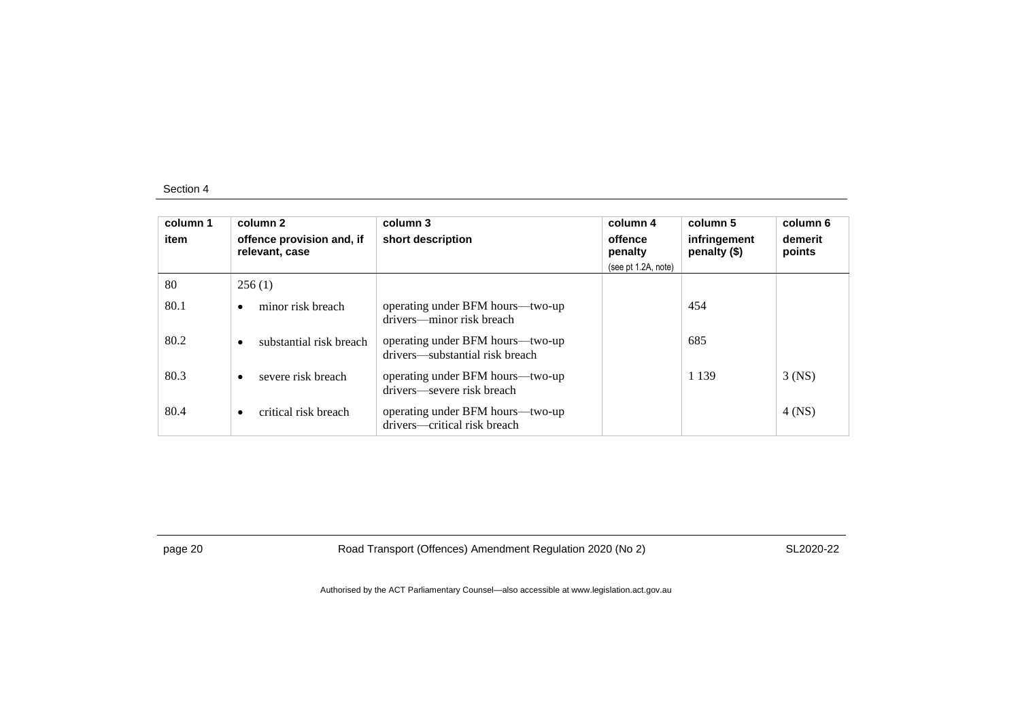| column 1<br>item | column 2<br>offence provision and, if<br>relevant, case | column 3<br>short description                                       | column 4<br>offence<br>penalty<br>(see pt 1.2A, note) | column 5<br>infringement<br>penalty (\$) | column 6<br>demerit<br>points |
|------------------|---------------------------------------------------------|---------------------------------------------------------------------|-------------------------------------------------------|------------------------------------------|-------------------------------|
| 80               | 256(1)                                                  |                                                                     |                                                       |                                          |                               |
| 80.1             | minor risk breach                                       | operating under BFM hours—two-up<br>drivers—minor risk breach       |                                                       | 454                                      |                               |
| 80.2             | substantial risk breach<br>$\bullet$                    | operating under BFM hours—two-up<br>drivers—substantial risk breach |                                                       | 685                                      |                               |
| 80.3             | severe risk breach                                      | operating under BFM hours—two-up<br>drivers—severe risk breach      |                                                       | 1 1 3 9                                  | $3$ (NS)                      |
| 80.4             | critical risk breach<br>$\bullet$                       | operating under BFM hours—two-up<br>drivers—critical risk breach    |                                                       |                                          | 4 (NS)                        |

page 20 Road Transport (Offences) Amendment Regulation 2020 (No 2)

SL2020-22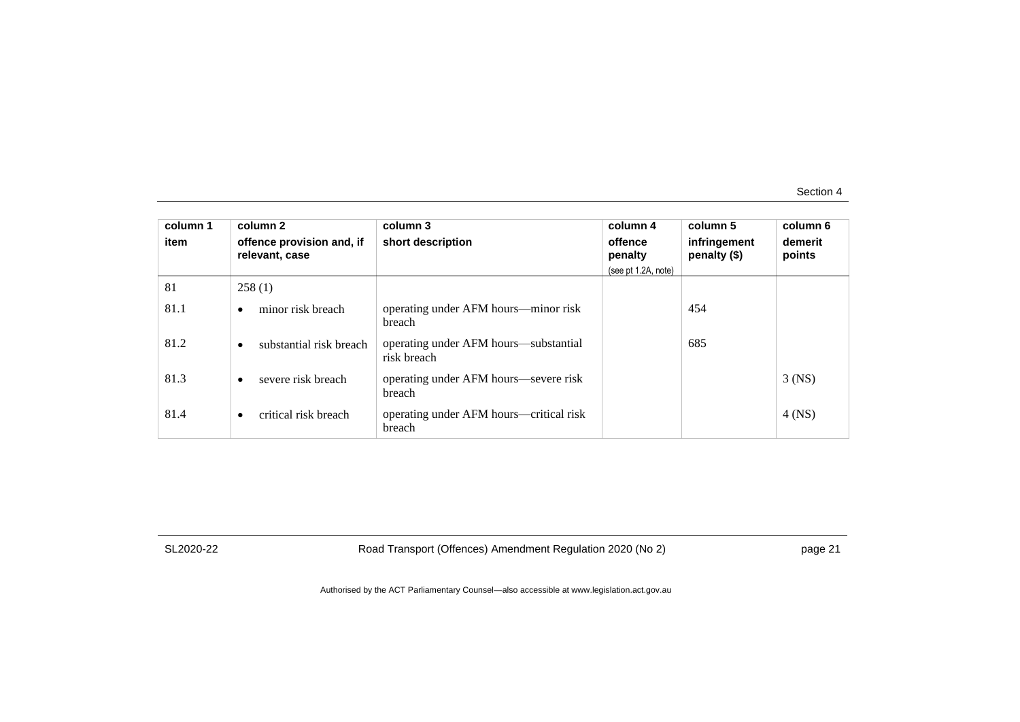| column 1<br>item | column 2<br>offence provision and, if<br>relevant, case | column 3<br>short description                        | column 4<br>offence<br>penalty<br>(see pt 1.2A, note) | column 5<br>infringement<br>penalty (\$) | column 6<br>demerit<br>points |
|------------------|---------------------------------------------------------|------------------------------------------------------|-------------------------------------------------------|------------------------------------------|-------------------------------|
| 81               | 258(1)                                                  |                                                      |                                                       |                                          |                               |
| 81.1             | minor risk breach<br>$\bullet$                          | operating under AFM hours—minor risk<br>breach       |                                                       | 454                                      |                               |
| 81.2             | substantial risk breach<br>$\bullet$                    | operating under AFM hours—substantial<br>risk breach |                                                       | 685                                      |                               |
| 81.3             | severe risk breach                                      | operating under AFM hours—severe risk<br>breach      |                                                       |                                          | $3$ (NS)                      |
| 81.4             | critical risk breach<br>$\bullet$                       | operating under AFM hours—critical risk<br>breach    |                                                       |                                          | $4$ (NS)                      |

SL2020-22

Road Transport (Offences) Amendment Regulation 2020 (No 2)

page 21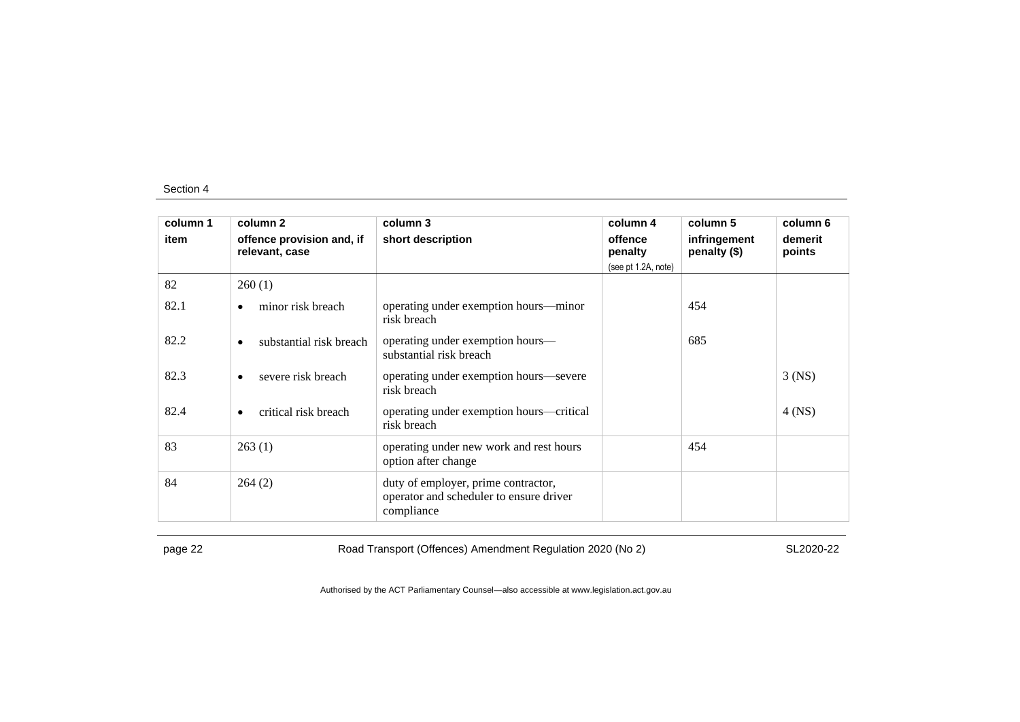| column 1 | column 2                                    | column 3                                                                                     | column 4            | column 5                     | column 6          |
|----------|---------------------------------------------|----------------------------------------------------------------------------------------------|---------------------|------------------------------|-------------------|
| item     | offence provision and, if<br>relevant, case | short description                                                                            | offence<br>penalty  | infringement<br>penalty (\$) | demerit<br>points |
|          |                                             |                                                                                              | (see pt 1.2A, note) |                              |                   |
| 82       | 260(1)                                      |                                                                                              |                     |                              |                   |
| 82.1     | minor risk breach<br>٠                      | operating under exemption hours—minor<br>risk breach                                         |                     | 454                          |                   |
| 82.2     | substantial risk breach                     | operating under exemption hours—<br>substantial risk breach                                  |                     | 685                          |                   |
| 82.3     | severe risk breach<br>٠                     | operating under exemption hours—severe<br>risk breach                                        |                     |                              | $3$ (NS)          |
| 82.4     | critical risk breach<br>٠                   | operating under exemption hours—critical<br>risk breach                                      |                     |                              | $4$ (NS)          |
| 83       | 263(1)                                      | operating under new work and rest hours<br>option after change                               |                     | 454                          |                   |
| 84       | 264(2)                                      | duty of employer, prime contractor,<br>operator and scheduler to ensure driver<br>compliance |                     |                              |                   |

page 22 Road Transport (Offences) Amendment Regulation 2020 (No 2)

SL2020-22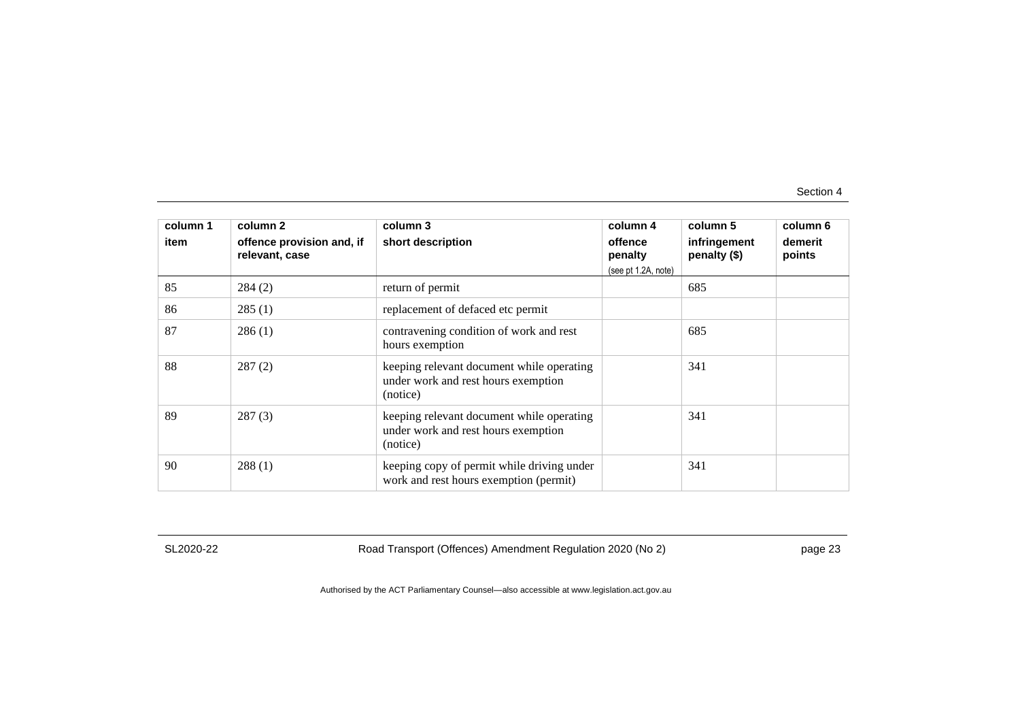| column 1<br>item | column 2<br>offence provision and, if<br>relevant, case | column 3<br>short description                                                                | column 4<br>offence<br>penalty<br>(see pt 1.2A, note) | column 5<br>infringement<br>penalty (\$) | column 6<br>demerit<br>points |
|------------------|---------------------------------------------------------|----------------------------------------------------------------------------------------------|-------------------------------------------------------|------------------------------------------|-------------------------------|
| 85               | 284(2)                                                  | return of permit                                                                             |                                                       | 685                                      |                               |
| 86               | 285(1)                                                  | replacement of defaced etc permit                                                            |                                                       |                                          |                               |
| 87               | 286(1)                                                  | contravening condition of work and rest<br>hours exemption                                   |                                                       | 685                                      |                               |
| 88               | 287(2)                                                  | keeping relevant document while operating<br>under work and rest hours exemption<br>(notice) |                                                       | 341                                      |                               |
| 89               | 287(3)                                                  | keeping relevant document while operating<br>under work and rest hours exemption<br>(notice) |                                                       | 341                                      |                               |
| 90               | 288(1)                                                  | keeping copy of permit while driving under<br>work and rest hours exemption (permit)         |                                                       | 341                                      |                               |

SL2020-22

Road Transport (Offences) Amendment Regulation 2020 (No 2)

page 23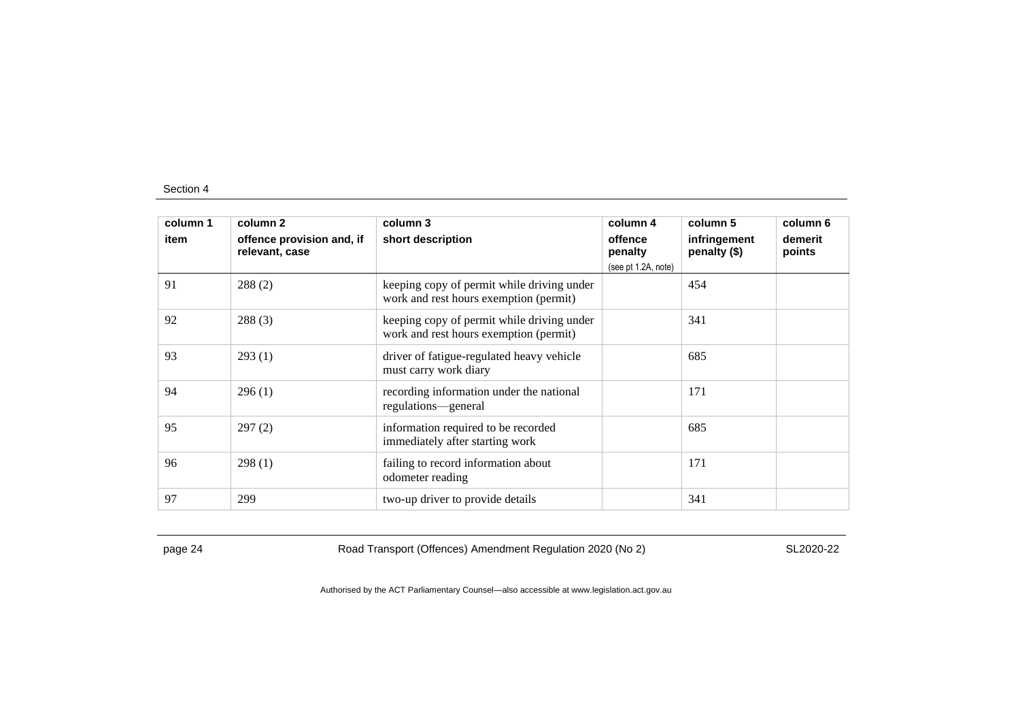| column 1 | column 2                                    | column 3                                                                             | column 4                                  | column 5                     | column 6          |
|----------|---------------------------------------------|--------------------------------------------------------------------------------------|-------------------------------------------|------------------------------|-------------------|
| item     | offence provision and, if<br>relevant, case | short description                                                                    | offence<br>penalty<br>(see pt 1.2A, note) | infringement<br>penalty (\$) | demerit<br>points |
| 91       | 288(2)                                      | keeping copy of permit while driving under<br>work and rest hours exemption (permit) |                                           | 454                          |                   |
| 92       | 288(3)                                      | keeping copy of permit while driving under<br>work and rest hours exemption (permit) |                                           | 341                          |                   |
| 93       | 293(1)                                      | driver of fatigue-regulated heavy vehicle<br>must carry work diary                   |                                           | 685                          |                   |
| 94       | 296(1)                                      | recording information under the national<br>regulations—general                      |                                           | 171                          |                   |
| 95       | 297(2)                                      | information required to be recorded<br>immediately after starting work               |                                           | 685                          |                   |
| 96       | 298(1)                                      | failing to record information about<br>odometer reading                              |                                           | 171                          |                   |
| 97       | 299                                         | two-up driver to provide details                                                     |                                           | 341                          |                   |

page 24 Road Transport (Offences) Amendment Regulation 2020 (No 2)

SL2020-22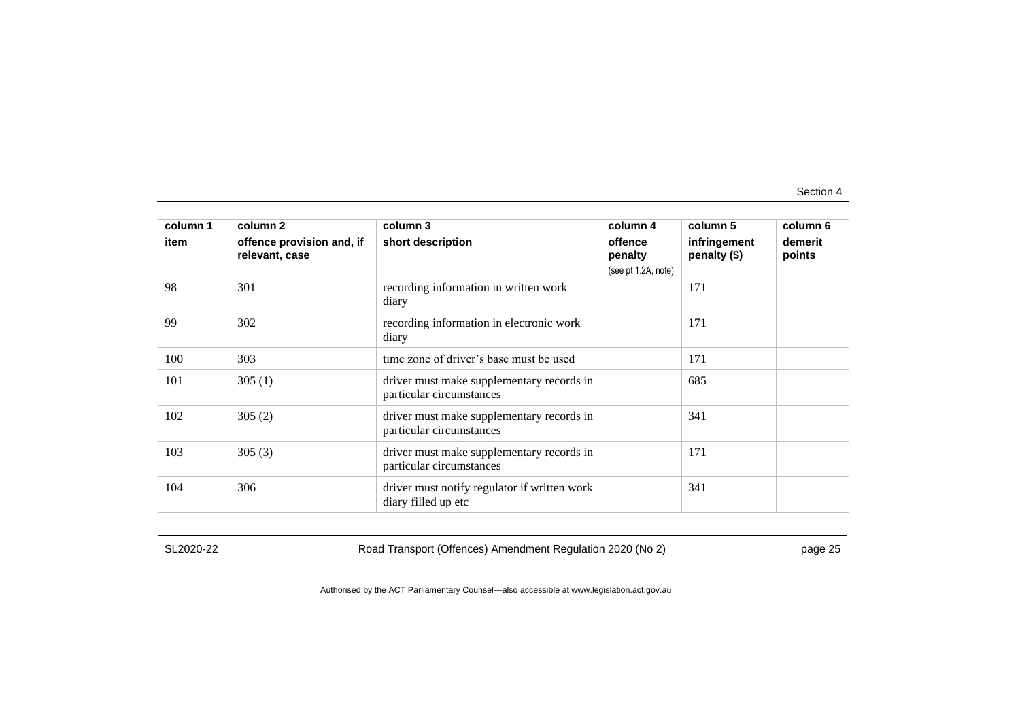| column 1<br>item | column 2<br>offence provision and, if<br>relevant, case | column 3<br>short description                                         | column 4<br>offence<br>penalty<br>(see pt 1.2A, note) | column 5<br>infringement<br>penalty (\$) | column 6<br>demerit<br>points |
|------------------|---------------------------------------------------------|-----------------------------------------------------------------------|-------------------------------------------------------|------------------------------------------|-------------------------------|
| 98               | 301                                                     | recording information in written work<br>diary                        |                                                       | 171                                      |                               |
| 99               | 302                                                     | recording information in electronic work<br>diary                     |                                                       | 171                                      |                               |
| 100              | 303                                                     | time zone of driver's base must be used                               |                                                       | 171                                      |                               |
| 101              | 305(1)                                                  | driver must make supplementary records in<br>particular circumstances |                                                       | 685                                      |                               |
| 102              | 305(2)                                                  | driver must make supplementary records in<br>particular circumstances |                                                       | 341                                      |                               |
| 103              | 305(3)                                                  | driver must make supplementary records in<br>particular circumstances |                                                       | 171                                      |                               |
| 104              | 306                                                     | driver must notify regulator if written work<br>diary filled up etc   |                                                       | 341                                      |                               |

SL2020-22

Road Transport (Offences) Amendment Regulation 2020 (No 2)

page 25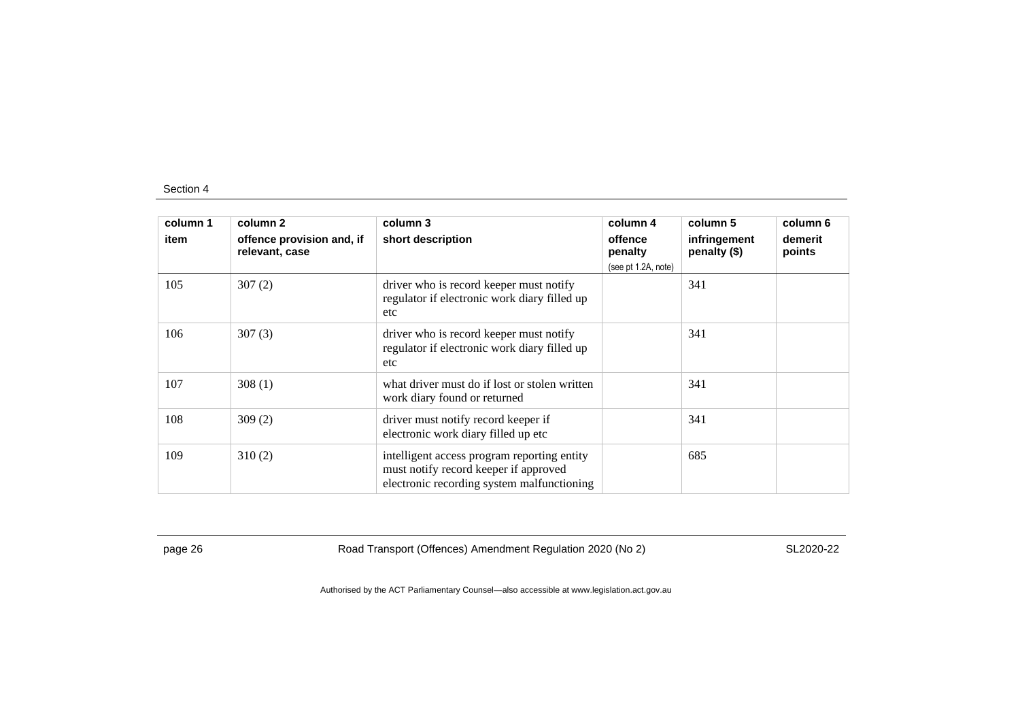| column 1 | column 2                                    | column 3                                                                                                                           | column 4            | column 5                     | column 6          |
|----------|---------------------------------------------|------------------------------------------------------------------------------------------------------------------------------------|---------------------|------------------------------|-------------------|
| item     | offence provision and, if<br>relevant, case | short description                                                                                                                  | offence<br>penalty  | infringement<br>penalty (\$) | demerit<br>points |
|          |                                             |                                                                                                                                    | (see pt 1.2A, note) |                              |                   |
| 105      | 307(2)                                      | driver who is record keeper must notify<br>regulator if electronic work diary filled up<br>etc                                     |                     | 341                          |                   |
| 106      | 307(3)                                      | driver who is record keeper must notify<br>regulator if electronic work diary filled up<br>etc                                     |                     | 341                          |                   |
| 107      | 308(1)                                      | what driver must do if lost or stolen written<br>work diary found or returned                                                      |                     | 341                          |                   |
| 108      | 309(2)                                      | driver must notify record keeper if<br>electronic work diary filled up etc                                                         |                     | 341                          |                   |
| 109      | 310(2)                                      | intelligent access program reporting entity<br>must notify record keeper if approved<br>electronic recording system malfunctioning |                     | 685                          |                   |

page 26 Road Transport (Offences) Amendment Regulation 2020 (No 2)

SL2020-22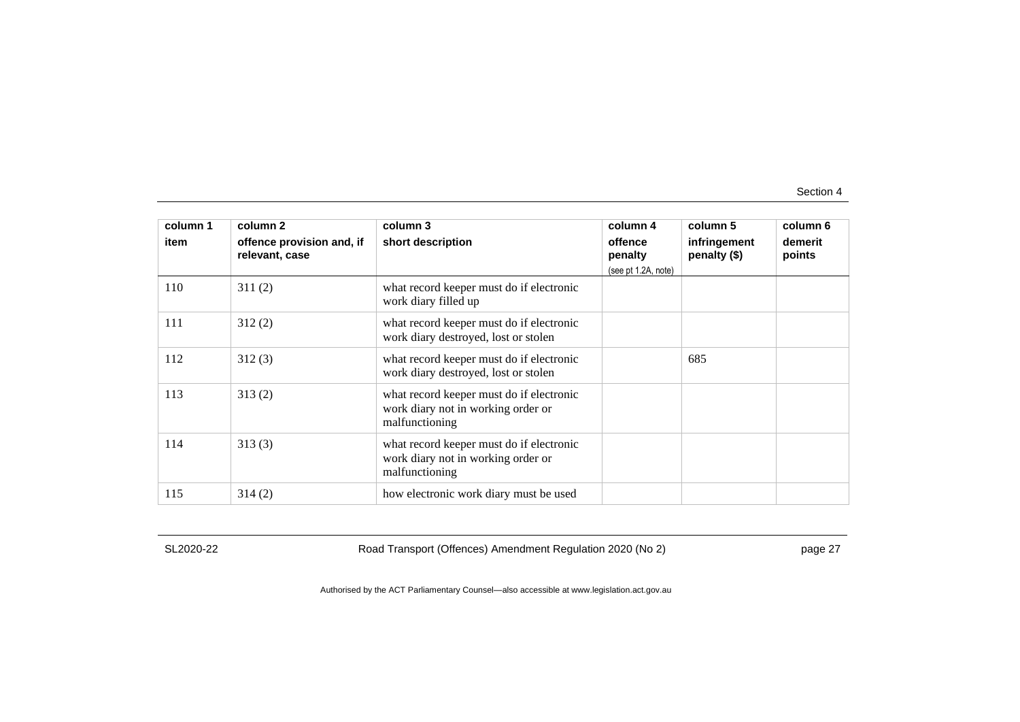| column 1<br>item | column <sub>2</sub><br>offence provision and, if | column 3<br>short description                                                                    | column 4<br>offence            | column 5<br>infringement | column 6<br>demerit |
|------------------|--------------------------------------------------|--------------------------------------------------------------------------------------------------|--------------------------------|--------------------------|---------------------|
|                  | relevant, case                                   |                                                                                                  | penalty<br>(see pt 1.2A, note) | penalty (\$)             | points              |
| 110              | 311(2)                                           | what record keeper must do if electronic<br>work diary filled up                                 |                                |                          |                     |
| 111              | 312(2)                                           | what record keeper must do if electronic<br>work diary destroyed, lost or stolen                 |                                |                          |                     |
| 112              | 312(3)                                           | what record keeper must do if electronic<br>work diary destroyed, lost or stolen                 |                                | 685                      |                     |
| 113              | 313(2)                                           | what record keeper must do if electronic<br>work diary not in working order or<br>malfunctioning |                                |                          |                     |
| 114              | 313(3)                                           | what record keeper must do if electronic<br>work diary not in working order or<br>malfunctioning |                                |                          |                     |
| 115              | 314(2)                                           | how electronic work diary must be used                                                           |                                |                          |                     |

SL2020-22

Road Transport (Offences) Amendment Regulation 2020 (No 2)

page 27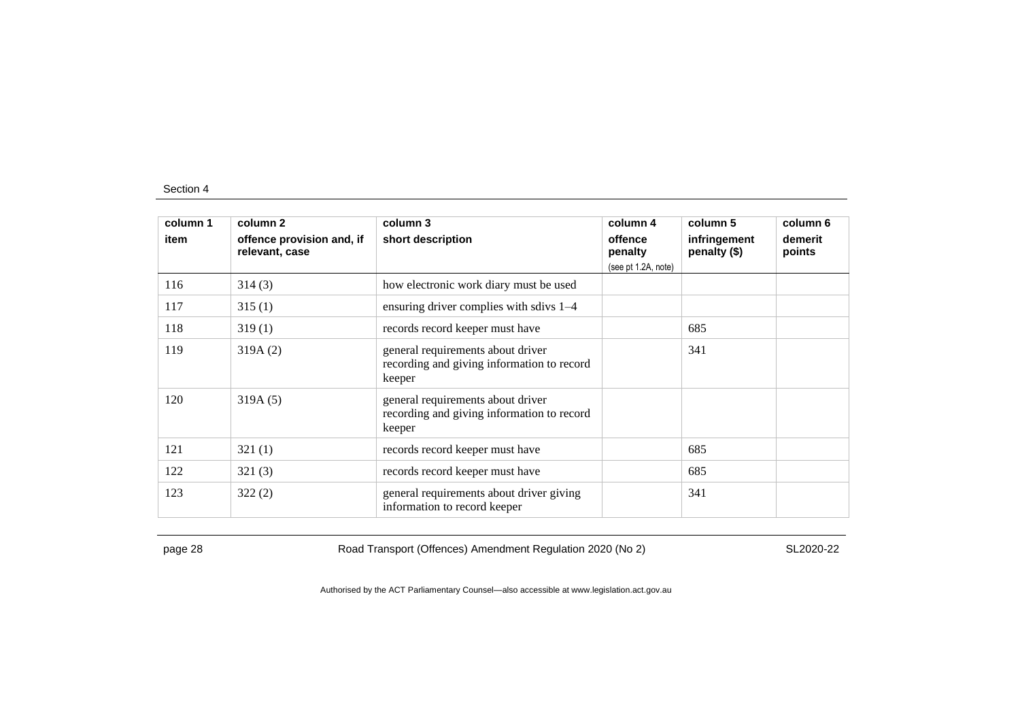| column 1<br>item | column <sub>2</sub><br>offence provision and, if<br>relevant, case | column 3<br>short description                                                             | column 4<br>offence<br>penalty | column 5<br>infringement<br>penalty (\$) | column 6<br>demerit<br>points |
|------------------|--------------------------------------------------------------------|-------------------------------------------------------------------------------------------|--------------------------------|------------------------------------------|-------------------------------|
|                  |                                                                    |                                                                                           | (see pt 1.2A, note)            |                                          |                               |
| 116              | 314(3)                                                             | how electronic work diary must be used                                                    |                                |                                          |                               |
| 117              | 315(1)                                                             | ensuring driver complies with sdivs 1-4                                                   |                                |                                          |                               |
| 118              | 319(1)                                                             | records record keeper must have                                                           |                                | 685                                      |                               |
| 119              | 319A(2)                                                            | general requirements about driver<br>recording and giving information to record<br>keeper |                                | 341                                      |                               |
| 120              | 319A(5)                                                            | general requirements about driver<br>recording and giving information to record<br>keeper |                                |                                          |                               |
| 121              | 321(1)                                                             | records record keeper must have                                                           |                                | 685                                      |                               |
| 122              | 321(3)                                                             | records record keeper must have                                                           |                                | 685                                      |                               |
| 123              | 322(2)                                                             | general requirements about driver giving<br>information to record keeper                  |                                | 341                                      |                               |

page 28 Road Transport (Offences) Amendment Regulation 2020 (No 2)

SL2020-22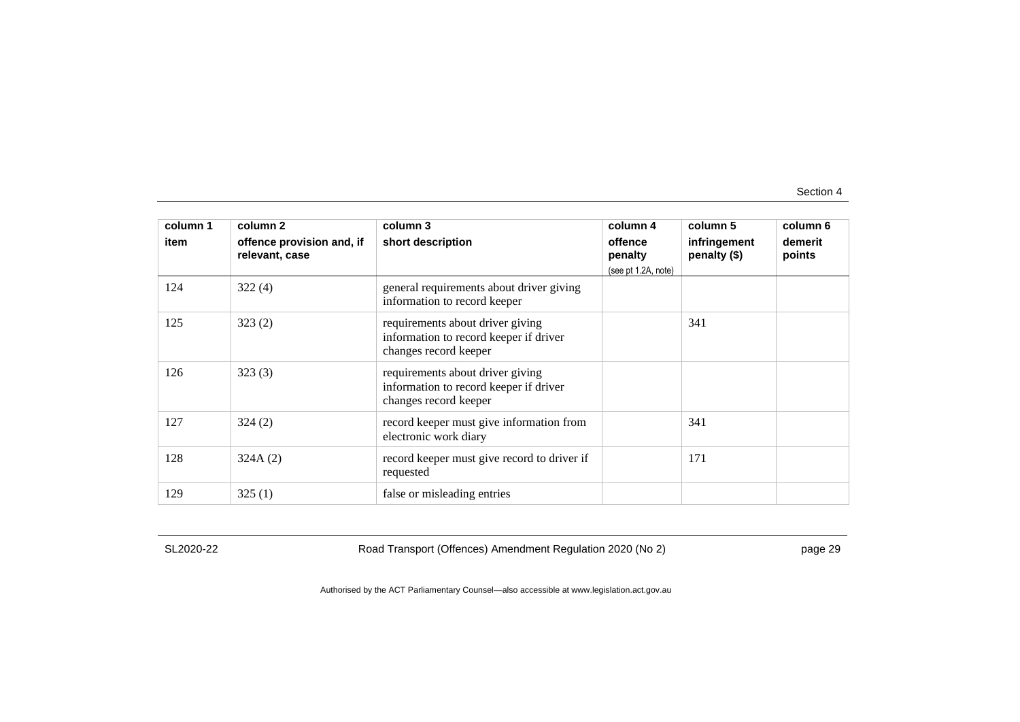| column 1 | column 2                                    | column 3                                                                                            | column 4                                  | column 5                     | column 6          |
|----------|---------------------------------------------|-----------------------------------------------------------------------------------------------------|-------------------------------------------|------------------------------|-------------------|
| item     | offence provision and, if<br>relevant, case | short description                                                                                   | offence<br>penalty<br>(see pt 1.2A, note) | infringement<br>penalty (\$) | demerit<br>points |
| 124      | 322(4)                                      | general requirements about driver giving<br>information to record keeper                            |                                           |                              |                   |
| 125      | 323(2)                                      | requirements about driver giving<br>information to record keeper if driver<br>changes record keeper |                                           | 341                          |                   |
| 126      | 323(3)                                      | requirements about driver giving<br>information to record keeper if driver<br>changes record keeper |                                           |                              |                   |
| 127      | 324(2)                                      | record keeper must give information from<br>electronic work diary                                   |                                           | 341                          |                   |
| 128      | 324A(2)                                     | record keeper must give record to driver if<br>requested                                            |                                           | 171                          |                   |
| 129      | 325(1)                                      | false or misleading entries                                                                         |                                           |                              |                   |

SL2020-22

Road Transport (Offences) Amendment Regulation 2020 (No 2)

page 29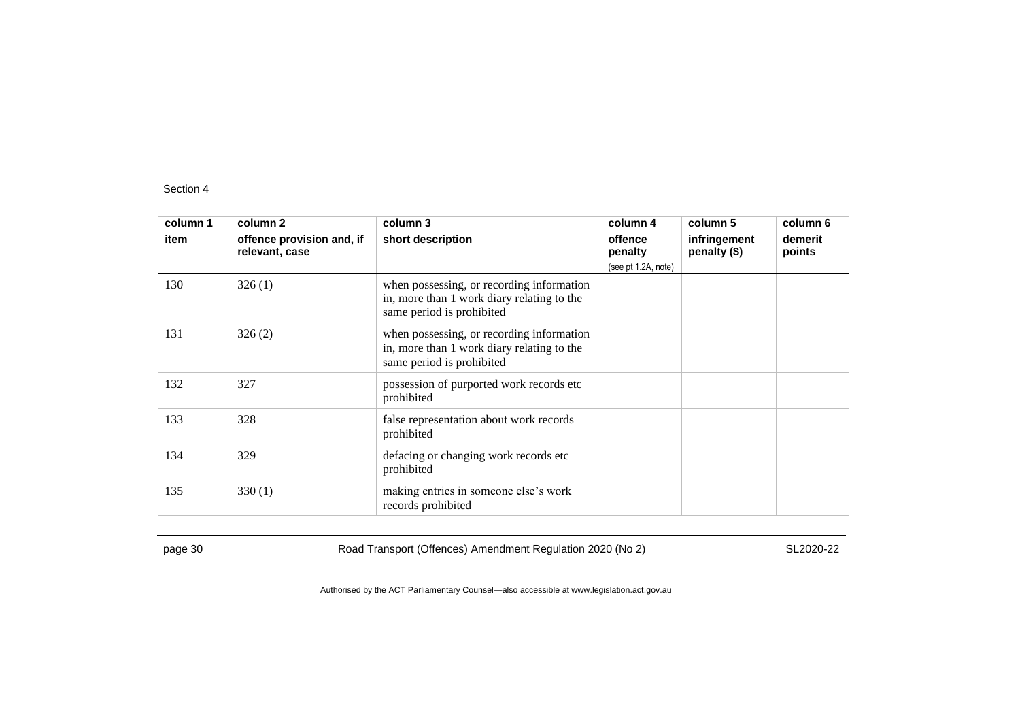| column 1 | column 2                                    | column 3                                                                                                             | column 4            | column 5                     | column 6          |
|----------|---------------------------------------------|----------------------------------------------------------------------------------------------------------------------|---------------------|------------------------------|-------------------|
| item     | offence provision and, if<br>relevant, case | short description                                                                                                    | offence<br>penalty  | infringement<br>penalty (\$) | demerit<br>points |
|          |                                             |                                                                                                                      | (see pt 1.2A, note) |                              |                   |
| 130      | 326(1)                                      | when possessing, or recording information<br>in, more than 1 work diary relating to the<br>same period is prohibited |                     |                              |                   |
| 131      | 326(2)                                      | when possessing, or recording information<br>in, more than 1 work diary relating to the<br>same period is prohibited |                     |                              |                   |
| 132      | 327                                         | possession of purported work records etc<br>prohibited                                                               |                     |                              |                   |
| 133      | 328                                         | false representation about work records<br>prohibited                                                                |                     |                              |                   |
| 134      | 329                                         | defacing or changing work records etc<br>prohibited                                                                  |                     |                              |                   |
| 135      | 330(1)                                      | making entries in someone else's work<br>records prohibited                                                          |                     |                              |                   |

page 30 Road Transport (Offences) Amendment Regulation 2020 (No 2)

SL2020-22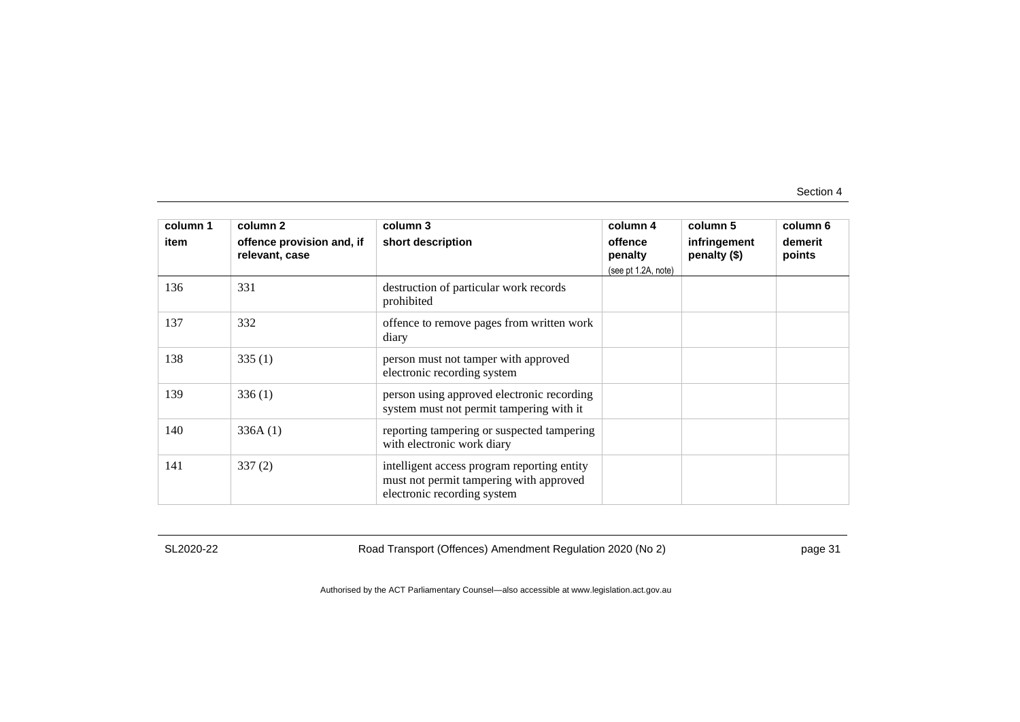| column 1<br>item | column 2<br>offence provision and, if<br>relevant, case | column 3<br>short description                                                                                         | column 4<br>offence<br>penalty<br>(see pt 1.2A, note) | column 5<br>infringement<br>penalty (\$) | column 6<br>demerit<br>points |
|------------------|---------------------------------------------------------|-----------------------------------------------------------------------------------------------------------------------|-------------------------------------------------------|------------------------------------------|-------------------------------|
| 136              | 331                                                     | destruction of particular work records<br>prohibited                                                                  |                                                       |                                          |                               |
| 137              | 332                                                     | offence to remove pages from written work<br>diary                                                                    |                                                       |                                          |                               |
| 138              | 335(1)                                                  | person must not tamper with approved<br>electronic recording system                                                   |                                                       |                                          |                               |
| 139              | 336(1)                                                  | person using approved electronic recording<br>system must not permit tampering with it                                |                                                       |                                          |                               |
| 140              | 336A(1)                                                 | reporting tampering or suspected tampering<br>with electronic work diary                                              |                                                       |                                          |                               |
| 141              | 337(2)                                                  | intelligent access program reporting entity<br>must not permit tampering with approved<br>electronic recording system |                                                       |                                          |                               |

SL2020-22

Road Transport (Offences) Amendment Regulation 2020 (No 2)

page 31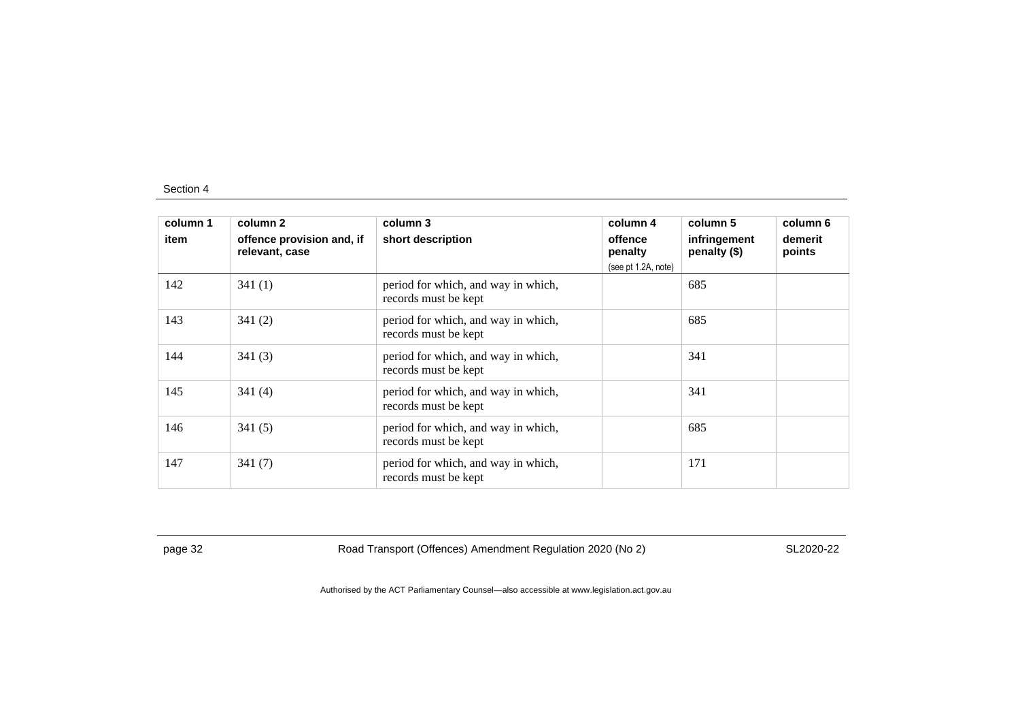| column 1 | column 2                                    | column 3                                                    | column 4            | column 5                     | column 6          |
|----------|---------------------------------------------|-------------------------------------------------------------|---------------------|------------------------------|-------------------|
| item     | offence provision and, if<br>relevant, case | short description                                           | offence<br>penalty  | infringement<br>penalty (\$) | demerit<br>points |
|          |                                             |                                                             | (see pt 1.2A, note) |                              |                   |
| 142      | 341(1)                                      | period for which, and way in which,<br>records must be kept |                     | 685                          |                   |
| 143      | 341(2)                                      | period for which, and way in which,<br>records must be kept |                     | 685                          |                   |
| 144      | 341(3)                                      | period for which, and way in which,<br>records must be kept |                     | 341                          |                   |
| 145      | 341(4)                                      | period for which, and way in which,<br>records must be kept |                     | 341                          |                   |
| 146      | 341(5)                                      | period for which, and way in which,<br>records must be kept |                     | 685                          |                   |
| 147      | 341(7)                                      | period for which, and way in which,<br>records must be kept |                     | 171                          |                   |

page 32 Road Transport (Offences) Amendment Regulation 2020 (No 2)

SL2020-22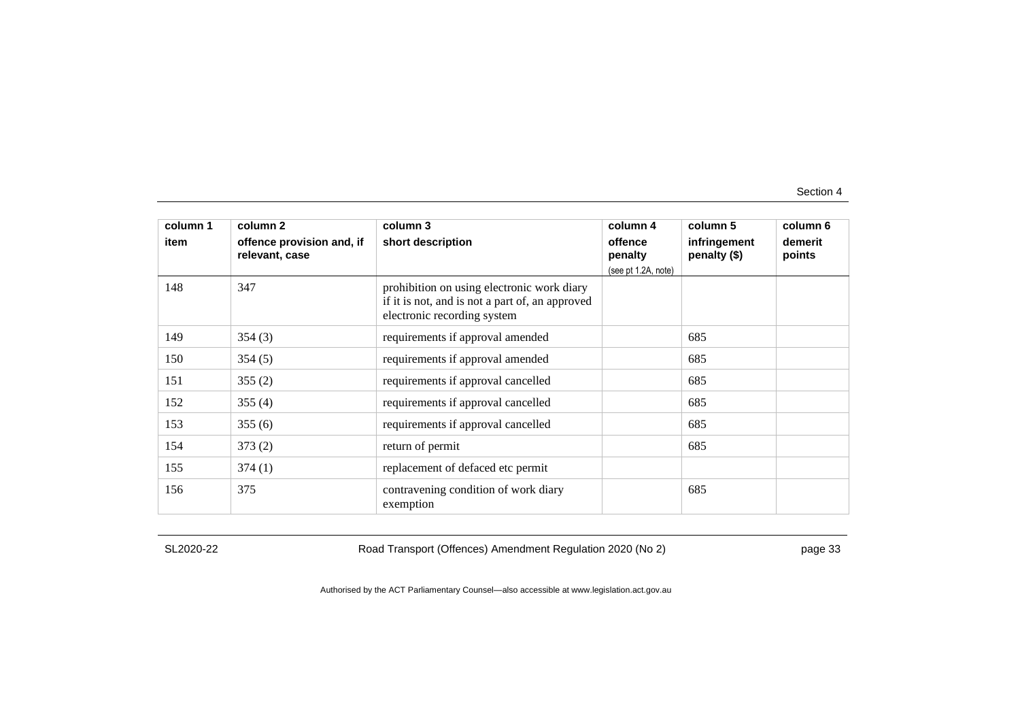| column 1<br>item | column 2<br>offence provision and, if<br>relevant, case | column 3<br>short description                                                                                                | column 4<br>offence<br>penalty | column 5<br>infringement<br>penalty (\$) | column 6<br>demerit<br>points |
|------------------|---------------------------------------------------------|------------------------------------------------------------------------------------------------------------------------------|--------------------------------|------------------------------------------|-------------------------------|
| 148              | 347                                                     | prohibition on using electronic work diary<br>if it is not, and is not a part of, an approved<br>electronic recording system | (see pt 1.2A, note)            |                                          |                               |
| 149              | 354(3)                                                  | requirements if approval amended                                                                                             |                                | 685                                      |                               |
| 150              | 354(5)                                                  | requirements if approval amended                                                                                             |                                | 685                                      |                               |
| 151              | 355(2)                                                  | requirements if approval cancelled                                                                                           |                                | 685                                      |                               |
| 152              | 355(4)                                                  | requirements if approval cancelled                                                                                           |                                | 685                                      |                               |
| 153              | 355(6)                                                  | requirements if approval cancelled                                                                                           |                                | 685                                      |                               |
| 154              | 373(2)                                                  | return of permit                                                                                                             |                                | 685                                      |                               |
| 155              | 374(1)                                                  | replacement of defaced etc permit                                                                                            |                                |                                          |                               |
| 156              | 375                                                     | contravening condition of work diary<br>exemption                                                                            |                                | 685                                      |                               |

SL2020-22

Road Transport (Offences) Amendment Regulation 2020 (No 2)

page 33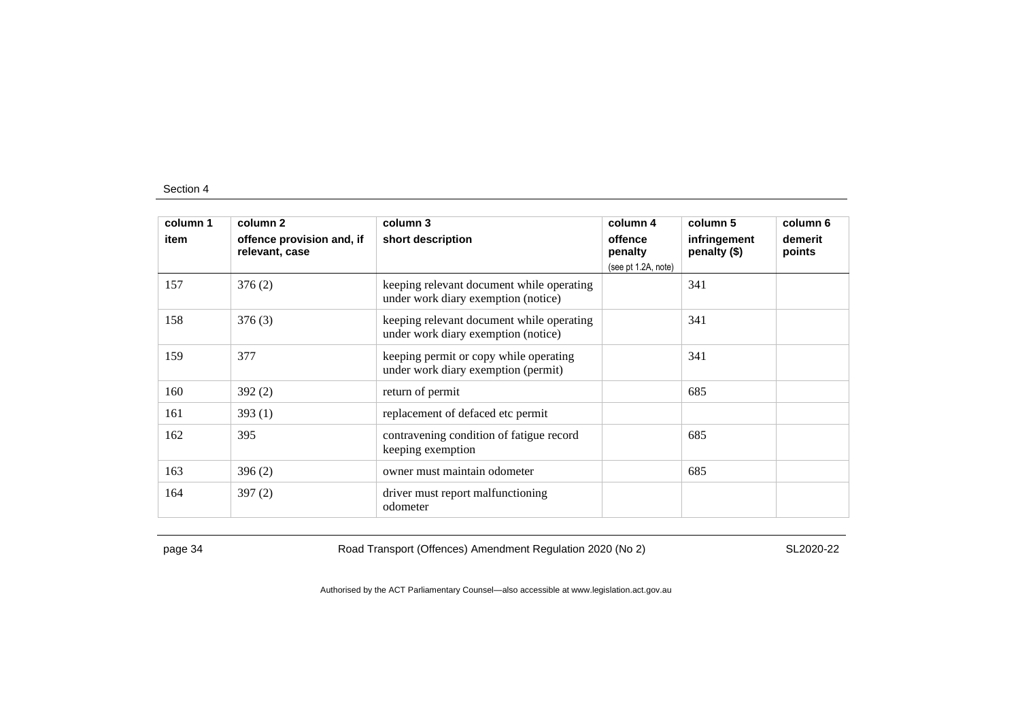| column 1<br>item | column 2<br>offence provision and, if<br>relevant, case | column 3<br>short description                                                    | column 4<br>offence<br>penalty<br>(see pt 1.2A, note) | column 5<br>infringement<br>penalty (\$) | column 6<br>demerit<br>points |
|------------------|---------------------------------------------------------|----------------------------------------------------------------------------------|-------------------------------------------------------|------------------------------------------|-------------------------------|
| 157              | 376(2)                                                  | keeping relevant document while operating<br>under work diary exemption (notice) |                                                       | 341                                      |                               |
| 158              | 376(3)                                                  | keeping relevant document while operating<br>under work diary exemption (notice) |                                                       | 341                                      |                               |
| 159              | 377                                                     | keeping permit or copy while operating<br>under work diary exemption (permit)    |                                                       | 341                                      |                               |
| 160              | 392(2)                                                  | return of permit                                                                 |                                                       | 685                                      |                               |
| 161              | 393(1)                                                  | replacement of defaced etc permit                                                |                                                       |                                          |                               |
| 162              | 395                                                     | contravening condition of fatigue record<br>keeping exemption                    |                                                       | 685                                      |                               |
| 163              | 396(2)                                                  | owner must maintain odometer                                                     |                                                       | 685                                      |                               |
| 164              | 397(2)                                                  | driver must report malfunctioning<br>odometer                                    |                                                       |                                          |                               |

page 34 Road Transport (Offences) Amendment Regulation 2020 (No 2)

SL2020-22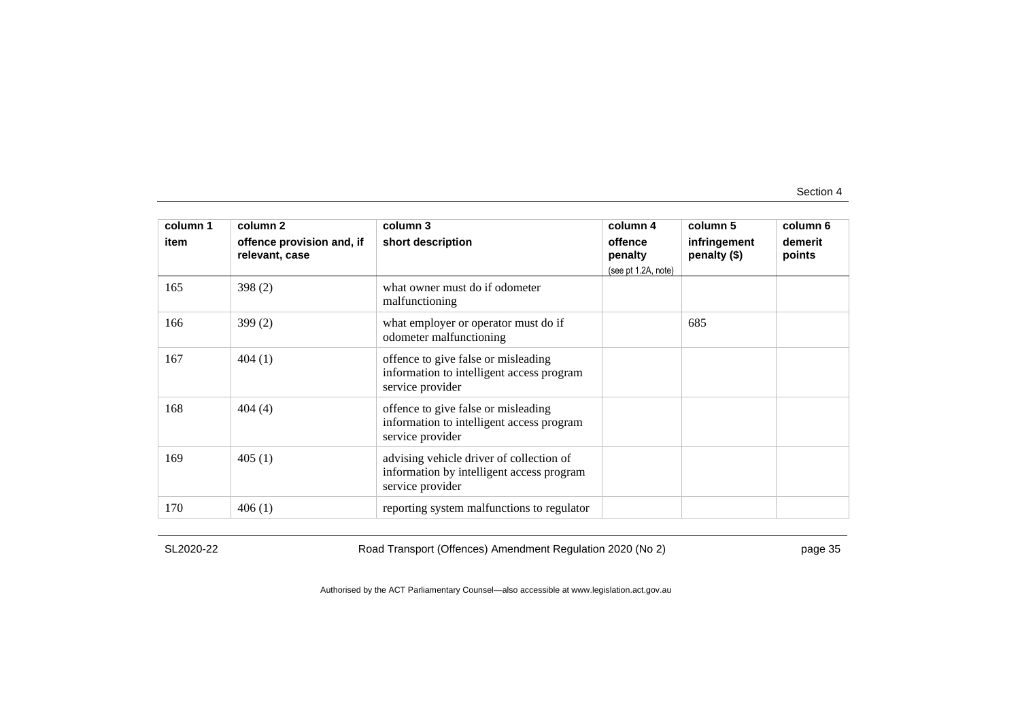| column 1<br>item | column 2<br>offence provision and, if<br>relevant, case | column 3<br>short description                                                                             | column 4<br>offence<br>penalty<br>(see pt 1.2A, note) | column 5<br>infringement<br>penalty (\$) | column 6<br>demerit<br>points |
|------------------|---------------------------------------------------------|-----------------------------------------------------------------------------------------------------------|-------------------------------------------------------|------------------------------------------|-------------------------------|
| 165              | 398(2)                                                  | what owner must do if odometer<br>malfunctioning                                                          |                                                       |                                          |                               |
| 166              | 399(2)                                                  | what employer or operator must do if<br>odometer malfunctioning                                           |                                                       | 685                                      |                               |
| 167              | 404(1)                                                  | offence to give false or misleading<br>information to intelligent access program<br>service provider      |                                                       |                                          |                               |
| 168              | 404(4)                                                  | offence to give false or misleading<br>information to intelligent access program<br>service provider      |                                                       |                                          |                               |
| 169              | 405(1)                                                  | advising vehicle driver of collection of<br>information by intelligent access program<br>service provider |                                                       |                                          |                               |
| 170              | 406(1)                                                  | reporting system malfunctions to regulator                                                                |                                                       |                                          |                               |

SL2020-22

Road Transport (Offences) Amendment Regulation 2020 (No 2)

page 35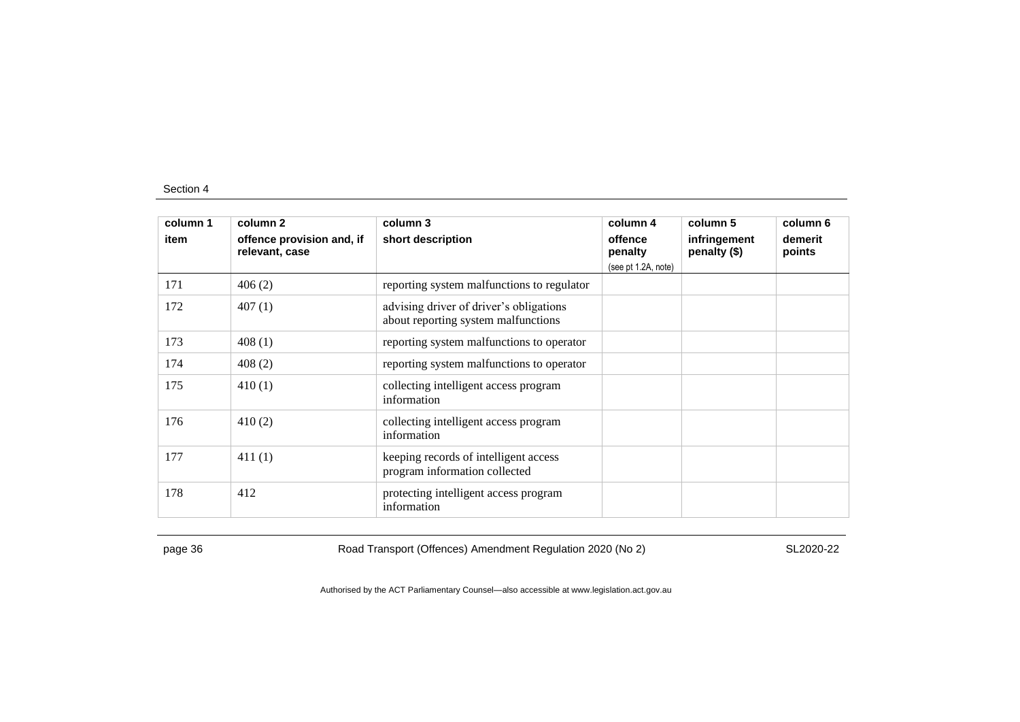| column 1<br>item | column 2<br>offence provision and, if | column 3<br>short description                                                  | column 4<br>offence            | column 5<br>infringement | column 6<br>demerit |
|------------------|---------------------------------------|--------------------------------------------------------------------------------|--------------------------------|--------------------------|---------------------|
|                  | relevant, case                        |                                                                                | penalty<br>(see pt 1.2A, note) | penalty (\$)             | points              |
| 171              | 406(2)                                | reporting system malfunctions to regulator                                     |                                |                          |                     |
| 172              | 407(1)                                | advising driver of driver's obligations<br>about reporting system malfunctions |                                |                          |                     |
| 173              | 408(1)                                | reporting system malfunctions to operator                                      |                                |                          |                     |
| 174              | 408(2)                                | reporting system malfunctions to operator                                      |                                |                          |                     |
| 175              | 410(1)                                | collecting intelligent access program<br>information                           |                                |                          |                     |
| 176              | 410(2)                                | collecting intelligent access program<br>information                           |                                |                          |                     |
| 177              | 411(1)                                | keeping records of intelligent access<br>program information collected         |                                |                          |                     |
| 178              | 412                                   | protecting intelligent access program<br>information                           |                                |                          |                     |

page 36 Road Transport (Offences) Amendment Regulation 2020 (No 2)

SL2020-22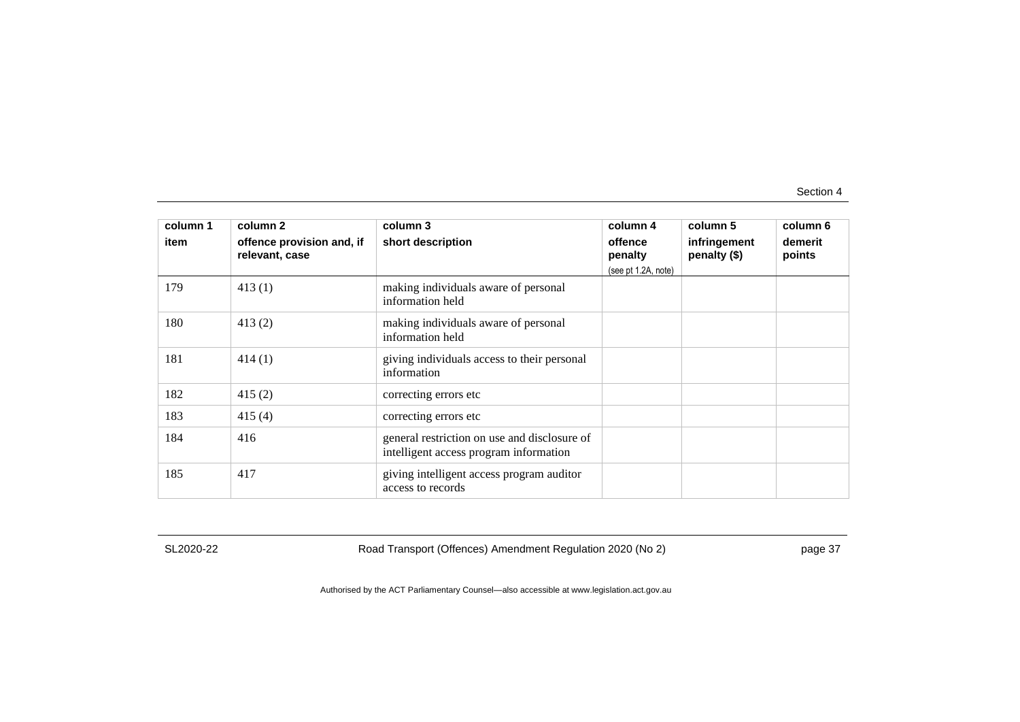| column 1<br>item | column 2<br>offence provision and, if | column 3<br>short description                                                          | column 4<br>offence            | column 5<br>infringement | column 6<br>demerit |
|------------------|---------------------------------------|----------------------------------------------------------------------------------------|--------------------------------|--------------------------|---------------------|
|                  | relevant, case                        |                                                                                        | penalty<br>(see pt 1.2A, note) | penalty (\$)             | points              |
| 179              | 413(1)                                | making individuals aware of personal<br>information held                               |                                |                          |                     |
| 180              | 413(2)                                | making individuals aware of personal<br>information held                               |                                |                          |                     |
| 181              | 414(1)                                | giving individuals access to their personal<br>information                             |                                |                          |                     |
| 182              | 415(2)                                | correcting errors etc.                                                                 |                                |                          |                     |
| 183              | 415(4)                                | correcting errors etc                                                                  |                                |                          |                     |
| 184              | 416                                   | general restriction on use and disclosure of<br>intelligent access program information |                                |                          |                     |
| 185              | 417                                   | giving intelligent access program auditor<br>access to records                         |                                |                          |                     |

SL2020-22

Road Transport (Offences) Amendment Regulation 2020 (No 2)

page 37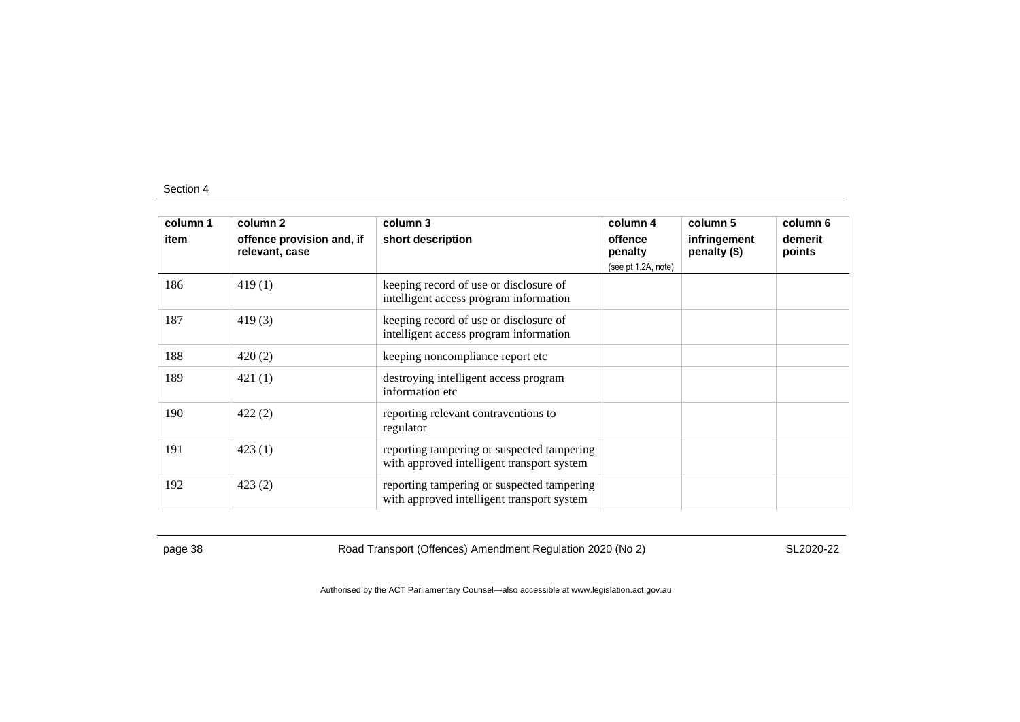| column 1 | column 2                                    | column 3                                                                                 | column 4                                  | column 5                     | column 6          |
|----------|---------------------------------------------|------------------------------------------------------------------------------------------|-------------------------------------------|------------------------------|-------------------|
| item     | offence provision and, if<br>relevant, case | short description                                                                        | offence<br>penalty<br>(see pt 1.2A, note) | infringement<br>penalty (\$) | demerit<br>points |
| 186      | 419(1)                                      | keeping record of use or disclosure of<br>intelligent access program information         |                                           |                              |                   |
| 187      | 419(3)                                      | keeping record of use or disclosure of<br>intelligent access program information         |                                           |                              |                   |
| 188      | 420(2)                                      | keeping noncompliance report etc                                                         |                                           |                              |                   |
| 189      | 421(1)                                      | destroying intelligent access program<br>information etc                                 |                                           |                              |                   |
| 190      | 422(2)                                      | reporting relevant contraventions to<br>regulator                                        |                                           |                              |                   |
| 191      | 423(1)                                      | reporting tampering or suspected tampering<br>with approved intelligent transport system |                                           |                              |                   |
| 192      | 423(2)                                      | reporting tampering or suspected tampering<br>with approved intelligent transport system |                                           |                              |                   |

page 38 Road Transport (Offences) Amendment Regulation 2020 (No 2)

SL2020-22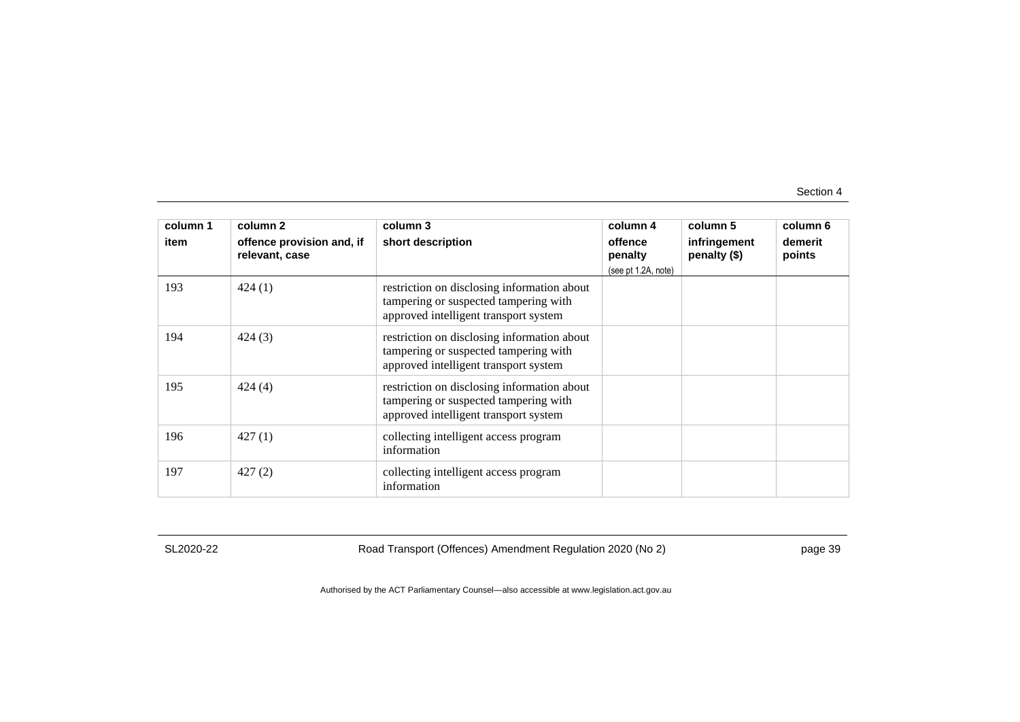| column 1 | column 2                                    | column 3                                                                                                                      | column 4                                  | column 5                     | column 6          |
|----------|---------------------------------------------|-------------------------------------------------------------------------------------------------------------------------------|-------------------------------------------|------------------------------|-------------------|
| item     | offence provision and, if<br>relevant, case | short description                                                                                                             | offence<br>penalty<br>(see pt 1.2A, note) | infringement<br>penalty (\$) | demerit<br>points |
| 193      | 424(1)                                      | restriction on disclosing information about<br>tampering or suspected tampering with<br>approved intelligent transport system |                                           |                              |                   |
| 194      | 424(3)                                      | restriction on disclosing information about<br>tampering or suspected tampering with<br>approved intelligent transport system |                                           |                              |                   |
| 195      | 424(4)                                      | restriction on disclosing information about<br>tampering or suspected tampering with<br>approved intelligent transport system |                                           |                              |                   |
| 196      | 427(1)                                      | collecting intelligent access program<br>information                                                                          |                                           |                              |                   |
| 197      | 427(2)                                      | collecting intelligent access program<br>information                                                                          |                                           |                              |                   |

SL2020-22

Road Transport (Offences) Amendment Regulation 2020 (No 2)

page 39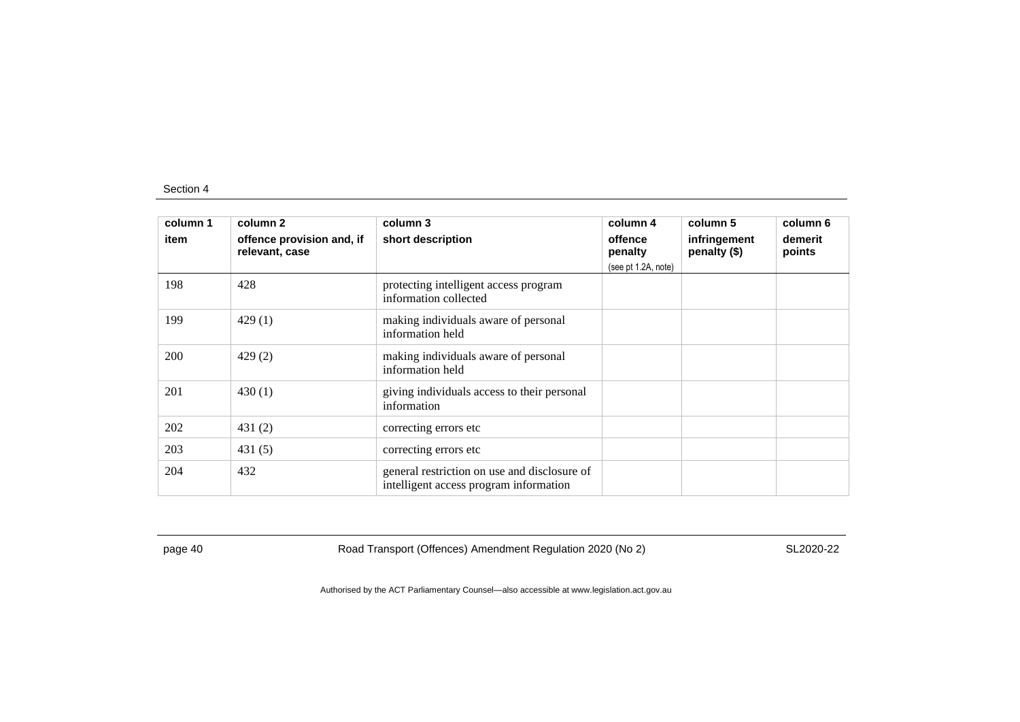| column 1 | column 2                                    | column 3                                                                               | column 4            | column 5                     | column 6          |
|----------|---------------------------------------------|----------------------------------------------------------------------------------------|---------------------|------------------------------|-------------------|
| item     | offence provision and, if<br>relevant, case | short description                                                                      | offence<br>penalty  | infringement<br>penalty (\$) | demerit<br>points |
|          |                                             |                                                                                        | (see pt 1.2A, note) |                              |                   |
| 198      | 428                                         | protecting intelligent access program<br>information collected                         |                     |                              |                   |
| 199      | 429(1)                                      | making individuals aware of personal<br>information held                               |                     |                              |                   |
| 200      | 429(2)                                      | making individuals aware of personal<br>information held                               |                     |                              |                   |
| 201      | 430(1)                                      | giving individuals access to their personal<br>information                             |                     |                              |                   |
| 202      | 431 $(2)$                                   | correcting errors etc.                                                                 |                     |                              |                   |
| 203      | 431(5)                                      | correcting errors etc                                                                  |                     |                              |                   |
| 204      | 432                                         | general restriction on use and disclosure of<br>intelligent access program information |                     |                              |                   |

page 40 Road Transport (Offences) Amendment Regulation 2020 (No 2)

SL2020-22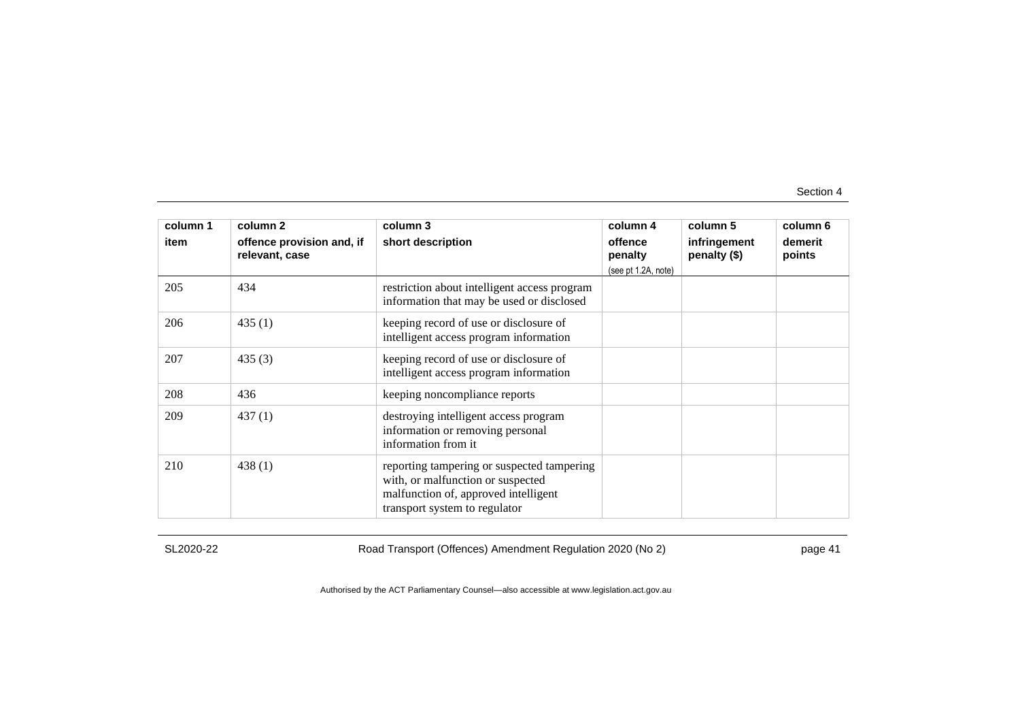| column 1<br>item | column 2<br>offence provision and, if<br>relevant, case | column 3<br>short description                                                                                                                            | column 4<br>offence<br>penalty<br>(see pt 1.2A, note) | column 5<br>infringement<br>penalty (\$) | column 6<br>demerit<br>points |
|------------------|---------------------------------------------------------|----------------------------------------------------------------------------------------------------------------------------------------------------------|-------------------------------------------------------|------------------------------------------|-------------------------------|
| 205              | 434                                                     | restriction about intelligent access program<br>information that may be used or disclosed                                                                |                                                       |                                          |                               |
| 206              | 435(1)                                                  | keeping record of use or disclosure of<br>intelligent access program information                                                                         |                                                       |                                          |                               |
| 207              | 435(3)                                                  | keeping record of use or disclosure of<br>intelligent access program information                                                                         |                                                       |                                          |                               |
| 208              | 436                                                     | keeping noncompliance reports                                                                                                                            |                                                       |                                          |                               |
| 209              | 437(1)                                                  | destroying intelligent access program<br>information or removing personal<br>information from it                                                         |                                                       |                                          |                               |
| 210              | 438(1)                                                  | reporting tampering or suspected tampering<br>with, or malfunction or suspected<br>malfunction of, approved intelligent<br>transport system to regulator |                                                       |                                          |                               |

SL2020-22

Road Transport (Offences) Amendment Regulation 2020 (No 2)

page 41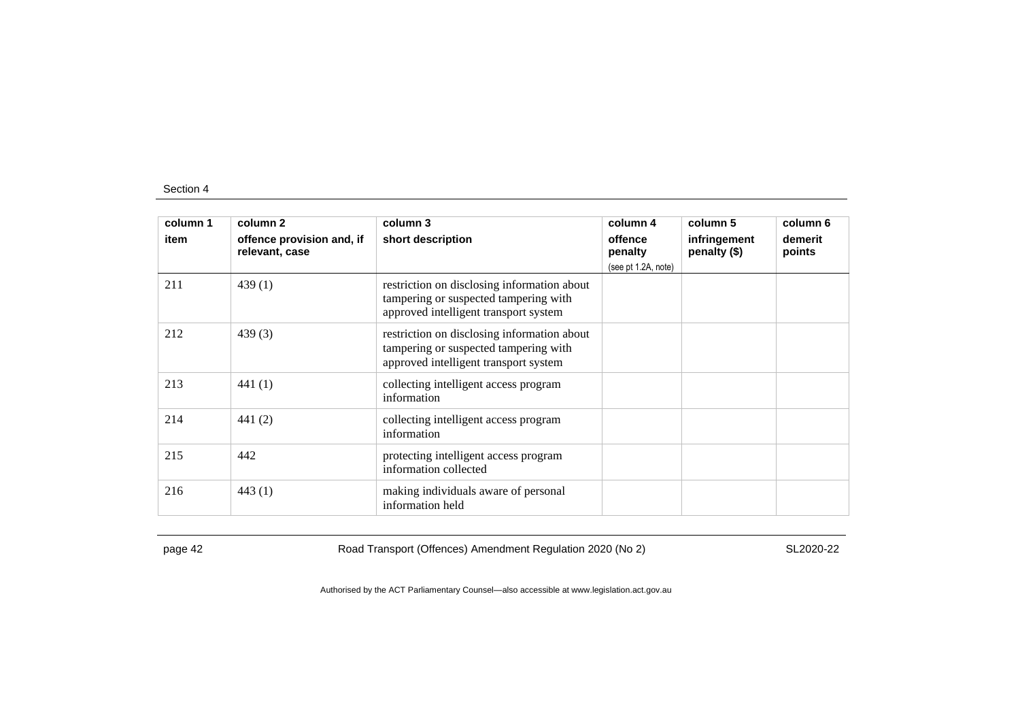| column 1 | column 2                                    | column 3                                                                                                                      | column 4            | column 5                     | column 6          |
|----------|---------------------------------------------|-------------------------------------------------------------------------------------------------------------------------------|---------------------|------------------------------|-------------------|
| item     | offence provision and, if<br>relevant, case | short description                                                                                                             | offence<br>penalty  | infringement<br>penalty (\$) | demerit<br>points |
|          |                                             |                                                                                                                               | (see pt 1.2A, note) |                              |                   |
| 211      | 439(1)                                      | restriction on disclosing information about<br>tampering or suspected tampering with<br>approved intelligent transport system |                     |                              |                   |
| 212      | 439(3)                                      | restriction on disclosing information about<br>tampering or suspected tampering with<br>approved intelligent transport system |                     |                              |                   |
| 213      | 441 $(1)$                                   | collecting intelligent access program<br>information                                                                          |                     |                              |                   |
| 214      | 441 $(2)$                                   | collecting intelligent access program<br>information                                                                          |                     |                              |                   |
| 215      | 442                                         | protecting intelligent access program<br>information collected                                                                |                     |                              |                   |
| 216      | 443(1)                                      | making individuals aware of personal<br>information held                                                                      |                     |                              |                   |

page 42 Road Transport (Offences) Amendment Regulation 2020 (No 2)

SL2020-22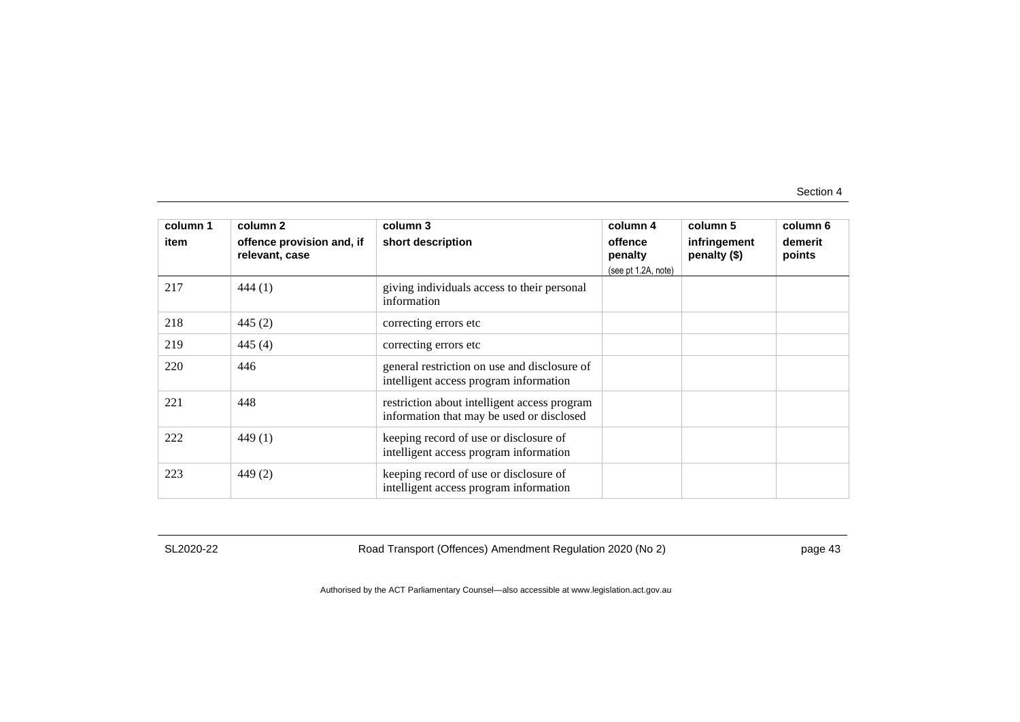| column 1<br>item | column 2<br>offence provision and, if<br>relevant, case | column 3<br>short description                                                             | column 4<br>offence<br>penalty<br>(see pt 1.2A, note) | column 5<br>infringement<br>penalty (\$) | column 6<br>demerit<br>points |
|------------------|---------------------------------------------------------|-------------------------------------------------------------------------------------------|-------------------------------------------------------|------------------------------------------|-------------------------------|
| 217              | 444(1)                                                  | giving individuals access to their personal<br>information                                |                                                       |                                          |                               |
| 218              | 445 $(2)$                                               | correcting errors etc.                                                                    |                                                       |                                          |                               |
| 219              | 445 $(4)$                                               | correcting errors etc                                                                     |                                                       |                                          |                               |
| 220              | 446                                                     | general restriction on use and disclosure of<br>intelligent access program information    |                                                       |                                          |                               |
| 221              | 448                                                     | restriction about intelligent access program<br>information that may be used or disclosed |                                                       |                                          |                               |
| 222              | 449 (1)                                                 | keeping record of use or disclosure of<br>intelligent access program information          |                                                       |                                          |                               |
| 223              | 449(2)                                                  | keeping record of use or disclosure of<br>intelligent access program information          |                                                       |                                          |                               |

SL2020-22

Road Transport (Offences) Amendment Regulation 2020 (No 2)

page 43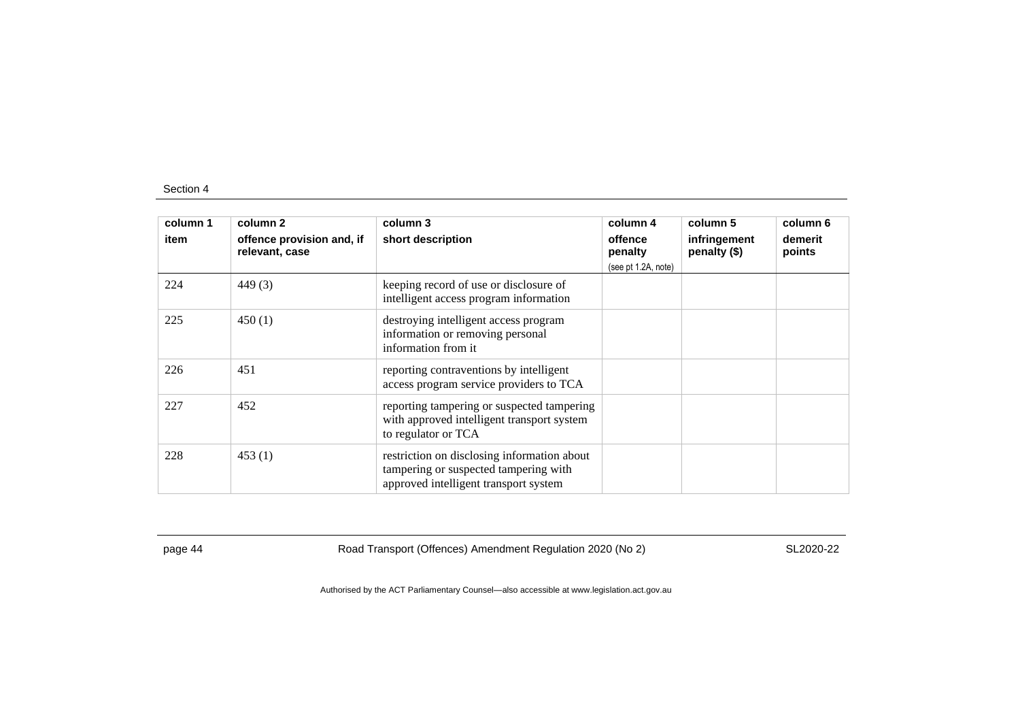| column 1 | column 2                                    | column 3                                                                                                                      | column 4            | column 5                     | column 6          |
|----------|---------------------------------------------|-------------------------------------------------------------------------------------------------------------------------------|---------------------|------------------------------|-------------------|
| item     | offence provision and, if<br>relevant, case | short description                                                                                                             | offence<br>penalty  | infringement<br>penalty (\$) | demerit<br>points |
|          |                                             |                                                                                                                               | (see pt 1.2A, note) |                              |                   |
| 224      | 449(3)                                      | keeping record of use or disclosure of<br>intelligent access program information                                              |                     |                              |                   |
| 225      | 450(1)                                      | destroying intelligent access program<br>information or removing personal<br>information from it                              |                     |                              |                   |
| 226      | 451                                         | reporting contraventions by intelligent<br>access program service providers to TCA                                            |                     |                              |                   |
| 227      | 452                                         | reporting tampering or suspected tampering<br>with approved intelligent transport system<br>to regulator or TCA               |                     |                              |                   |
| 228      | 453(1)                                      | restriction on disclosing information about<br>tampering or suspected tampering with<br>approved intelligent transport system |                     |                              |                   |

page 44 Road Transport (Offences) Amendment Regulation 2020 (No 2)

SL2020-22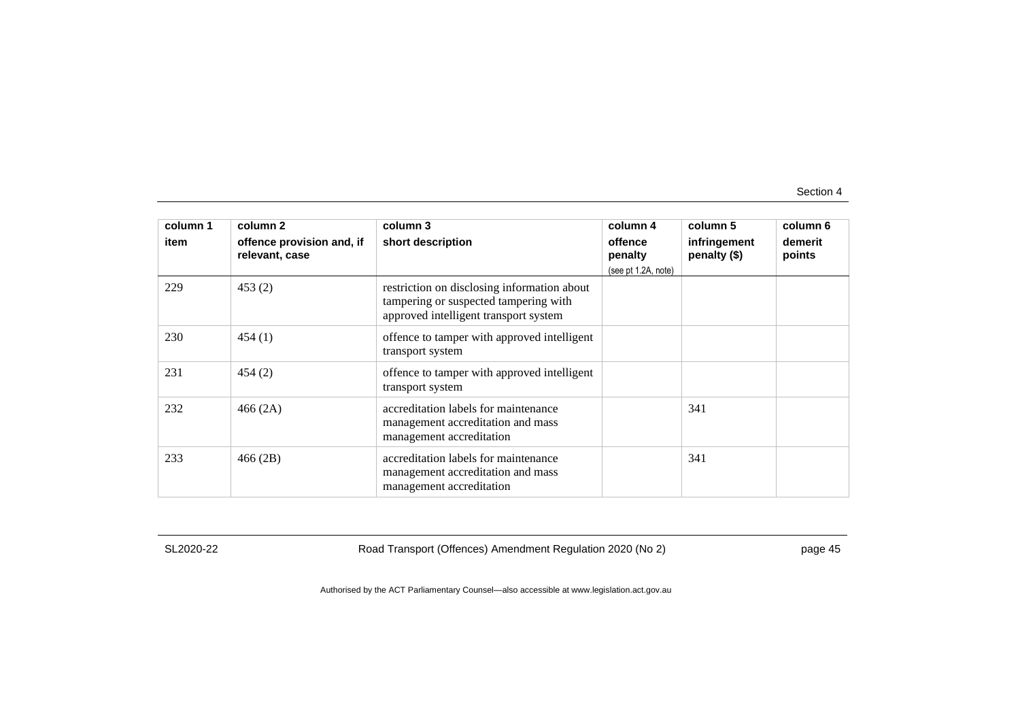| column 1<br>item | column 2<br>offence provision and, if<br>relevant, case | column 3<br>short description                                                                                                 | column 4<br>offence<br>penalty<br>(see pt 1.2A, note) | column 5<br>infringement<br>penalty (\$) | column 6<br>demerit<br>points |
|------------------|---------------------------------------------------------|-------------------------------------------------------------------------------------------------------------------------------|-------------------------------------------------------|------------------------------------------|-------------------------------|
| 229              | 453(2)                                                  | restriction on disclosing information about<br>tampering or suspected tampering with<br>approved intelligent transport system |                                                       |                                          |                               |
| 230              | 454(1)                                                  | offence to tamper with approved intelligent<br>transport system                                                               |                                                       |                                          |                               |
| 231              | 454(2)                                                  | offence to tamper with approved intelligent<br>transport system                                                               |                                                       |                                          |                               |
| 232              | 466(2A)                                                 | accreditation labels for maintenance<br>management accreditation and mass<br>management accreditation                         |                                                       | 341                                      |                               |
| 233              | 466(2B)                                                 | accreditation labels for maintenance<br>management accreditation and mass<br>management accreditation                         |                                                       | 341                                      |                               |

SL2020-22

Road Transport (Offences) Amendment Regulation 2020 (No 2)

page 45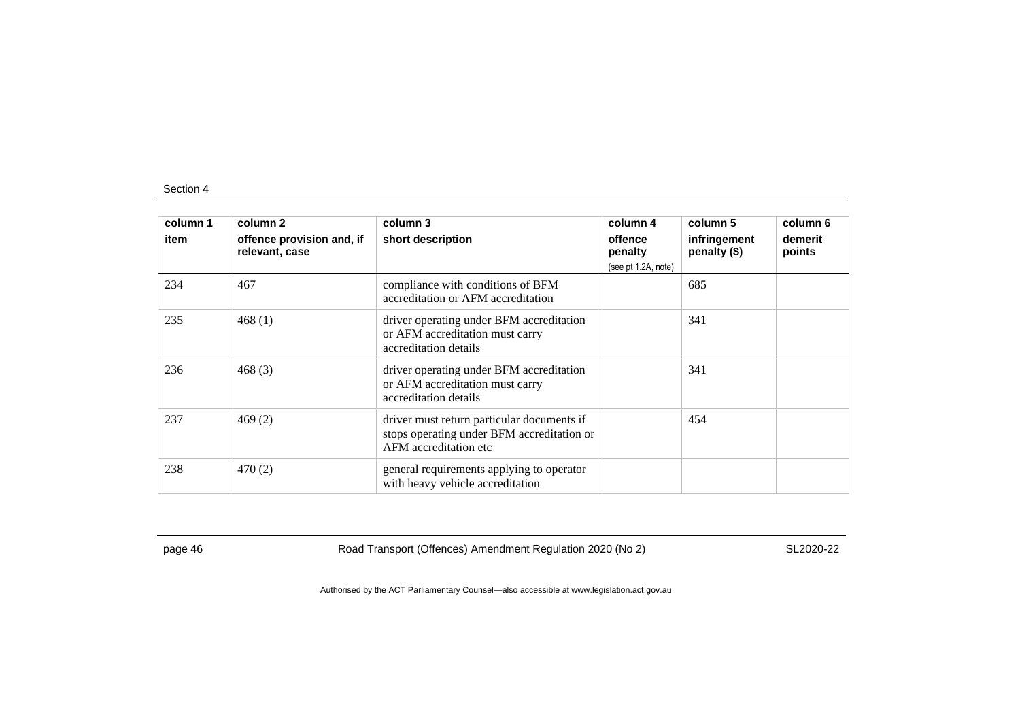| column 1 | column 2                                    | column 3                                                                                                           | column 4            | column 5                     | column 6          |
|----------|---------------------------------------------|--------------------------------------------------------------------------------------------------------------------|---------------------|------------------------------|-------------------|
| item     | offence provision and, if<br>relevant, case | short description                                                                                                  | offence<br>penalty  | infringement<br>penalty (\$) | demerit<br>points |
|          |                                             |                                                                                                                    | (see pt 1.2A, note) |                              |                   |
| 234      | 467                                         | compliance with conditions of BFM<br>accreditation or AFM accreditation                                            |                     | 685                          |                   |
| 235      | 468 $(1)$                                   | driver operating under BFM accreditation<br>or AFM accreditation must carry<br>accreditation details               |                     | 341                          |                   |
| 236      | 468 (3)                                     | driver operating under BFM accreditation<br>or AFM accreditation must carry<br>accreditation details               |                     | 341                          |                   |
| 237      | 469(2)                                      | driver must return particular documents if<br>stops operating under BFM accreditation or<br>AFM accreditation etc. |                     | 454                          |                   |
| 238      | 470 (2)                                     | general requirements applying to operator<br>with heavy vehicle accreditation                                      |                     |                              |                   |

page 46 Road Transport (Offences) Amendment Regulation 2020 (No 2)

SL2020-22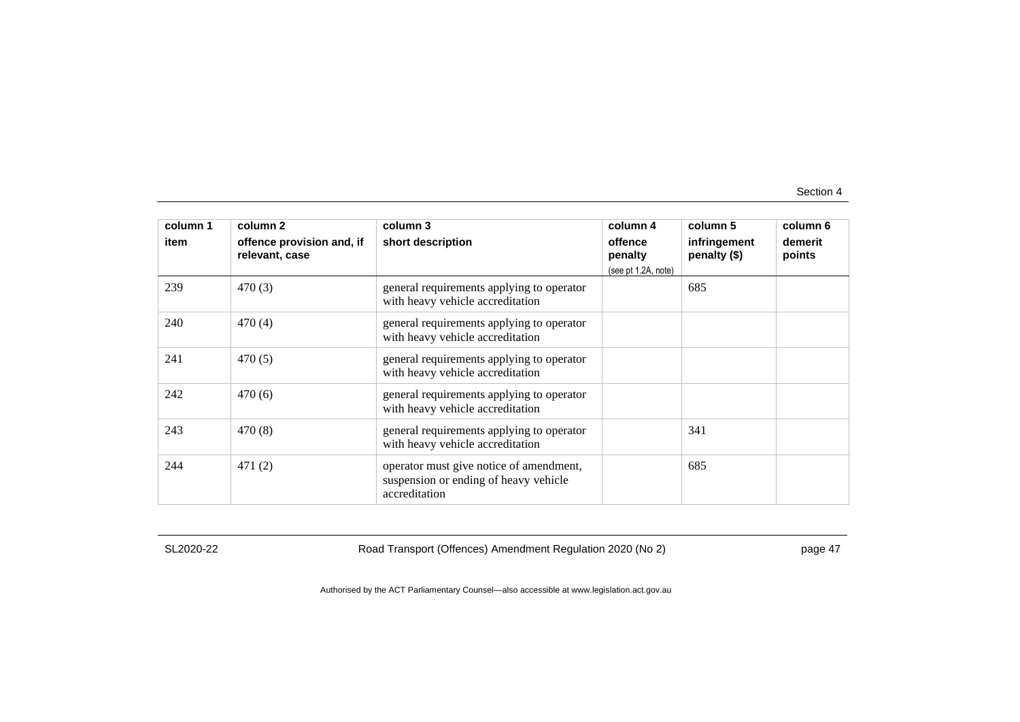| column 1<br>item | column 2<br>offence provision and, if<br>relevant, case | column 3<br>short description                                                                     | column 4<br>offence<br>penalty<br>(see pt 1.2A, note) | column 5<br>infringement<br>penalty (\$) | column 6<br>demerit<br>points |
|------------------|---------------------------------------------------------|---------------------------------------------------------------------------------------------------|-------------------------------------------------------|------------------------------------------|-------------------------------|
| 239              | 470(3)                                                  | general requirements applying to operator<br>with heavy vehicle accreditation                     |                                                       | 685                                      |                               |
| 240              | 470(4)                                                  | general requirements applying to operator<br>with heavy vehicle accreditation                     |                                                       |                                          |                               |
| 241              | 470(5)                                                  | general requirements applying to operator<br>with heavy vehicle accreditation                     |                                                       |                                          |                               |
| 242              | 470(6)                                                  | general requirements applying to operator<br>with heavy vehicle accreditation                     |                                                       |                                          |                               |
| 243              | 470(8)                                                  | general requirements applying to operator<br>with heavy vehicle accreditation                     |                                                       | 341                                      |                               |
| 244              | 471(2)                                                  | operator must give notice of amendment,<br>suspension or ending of heavy vehicle<br>accreditation |                                                       | 685                                      |                               |

SL2020-22

Road Transport (Offences) Amendment Regulation 2020 (No 2)

page 47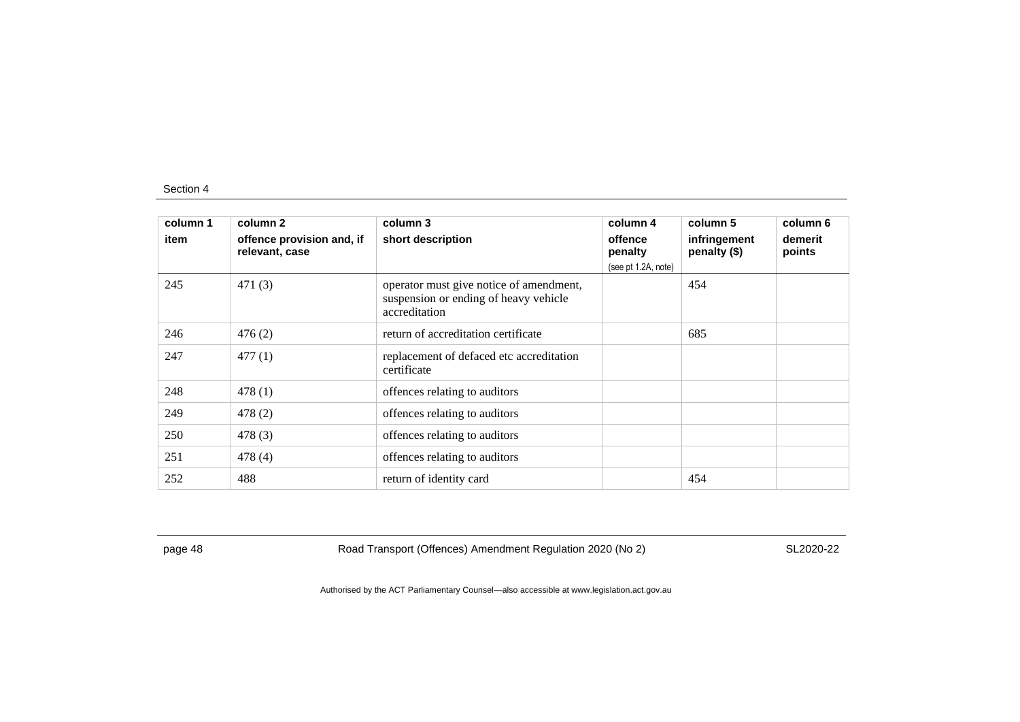| column 1 | column 2                                    | column 3                                                                                          | column 4            | column 5                     | column 6          |
|----------|---------------------------------------------|---------------------------------------------------------------------------------------------------|---------------------|------------------------------|-------------------|
| item     | offence provision and, if<br>relevant, case | short description                                                                                 | offence<br>penalty  | infringement<br>penalty (\$) | demerit<br>points |
|          |                                             |                                                                                                   | (see pt 1.2A, note) |                              |                   |
| 245      | 471(3)                                      | operator must give notice of amendment,<br>suspension or ending of heavy vehicle<br>accreditation |                     | 454                          |                   |
| 246      | 476(2)                                      | return of accreditation certificate                                                               |                     | 685                          |                   |
| 247      | 477(1)                                      | replacement of defaced etc accreditation<br>certificate                                           |                     |                              |                   |
| 248      | 478(1)                                      | offences relating to auditors                                                                     |                     |                              |                   |
| 249      | 478(2)                                      | offences relating to auditors                                                                     |                     |                              |                   |
| 250      | 478(3)                                      | offences relating to auditors                                                                     |                     |                              |                   |
| 251      | 478(4)                                      | offences relating to auditors                                                                     |                     |                              |                   |
| 252      | 488                                         | return of identity card                                                                           |                     | 454                          |                   |

page 48 Road Transport (Offences) Amendment Regulation 2020 (No 2)

SL2020-22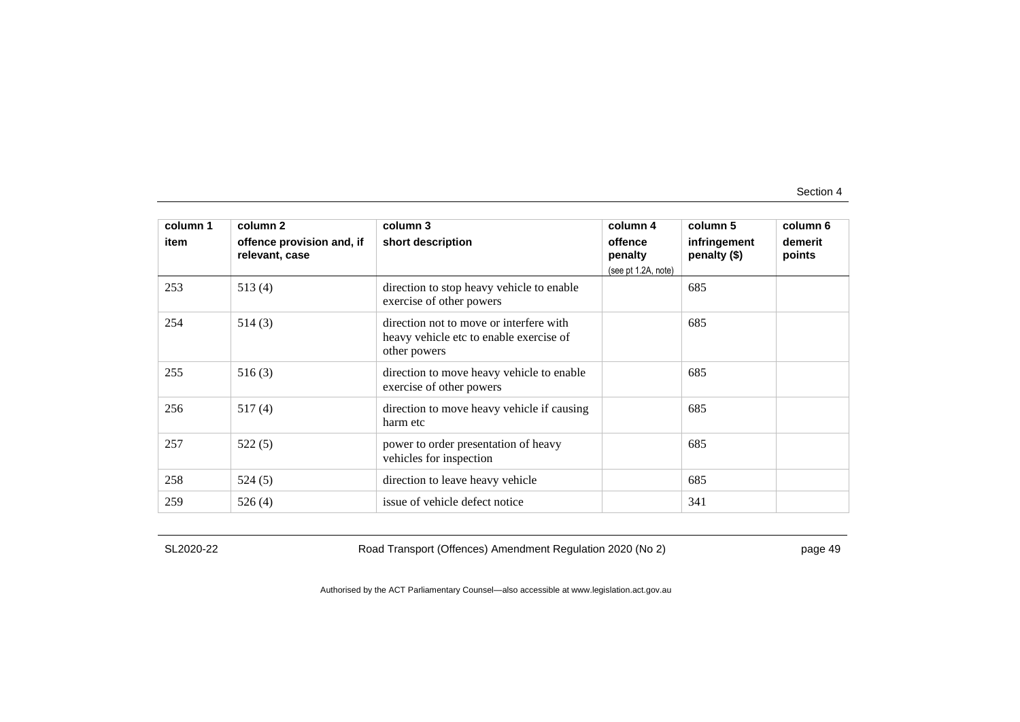| column 1<br>item | column 2<br>offence provision and, if<br>relevant, case | column 3<br>short description                                                                      | column 4<br>offence<br>penalty<br>(see pt 1.2A, note) | column 5<br>infringement<br>penalty (\$) | column 6<br>demerit<br>points |
|------------------|---------------------------------------------------------|----------------------------------------------------------------------------------------------------|-------------------------------------------------------|------------------------------------------|-------------------------------|
| 253              | 513(4)                                                  | direction to stop heavy vehicle to enable<br>exercise of other powers                              |                                                       | 685                                      |                               |
| 254              | 514(3)                                                  | direction not to move or interfere with<br>heavy vehicle etc to enable exercise of<br>other powers |                                                       | 685                                      |                               |
| 255              | 516(3)                                                  | direction to move heavy vehicle to enable<br>exercise of other powers                              |                                                       | 685                                      |                               |
| 256              | 517(4)                                                  | direction to move heavy vehicle if causing<br>harm etc                                             |                                                       | 685                                      |                               |
| 257              | 522(5)                                                  | power to order presentation of heavy<br>vehicles for inspection                                    |                                                       | 685                                      |                               |
| 258              | 524(5)                                                  | direction to leave heavy vehicle                                                                   |                                                       | 685                                      |                               |
| 259              | 526(4)                                                  | issue of vehicle defect notice                                                                     |                                                       | 341                                      |                               |

SL2020-22

Road Transport (Offences) Amendment Regulation 2020 (No 2)

page 49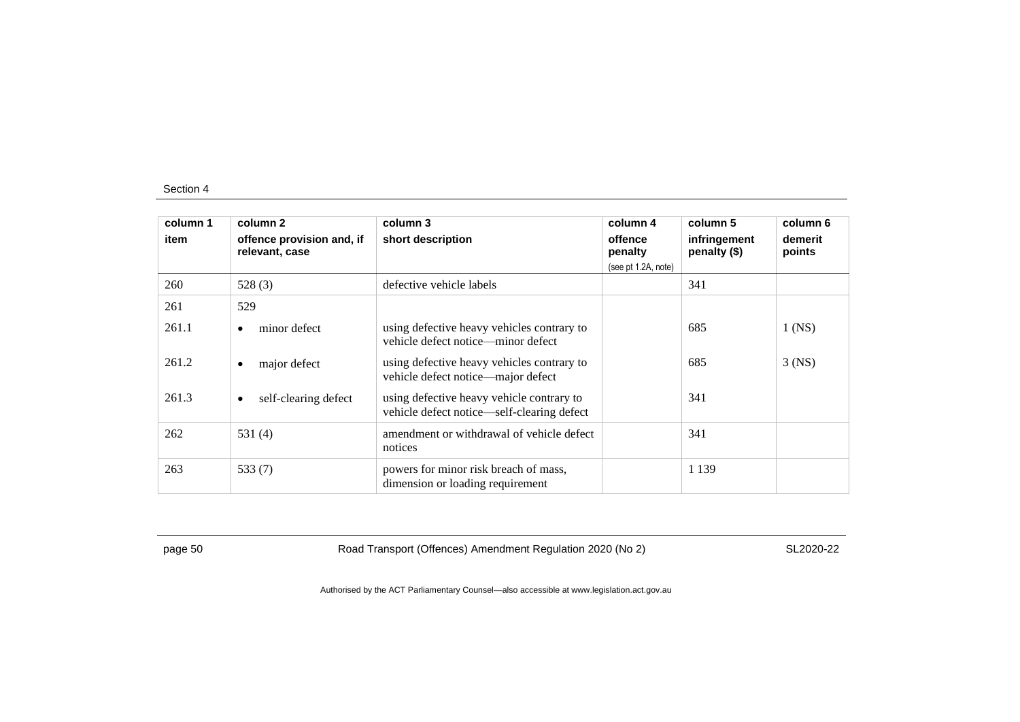| column 1 | column 2                                    | column 3                                                                                | column 4            | column 5                       | column 6          |
|----------|---------------------------------------------|-----------------------------------------------------------------------------------------|---------------------|--------------------------------|-------------------|
| item     | offence provision and, if<br>relevant, case | short description                                                                       | offence<br>penalty  | infringement<br>penalty $(\$)$ | demerit<br>points |
|          |                                             |                                                                                         | (see pt 1.2A, note) |                                |                   |
| 260      | 528(3)                                      | defective vehicle labels                                                                |                     | 341                            |                   |
| 261      | 529                                         |                                                                                         |                     |                                |                   |
| 261.1    | minor defect<br>٠                           | using defective heavy vehicles contrary to<br>vehicle defect notice—minor defect        |                     | 685                            | $1$ (NS)          |
| 261.2    | major defect<br>٠                           | using defective heavy vehicles contrary to<br>vehicle defect notice—major defect        |                     | 685                            | $3$ (NS)          |
| 261.3    | self-clearing defect<br>$\bullet$           | using defective heavy vehicle contrary to<br>vehicle defect notice—self-clearing defect |                     | 341                            |                   |
| 262      | 531 (4)                                     | amendment or withdrawal of vehicle defect<br>notices                                    |                     | 341                            |                   |
| 263      | 533 $(7)$                                   | powers for minor risk breach of mass,<br>dimension or loading requirement               |                     | 1 1 3 9                        |                   |

page 50 Road Transport (Offences) Amendment Regulation 2020 (No 2)

SL2020-22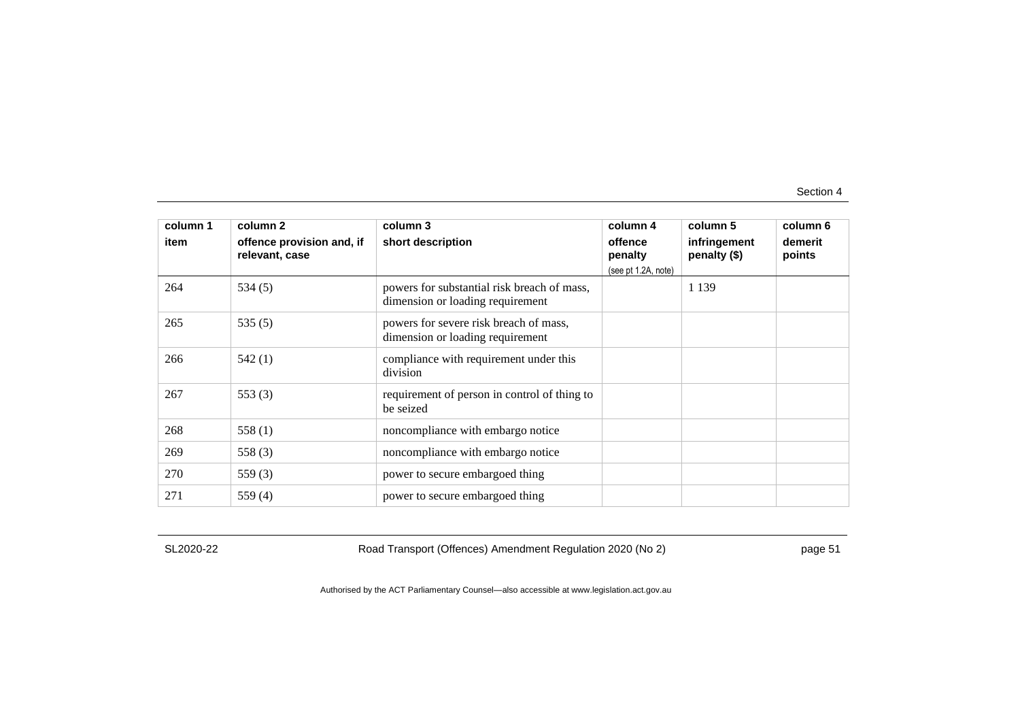| column 1<br>item | column 2<br>offence provision and, if<br>relevant, case | column 3<br>short description                                                   | column 4<br>offence<br>penalty<br>(see pt 1.2A, note) | column 5<br>infringement<br>penalty (\$) | column 6<br>demerit<br>points |
|------------------|---------------------------------------------------------|---------------------------------------------------------------------------------|-------------------------------------------------------|------------------------------------------|-------------------------------|
| 264              | 534(5)                                                  | powers for substantial risk breach of mass,<br>dimension or loading requirement |                                                       | 1 1 3 9                                  |                               |
| 265              | 535 $(5)$                                               | powers for severe risk breach of mass,<br>dimension or loading requirement      |                                                       |                                          |                               |
| 266              | 542(1)                                                  | compliance with requirement under this<br>division                              |                                                       |                                          |                               |
| 267              | 553 $(3)$                                               | requirement of person in control of thing to<br>be seized                       |                                                       |                                          |                               |
| 268              | 558 $(1)$                                               | noncompliance with embargo notice                                               |                                                       |                                          |                               |
| 269              | 558 (3)                                                 | noncompliance with embargo notice                                               |                                                       |                                          |                               |
| 270              | 559 $(3)$                                               | power to secure embargoed thing                                                 |                                                       |                                          |                               |
| 271              | 559 $(4)$                                               | power to secure embargoed thing                                                 |                                                       |                                          |                               |

SL2020-22

Road Transport (Offences) Amendment Regulation 2020 (No 2)

page 51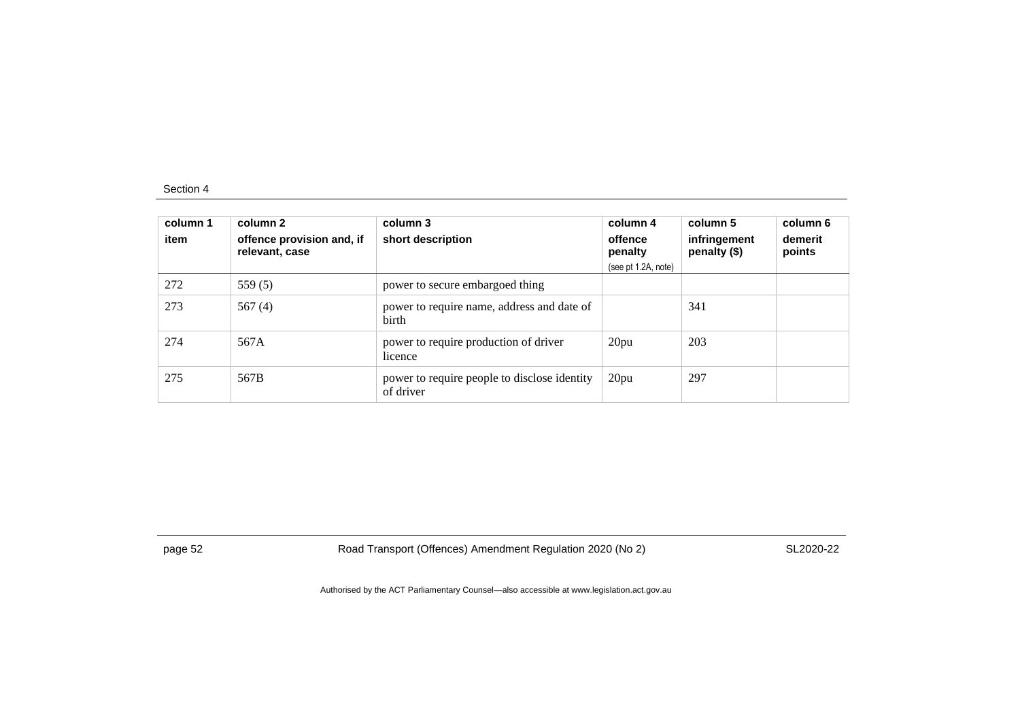| column 1<br>item | column 2<br>offence provision and, if<br>relevant, case | column 3<br>short description                             | column 4<br>offence<br>penalty<br>(see pt 1.2A, note) | column 5<br>infringement<br>penalty (\$) | column 6<br>demerit<br>points |
|------------------|---------------------------------------------------------|-----------------------------------------------------------|-------------------------------------------------------|------------------------------------------|-------------------------------|
| 272              | 559 $(5)$                                               | power to secure embargoed thing                           |                                                       |                                          |                               |
| 273              | 567 $(4)$                                               | power to require name, address and date of<br>birth       |                                                       | 341                                      |                               |
| 274              | 567A                                                    | power to require production of driver<br>licence          | 20pu                                                  | 203                                      |                               |
| 275              | 567B                                                    | power to require people to disclose identity<br>of driver | 20pu                                                  | 297                                      |                               |

page 52 Road Transport (Offences) Amendment Regulation 2020 (No 2)

SL2020-22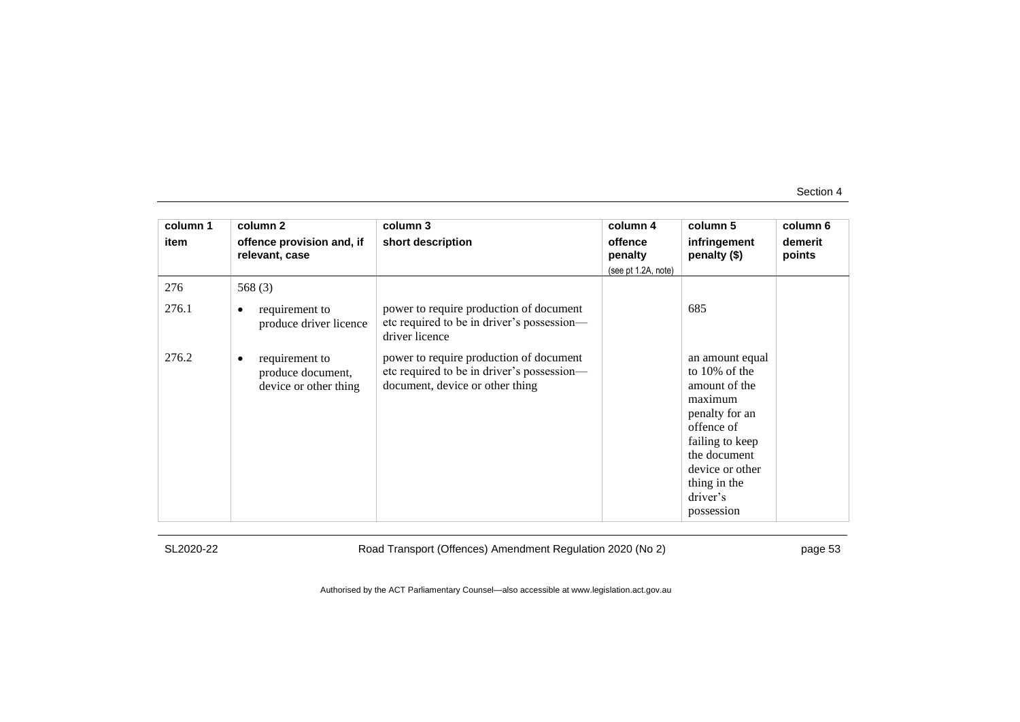| column 1 | column 2                                                          | column 3                                                                                                                 | column 4            | column 5                                                                                                                                                                                        | column 6          |
|----------|-------------------------------------------------------------------|--------------------------------------------------------------------------------------------------------------------------|---------------------|-------------------------------------------------------------------------------------------------------------------------------------------------------------------------------------------------|-------------------|
| item     | offence provision and, if<br>relevant, case                       | short description                                                                                                        | offence<br>penalty  | infringement<br>penalty (\$)                                                                                                                                                                    | demerit<br>points |
|          |                                                                   |                                                                                                                          | (see pt 1.2A, note) |                                                                                                                                                                                                 |                   |
| 276      | 568 $(3)$                                                         |                                                                                                                          |                     |                                                                                                                                                                                                 |                   |
| 276.1    | requirement to<br>٠<br>produce driver licence                     | power to require production of document<br>etc required to be in driver's possession-<br>driver licence                  |                     | 685                                                                                                                                                                                             |                   |
| 276.2    | requirement to<br>٠<br>produce document,<br>device or other thing | power to require production of document<br>etc required to be in driver's possession-<br>document, device or other thing |                     | an amount equal<br>to $10\%$ of the<br>amount of the<br>maximum<br>penalty for an<br>offence of<br>failing to keep<br>the document<br>device or other<br>thing in the<br>driver's<br>possession |                   |

SL2020-22

Road Transport (Offences) Amendment Regulation 2020 (No 2)

page 53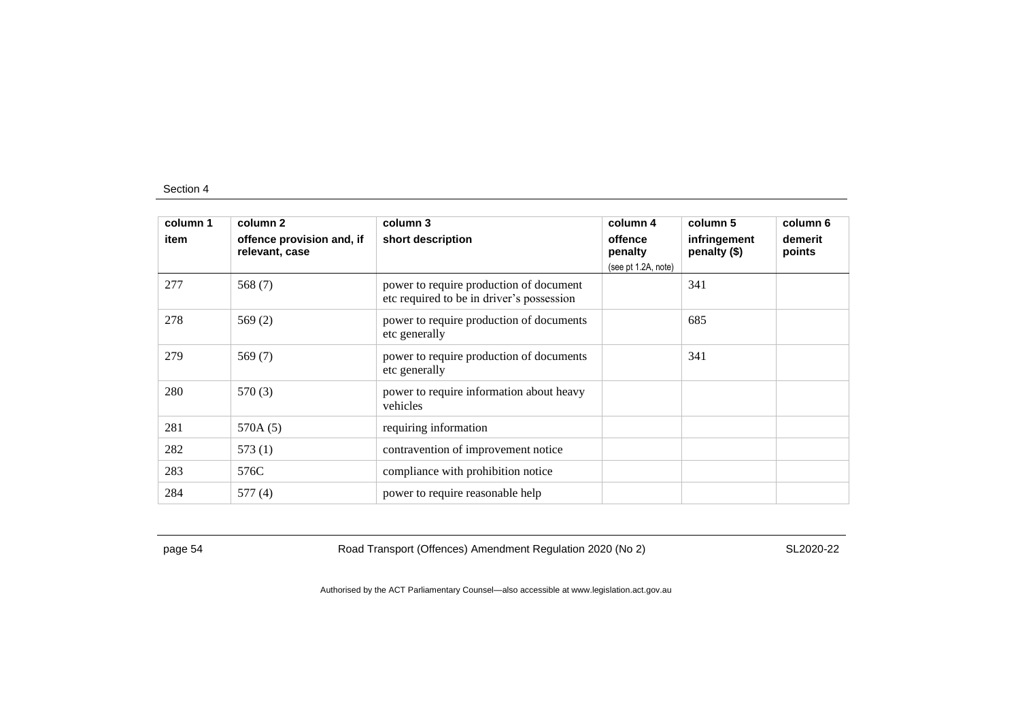| column 1 | column 2                                    | column 3                                                                             | column 4                                  | column 5                     | column 6          |
|----------|---------------------------------------------|--------------------------------------------------------------------------------------|-------------------------------------------|------------------------------|-------------------|
| item     | offence provision and, if<br>relevant, case | short description                                                                    | offence<br>penalty<br>(see pt 1.2A, note) | infringement<br>penalty (\$) | demerit<br>points |
| 277      | 568 (7)                                     | power to require production of document<br>etc required to be in driver's possession |                                           | 341                          |                   |
| 278      | 569(2)                                      | power to require production of documents<br>etc generally                            |                                           | 685                          |                   |
| 279      | 569 (7)                                     | power to require production of documents<br>etc generally                            |                                           | 341                          |                   |
| 280      | 570(3)                                      | power to require information about heavy<br>vehicles                                 |                                           |                              |                   |
| 281      | 570A (5)                                    | requiring information                                                                |                                           |                              |                   |
| 282      | 573(1)                                      | contravention of improvement notice                                                  |                                           |                              |                   |
| 283      | 576C                                        | compliance with prohibition notice                                                   |                                           |                              |                   |
| 284      | 577(4)                                      | power to require reasonable help                                                     |                                           |                              |                   |

page 54 Road Transport (Offences) Amendment Regulation 2020 (No 2)

SL2020-22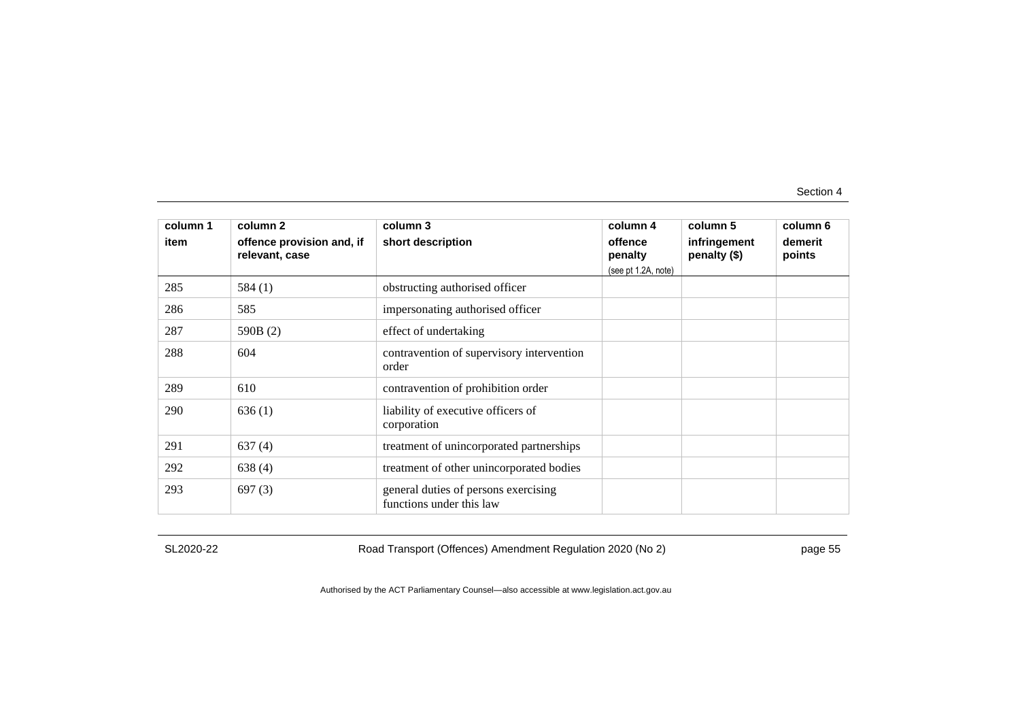| column 1<br>item | column 2<br>offence provision and, if<br>relevant, case | column 3<br>short description                                    | column 4<br>offence<br>penalty<br>(see pt 1.2A, note) | column 5<br>infringement<br>penalty (\$) | column 6<br>demerit<br>points |
|------------------|---------------------------------------------------------|------------------------------------------------------------------|-------------------------------------------------------|------------------------------------------|-------------------------------|
| 285              | 584 $(1)$                                               | obstructing authorised officer                                   |                                                       |                                          |                               |
| 286              | 585                                                     | impersonating authorised officer                                 |                                                       |                                          |                               |
| 287              | 590B (2)                                                | effect of undertaking                                            |                                                       |                                          |                               |
| 288              | 604                                                     | contravention of supervisory intervention<br>order               |                                                       |                                          |                               |
| 289              | 610                                                     | contravention of prohibition order                               |                                                       |                                          |                               |
| 290              | 636(1)                                                  | liability of executive officers of<br>corporation                |                                                       |                                          |                               |
| 291              | 637(4)                                                  | treatment of unincorporated partnerships                         |                                                       |                                          |                               |
| 292              | 638(4)                                                  | treatment of other unincorporated bodies                         |                                                       |                                          |                               |
| 293              | 697(3)                                                  | general duties of persons exercising<br>functions under this law |                                                       |                                          |                               |

SL2020-22

Road Transport (Offences) Amendment Regulation 2020 (No 2)

page 55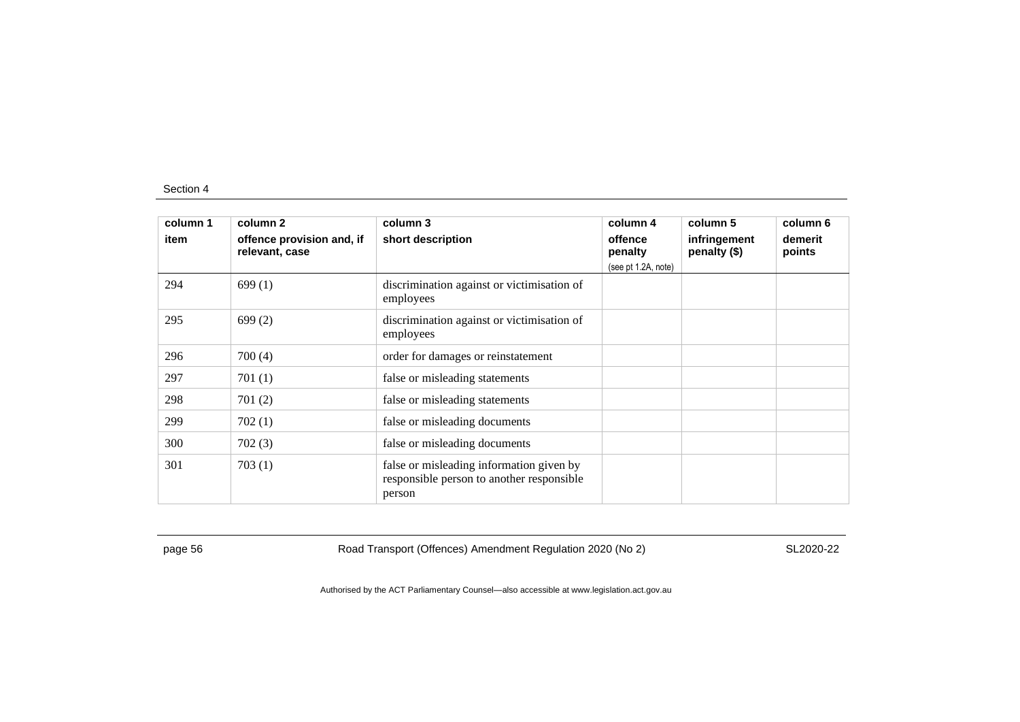| column 1 | column 2                                    | column 3                                                                                        | column 4            | column 5                     | column 6          |
|----------|---------------------------------------------|-------------------------------------------------------------------------------------------------|---------------------|------------------------------|-------------------|
| item     | offence provision and, if<br>relevant, case | short description                                                                               | offence<br>penalty  | infringement<br>penalty (\$) | demerit<br>points |
|          |                                             |                                                                                                 | (see pt 1.2A, note) |                              |                   |
| 294      | 699(1)                                      | discrimination against or victimisation of<br>employees                                         |                     |                              |                   |
| 295      | 699(2)                                      | discrimination against or victimisation of<br>employees                                         |                     |                              |                   |
| 296      | 700(4)                                      | order for damages or reinstatement                                                              |                     |                              |                   |
| 297      | 701(1)                                      | false or misleading statements                                                                  |                     |                              |                   |
| 298      | 701(2)                                      | false or misleading statements                                                                  |                     |                              |                   |
| 299      | 702(1)                                      | false or misleading documents                                                                   |                     |                              |                   |
| 300      | 702(3)                                      | false or misleading documents                                                                   |                     |                              |                   |
| 301      | 703(1)                                      | false or misleading information given by<br>responsible person to another responsible<br>person |                     |                              |                   |

page 56 Road Transport (Offences) Amendment Regulation 2020 (No 2)

SL2020-22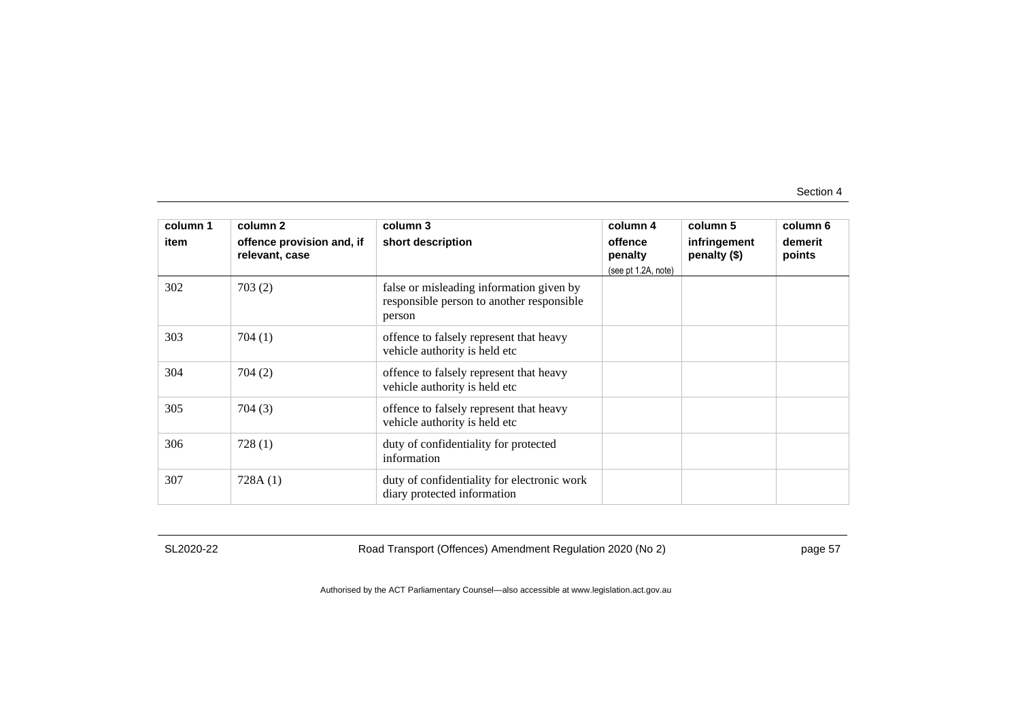| column 1 | column 2                                    | column 3                                                                                        | column 4                                  | column 5                     | column 6          |
|----------|---------------------------------------------|-------------------------------------------------------------------------------------------------|-------------------------------------------|------------------------------|-------------------|
| item     | offence provision and, if<br>relevant, case | short description                                                                               | offence<br>penalty<br>(see pt 1.2A, note) | infringement<br>penalty (\$) | demerit<br>points |
| 302      | 703(2)                                      | false or misleading information given by<br>responsible person to another responsible<br>person |                                           |                              |                   |
| 303      | 704(1)                                      | offence to falsely represent that heavy<br>vehicle authority is held etc                        |                                           |                              |                   |
| 304      | 704 (2)                                     | offence to falsely represent that heavy<br>vehicle authority is held etc                        |                                           |                              |                   |
| 305      | 704(3)                                      | offence to falsely represent that heavy<br>vehicle authority is held etc                        |                                           |                              |                   |
| 306      | 728(1)                                      | duty of confidentiality for protected<br>information                                            |                                           |                              |                   |
| 307      | 728A(1)                                     | duty of confidentiality for electronic work<br>diary protected information                      |                                           |                              |                   |

SL2020-22

Road Transport (Offences) Amendment Regulation 2020 (No 2)

page 57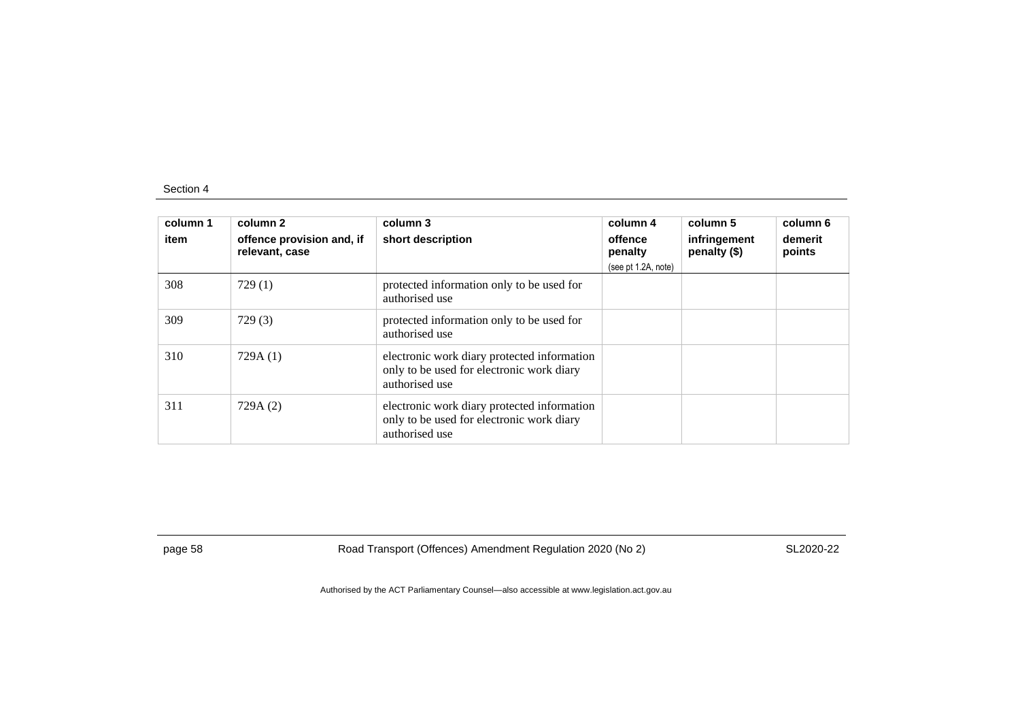| column 1<br>item | column 2<br>offence provision and, if<br>relevant, case | column 3<br>short description                                                                              | column 4<br>offence<br>penalty<br>(see pt 1.2A, note) | column 5<br>infringement<br>penalty (\$) | column 6<br>demerit<br>points |
|------------------|---------------------------------------------------------|------------------------------------------------------------------------------------------------------------|-------------------------------------------------------|------------------------------------------|-------------------------------|
| 308              | 729(1)                                                  | protected information only to be used for<br>authorised use                                                |                                                       |                                          |                               |
| 309              | 729(3)                                                  | protected information only to be used for<br>authorised use                                                |                                                       |                                          |                               |
| 310              | 729A(1)                                                 | electronic work diary protected information<br>only to be used for electronic work diary<br>authorised use |                                                       |                                          |                               |
| 311              | 729A (2)                                                | electronic work diary protected information<br>only to be used for electronic work diary<br>authorised use |                                                       |                                          |                               |

page 58 Road Transport (Offences) Amendment Regulation 2020 (No 2)

SL2020-22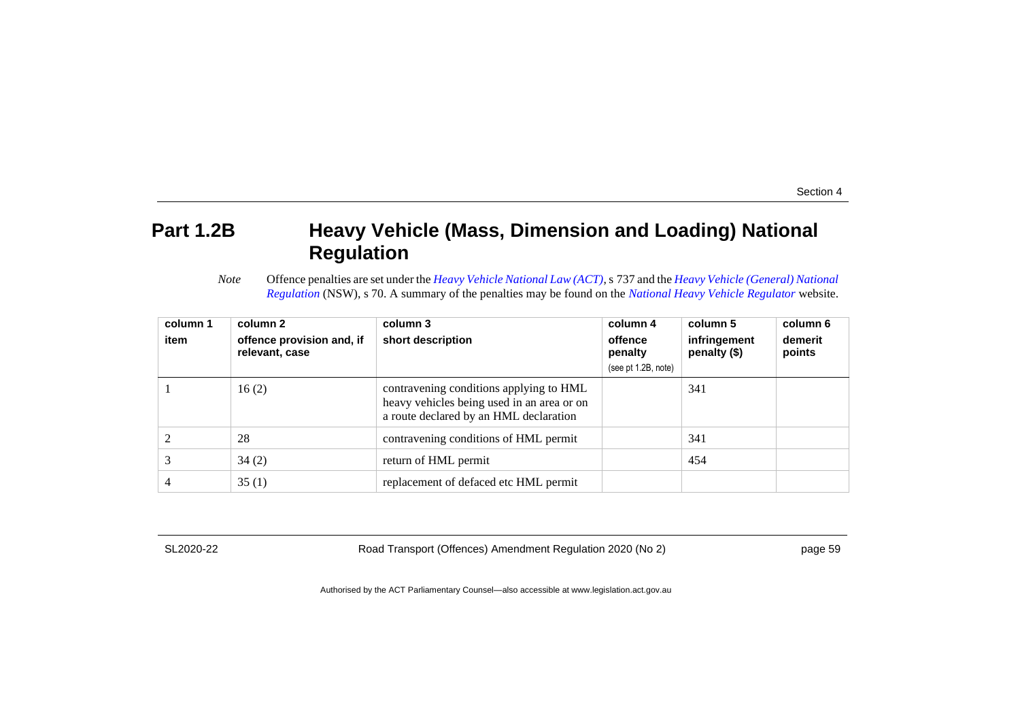## **Part 1.2B Heavy Vehicle (Mass, Dimension and Loading) National Regulation**

*Note* Offence penalties are set under the *[Heavy Vehicle National Law \(ACT\)](http://www.legislation.act.gov.au/a/db_49155/default.asp)*, s 737 and the *[Heavy Vehicle \(General\) National](https://www.legislation.nsw.gov.au/#/browse/inForce/regulations/H)  [Regulation](https://www.legislation.nsw.gov.au/#/browse/inForce/regulations/H)* (NSW), s 70. A summary of the penalties may be found on the *[National Heavy Vehicle Regulator](https://www.nhvr.gov.au/law-policies/penalties-and-infringements)* website.

| column 1<br>item | column 2<br>offence provision and, if<br>relevant, case | column 3<br>short description                                                                                                   | column 4<br>offence<br>penalty<br>(see pt 1.2B, note) | column 5<br>infringement<br>penalty (\$) | column 6<br>demerit<br>points |
|------------------|---------------------------------------------------------|---------------------------------------------------------------------------------------------------------------------------------|-------------------------------------------------------|------------------------------------------|-------------------------------|
|                  | 16(2)                                                   | contravening conditions applying to HML<br>heavy vehicles being used in an area or on<br>a route declared by an HML declaration |                                                       | 341                                      |                               |
|                  | 28                                                      | contravening conditions of HML permit                                                                                           |                                                       | 341                                      |                               |
|                  | 34(2)                                                   | return of HML permit                                                                                                            |                                                       | 454                                      |                               |
| 4                | 35(1)                                                   | replacement of defaced etc HML permit                                                                                           |                                                       |                                          |                               |

SL2020-22

Road Transport (Offences) Amendment Regulation 2020 (No 2)

page 59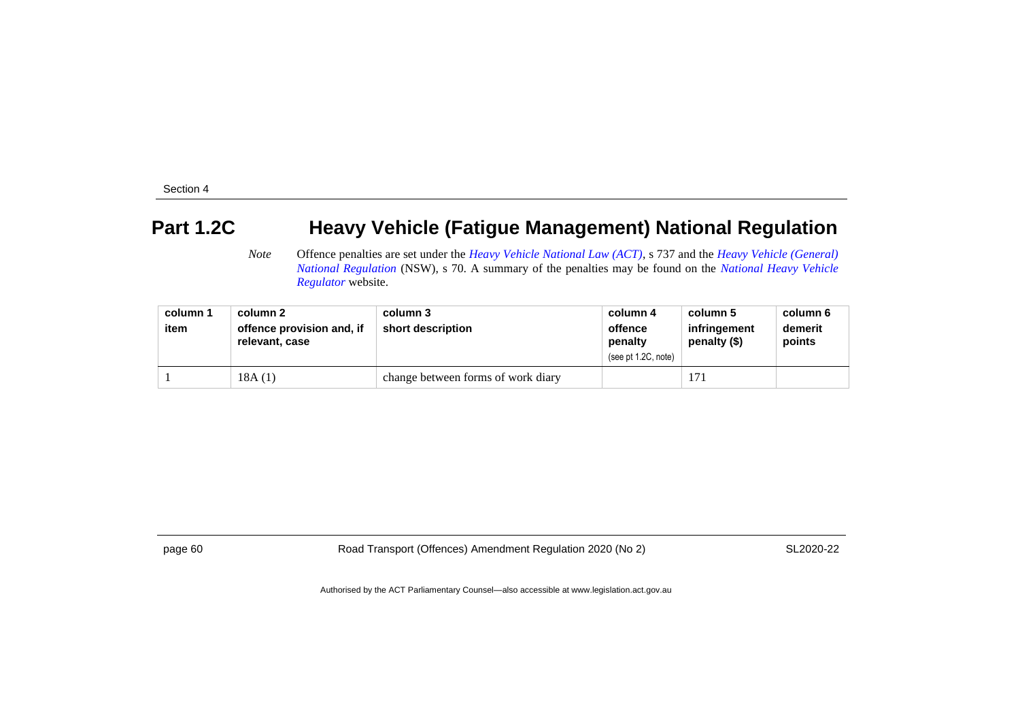## **Part 1.2C Heavy Vehicle (Fatigue Management) National Regulation**

*Note* Offence penalties are set under the *[Heavy Vehicle National Law \(ACT\)](http://www.legislation.act.gov.au/a/db_49155/default.asp)*, s 737 and the *[Heavy Vehicle \(General\)](https://www.legislation.nsw.gov.au/#/browse/inForce/regulations/H)  [National Regulation](https://www.legislation.nsw.gov.au/#/browse/inForce/regulations/H)* (NSW), s 70. A summary of the penalties may be found on the *[National Heavy Vehicle](https://www.nhvr.gov.au/law-policies/penalties-and-infringements)  [Regulator](https://www.nhvr.gov.au/law-policies/penalties-and-infringements)* website.

| column 1 | column 2                                    | column 3                           | column 4                                  | column 5                     | column 6          |
|----------|---------------------------------------------|------------------------------------|-------------------------------------------|------------------------------|-------------------|
| item     | offence provision and, if<br>relevant, case | short description                  | offence<br>penalty<br>(see pt 1.2C, note) | infringement<br>penalty (\$) | demerit<br>points |
|          | 18A(1)                                      | change between forms of work diary |                                           | 17 <sub>1</sub>              |                   |

page 60 Road Transport (Offences) Amendment Regulation 2020 (No 2)

SL2020-22